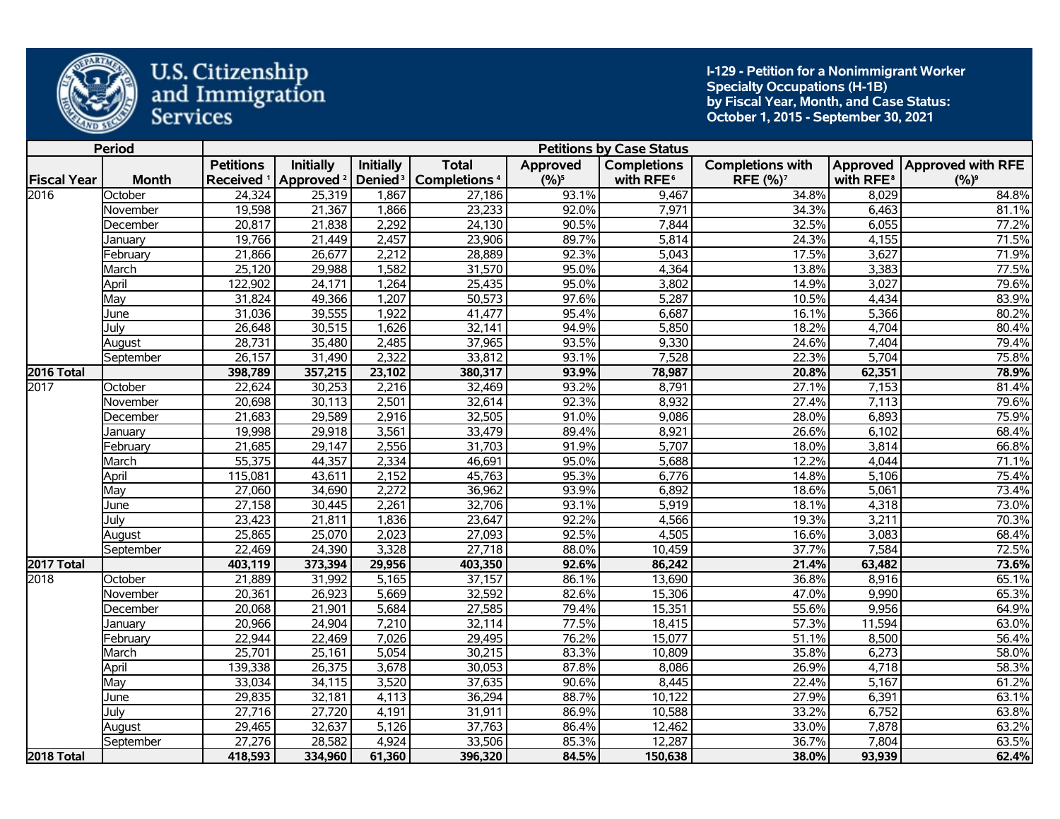

**I-129 - Petition for a Nonimmigrant Worker Specialty Occupations (H-1B) by Fiscal Year, Month, and Case Status: October 1, 2015 - September 30, 2021** 

|                    | <b>Period</b> |                       |                       |                     |                          |          | <b>Petitions by Case Status</b> |                         |                       |                              |
|--------------------|---------------|-----------------------|-----------------------|---------------------|--------------------------|----------|---------------------------------|-------------------------|-----------------------|------------------------------|
|                    |               | <b>Petitions</b>      | <b>Initially</b>      | <b>Initially</b>    | <b>Total</b>             | Approved | <b>Completions</b>              | <b>Completions with</b> |                       | Approved   Approved with RFE |
| <b>Fiscal Year</b> | <b>Month</b>  | Received <sup>1</sup> | Approved <sup>2</sup> | Denied <sup>3</sup> | Completions <sup>4</sup> | $(%)^5$  | with RFE <sup>6</sup>           | RFE (%) <sup>7</sup>    | with RFE <sup>8</sup> | $(%)^9$                      |
| 2016               | October       | 24,324                | 25,319                | 1,867               | 27,186                   | 93.1%    | 9,467                           | 34.8%                   | 8,029                 | 84.8%                        |
|                    | November      | 19,598                | 21,367                | 1,866               | 23,233                   | 92.0%    | 7,971                           | 34.3%                   | 6,463                 | 81.1%                        |
|                    | December      | 20,817                | 21,838                | 2,292               | 24,130                   | 90.5%    | 7,844                           | 32.5%                   | 6,055                 | 77.2%                        |
|                    | January       | 19,766                | 21,449                | 2,457               | 23,906                   | 89.7%    | 5,814                           | 24.3%                   | 4,155                 | 71.5%                        |
|                    | February      | 21,866                | 26,677                | 2,212               | 28,889                   | 92.3%    | 5,043                           | 17.5%                   | 3,627                 | 71.9%                        |
|                    | March         | 25,120                | 29,988                | 1,582               | 31,570                   | 95.0%    | 4,364                           | 13.8%                   | 3,383                 | 77.5%                        |
|                    | April         | 122,902               | 24,171                | 1,264               | 25,435                   | 95.0%    | 3,802                           | 14.9%                   | 3,027                 | 79.6%                        |
|                    | May           | 31,824                | 49,366                | 1,207               | 50,573                   | 97.6%    | 5,287                           | 10.5%                   | 4,434                 | 83.9%                        |
|                    | June          | 31,036                | 39,555                | 1,922               | 41,477                   | 95.4%    | 6,687                           | 16.1%                   | 5,366                 | 80.2%                        |
|                    | July          | 26,648                | 30,515                | 1,626               | 32,141                   | 94.9%    | 5,850                           | 18.2%                   | 4,704                 | 80.4%                        |
|                    | August        | 28,731                | 35,480                | 2,485               | 37,965                   | 93.5%    | 9,330                           | 24.6%                   | 7,404                 | 79.4%                        |
|                    | September     | 26,157                | 31,490                | 2,322               | 33,812                   | 93.1%    | 7,528                           | 22.3%                   | 5,704                 | 75.8%                        |
| 2016 Total         |               | 398,789               | 357,215               | 23,102              | 380,317                  | 93.9%    | 78,987                          | 20.8%                   | 62,351                | 78.9%                        |
| 2017               | October       | 22,624                | 30,253                | 2,216               | 32,469                   | 93.2%    | 8,791                           | 27.1%                   | 7,153                 | 81.4%                        |
|                    | November      | 20,698                | 30,113                | 2,501               | 32,614                   | 92.3%    | 8,932                           | 27.4%                   | 7,113                 | 79.6%                        |
|                    | December      | 21,683                | 29,589                | 2,916               | 32,505                   | 91.0%    | 9,086                           | 28.0%                   | 6,893                 | 75.9%                        |
|                    | January       | 19,998                | 29,918                | 3,561               | 33,479                   | 89.4%    | 8,921                           | 26.6%                   | 6,102                 | 68.4%                        |
|                    | February      | 21,685                | 29,147                | 2,556               | 31,703                   | 91.9%    | 5,707                           | 18.0%                   | 3,814                 | 66.8%                        |
|                    | March         | 55,375                | 44,357                | 2,334               | 46,691                   | 95.0%    | 5,688                           | 12.2%                   | 4,044                 | 71.1%                        |
|                    | April         | 115,081               | 43,611                | 2,152               | 45,763                   | 95.3%    | 6,776                           | 14.8%                   | 5,106                 | 75.4%                        |
|                    | Mav           | 27,060                | 34,690                | 2,272               | 36,962                   | 93.9%    | 6,892                           | 18.6%                   | 5,061                 | 73.4%                        |
|                    | June          | 27,158                | 30,445                | 2,261               | 32,706                   | 93.1%    | 5,919                           | 18.1%                   | 4,318                 | 73.0%                        |
|                    | July          | 23,423                | 21,811                | 1,836               | 23,647                   | 92.2%    | 4,566                           | 19.3%                   | 3,211                 | 70.3%                        |
|                    | August        | 25,865                | 25,070                | 2,023               | 27,093                   | 92.5%    | 4,505                           | 16.6%                   | 3,083                 | 68.4%                        |
|                    | September     | 22,469                | 24,390                | 3,328               | 27,718                   | 88.0%    | 10,459                          | 37.7%                   | 7,584                 | 72.5%                        |
| 2017 Total         |               | 403,119               | 373,394               | 29,956              | 403,350                  | 92.6%    | 86,242                          | 21.4%                   | 63,482                | 73.6%                        |
| 2018               | October       | 21,889                | 31,992                | 5,165               | 37,157                   | 86.1%    | 13,690                          | 36.8%                   | 8,916                 | 65.1%                        |
|                    | November      | 20,361                | 26,923                | 5,669               | 32,592                   | 82.6%    | 15,306                          | 47.0%                   | 9,990                 | 65.3%                        |
|                    | December      | 20,068                | 21,901                | 5,684               | 27,585                   | 79.4%    | 15,351                          | 55.6%                   | 9,956                 | 64.9%                        |
|                    | Januarv       | 20,966                | 24,904                | 7,210               | 32,114                   | 77.5%    | 18,415                          | 57.3%                   | 11,594                | 63.0%                        |
|                    | February      | 22,944                | 22,469                | 7,026               | 29,495                   | 76.2%    | 15,077                          | $\overline{51.1\%}$     | 8,500                 | 56.4%                        |
|                    | March         | 25,701                | 25,161                | 5,054               | 30,215                   | 83.3%    | 10,809                          | 35.8%                   | 6,273                 | 58.0%                        |
|                    | April         | 139,338               | 26,375                | 3,678               | 30,053                   | 87.8%    | 8,086                           | 26.9%                   | 4,718                 | 58.3%                        |
|                    | May           | 33,034                | 34,115                | 3,520               | 37,635                   | 90.6%    | 8,445                           | 22.4%                   | 5,167                 | 61.2%                        |
|                    | June          | 29,835                | 32,181                | 4,113               | 36,294                   | 88.7%    | 10,122                          | 27.9%                   | 6,391                 | 63.1%                        |
|                    | July          | 27,716                | 27,720                | 4,191               | 31,911                   | 86.9%    | 10,588                          | 33.2%                   | 6,752                 | 63.8%                        |
|                    | August        | 29,465                | 32,637                | 5,126               | 37,763                   | 86.4%    | 12,462                          | 33.0%                   | 7,878                 | 63.2%                        |
|                    | September     | 27,276                | 28,582                | 4,924               | 33,506                   | 85.3%    | 12,287                          | 36.7%                   | 7,804                 | 63.5%                        |
| 2018 Total         |               | 418,593               | 334,960               | 61,360              | 396,320                  | 84.5%    | 150,638                         | 38.0%                   | 93,939                | 62.4%                        |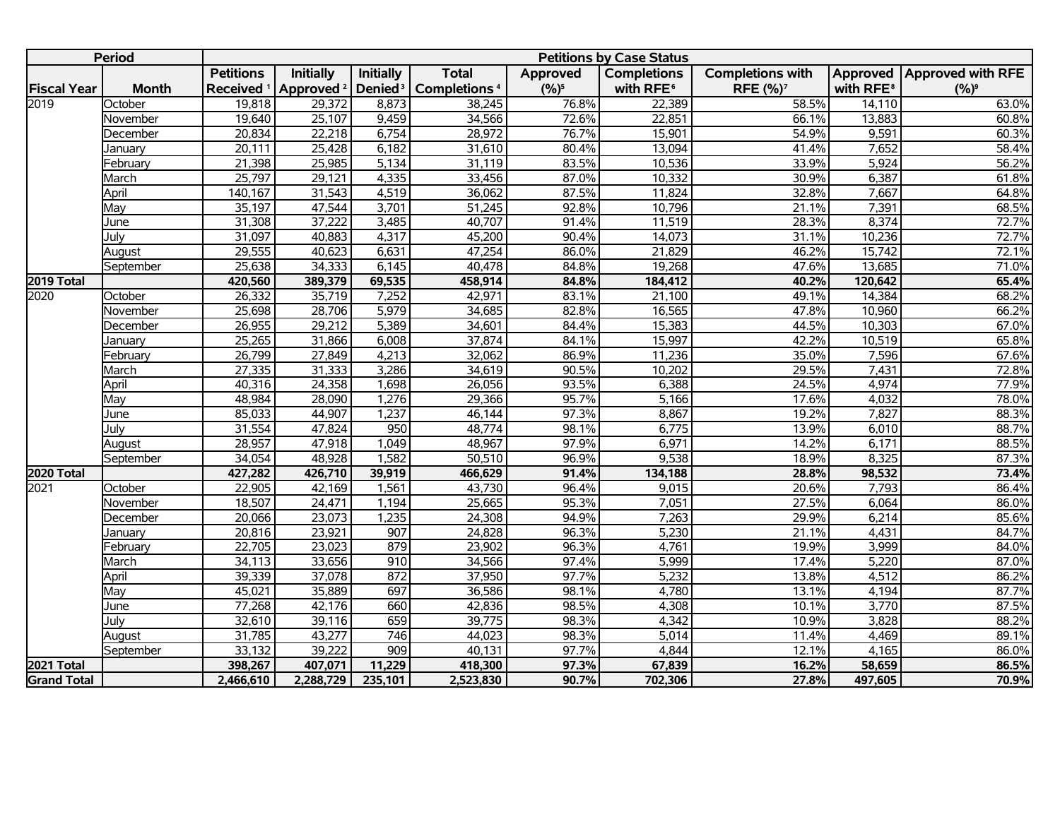|                    | <b>Period</b> |                  |                                             |                     |                          |          | <b>Petitions by Case Status</b> |                         |                       |                              |
|--------------------|---------------|------------------|---------------------------------------------|---------------------|--------------------------|----------|---------------------------------|-------------------------|-----------------------|------------------------------|
|                    |               | <b>Petitions</b> | <b>Initially</b>                            | Initially           | <b>Total</b>             | Approved | <b>Completions</b>              | <b>Completions with</b> |                       | Approved   Approved with RFE |
| <b>Fiscal Year</b> | <b>Month</b>  |                  | Received <sup>1</sup> Approved <sup>2</sup> | Denied <sup>3</sup> | Completions <sup>4</sup> | $(%)^5$  | with RFE <sup>6</sup>           | RFE (%) <sup>7</sup>    | with RFE <sup>8</sup> | $(%)^9$                      |
| 2019               | October       | 19,818           | 29,372                                      | 8,873               | 38,245                   | 76.8%    | 22,389                          | 58.5%                   | 14,110                | 63.0%                        |
|                    | November      | 19,640           | 25,107                                      | 9,459               | 34,566                   | 72.6%    | 22,851                          | 66.1%                   | 13,883                | 60.8%                        |
|                    | December      | 20,834           | 22,218                                      | 6,754               | 28,972                   | 76.7%    | 15,901                          | 54.9%                   | 9,591                 | 60.3%                        |
|                    | January       | 20,111           | 25,428                                      | 6,182               | 31,610                   | 80.4%    | 13,094                          | 41.4%                   | 7,652                 | 58.4%                        |
|                    | February      | 21,398           | 25,985                                      | 5,134               | 31,119                   | 83.5%    | 10,536                          | 33.9%                   | 5,924                 | 56.2%                        |
|                    | March         | 25,797           | 29,121                                      | 4,335               | 33,456                   | 87.0%    | 10,332                          | 30.9%                   | 6,387                 | 61.8%                        |
|                    | April         | 140,167          | 31,543                                      | 4,519               | 36,062                   | 87.5%    | 11,824                          | 32.8%                   | 7,667                 | 64.8%                        |
|                    | May           | 35,197           | 47,544                                      | 3,701               | 51,245                   | 92.8%    | 10,796                          | 21.1%                   | 7,391                 | 68.5%                        |
|                    | June          | 31,308           | 37,222                                      | 3,485               | 40,707                   | 91.4%    | 11,519                          | 28.3%                   | 8,374                 | 72.7%                        |
|                    | July          | 31,097           | 40,883                                      | 4,317               | 45,200                   | 90.4%    | 14,073                          | 31.1%                   | 10,236                | 72.7%                        |
|                    | August        | 29,555           | 40,623                                      | 6,631               | 47,254                   | 86.0%    | 21,829                          | 46.2%                   | 15,742                | 72.1%                        |
|                    | September     | 25,638           | 34,333                                      | 6,145               | 40,478                   | 84.8%    | 19,268                          | 47.6%                   | 13,685                | 71.0%                        |
| 2019 Total         |               | 420,560          | 389,379                                     | 69,535              | 458,914                  | 84.8%    | 184,412                         | 40.2%                   | 120,642               | 65.4%                        |
| 2020               | October       | 26,332           | 35,719                                      | 7,252               | 42,971                   | 83.1%    | 21,100                          | 49.1%                   | 14,384                | 68.2%                        |
|                    | November      | 25,698           | 28,706                                      | 5,979               | 34,685                   | 82.8%    | 16,565                          | 47.8%                   | 10,960                | 66.2%                        |
|                    | December      | 26,955           | 29,212                                      | 5,389               | 34,601                   | 84.4%    | 15,383                          | 44.5%                   | 10,303                | 67.0%                        |
|                    | January       | 25,265           | 31,866                                      | 6,008               | 37,874                   | 84.1%    | 15,997                          | 42.2%                   | 10,519                | 65.8%                        |
|                    | February      | 26,799           | 27,849                                      | 4,213               | 32,062                   | 86.9%    | 11,236                          | 35.0%                   | 7,596                 | 67.6%                        |
|                    | March         | 27,335           | 31,333                                      | 3,286               | 34,619                   | 90.5%    | 10,202                          | 29.5%                   | 7,431                 | 72.8%                        |
|                    | April         | 40,316           | 24,358                                      | 1,698               | 26,056                   | 93.5%    | 6,388                           | 24.5%                   | 4,974                 | 77.9%                        |
|                    | Mav           | 48,984           | 28,090                                      | 1,276               | 29,366                   | 95.7%    | 5,166                           | 17.6%                   | 4,032                 | 78.0%                        |
|                    | June          | 85,033           | 44,907                                      | 1,237               | 46,144                   | 97.3%    | 8,867                           | 19.2%                   | 7,827                 | 88.3%                        |
|                    | July          | 31,554           | 47,824                                      | 950                 | 48,774                   | 98.1%    | 6,775                           | 13.9%                   | 6,010                 | 88.7%                        |
|                    | August        | 28,957           | 47,918                                      | 1,049               | 48,967                   | 97.9%    | 6,971                           | 14.2%                   | 6,171                 | 88.5%                        |
|                    | September     | 34,054           | 48,928                                      | 1,582               | 50,510                   | 96.9%    | 9,538                           | 18.9%                   | 8,325                 | 87.3%                        |
| 2020 Total         |               | 427,282          | 426,710                                     | 39,919              | 466,629                  | 91.4%    | 134,188                         | 28.8%                   | 98,532                | 73.4%                        |
| 2021               | October       | 22,905           | 42,169                                      | 1,561               | 43,730                   | 96.4%    | 9,015                           | 20.6%                   | 7,793                 | 86.4%                        |
|                    | November      | 18,507           | 24,471                                      | 1,194               | 25,665                   | 95.3%    | 7,051                           | 27.5%                   | 6,064                 | 86.0%                        |
|                    | December      | 20,066           | 23,073                                      | 1,235               | 24,308                   | 94.9%    | 7,263                           | 29.9%                   | 6,214                 | 85.6%                        |
|                    | January       | 20,816           | 23,921                                      | 907                 | 24,828                   | 96.3%    | 5,230                           | 21.1%                   | 4,431                 | 84.7%                        |
|                    | February      | 22,705           | 23,023                                      | 879                 | 23,902                   | 96.3%    | 4,761                           | 19.9%                   | 3,999                 | 84.0%                        |
|                    | March         | 34,113           | 33,656                                      | 910                 | 34,566                   | 97.4%    | 5,999                           | 17.4%                   | 5,220                 | 87.0%                        |
|                    | April         | 39,339           | 37,078                                      | 872                 | 37,950                   | 97.7%    | 5,232                           | 13.8%                   | 4,512                 | 86.2%                        |
|                    | May           | 45,021           | 35,889                                      | 697                 | 36,586                   | 98.1%    | 4,780                           | 13.1%                   | 4,194                 | 87.7%                        |
|                    | June          | 77,268           | 42,176                                      | 660                 | 42,836                   | 98.5%    | 4,308                           | 10.1%                   | 3,770                 | 87.5%                        |
|                    | July          | 32,610           | 39,116                                      | 659                 | 39,775                   | 98.3%    | 4,342                           | 10.9%                   | 3,828                 | 88.2%                        |
|                    | August        | 31,785           | 43,277                                      | 746                 | 44,023                   | 98.3%    | 5,014                           | 11.4%                   | 4,469                 | 89.1%                        |
|                    | September     | 33,132           | 39,222                                      | 909                 | 40,131                   | 97.7%    | 4,844                           | 12.1%                   | 4,165                 | 86.0%                        |
| 2021 Total         |               | 398,267          | 407,071                                     | 11,229              | 418,300                  | 97.3%    | 67,839                          | 16.2%                   | 58,659                | 86.5%                        |
| <b>Grand Total</b> |               | 2,466,610        | 2,288,729                                   | 235,101             | 2,523,830                | 90.7%    | 702,306                         | 27.8%                   | 497,605               | 70.9%                        |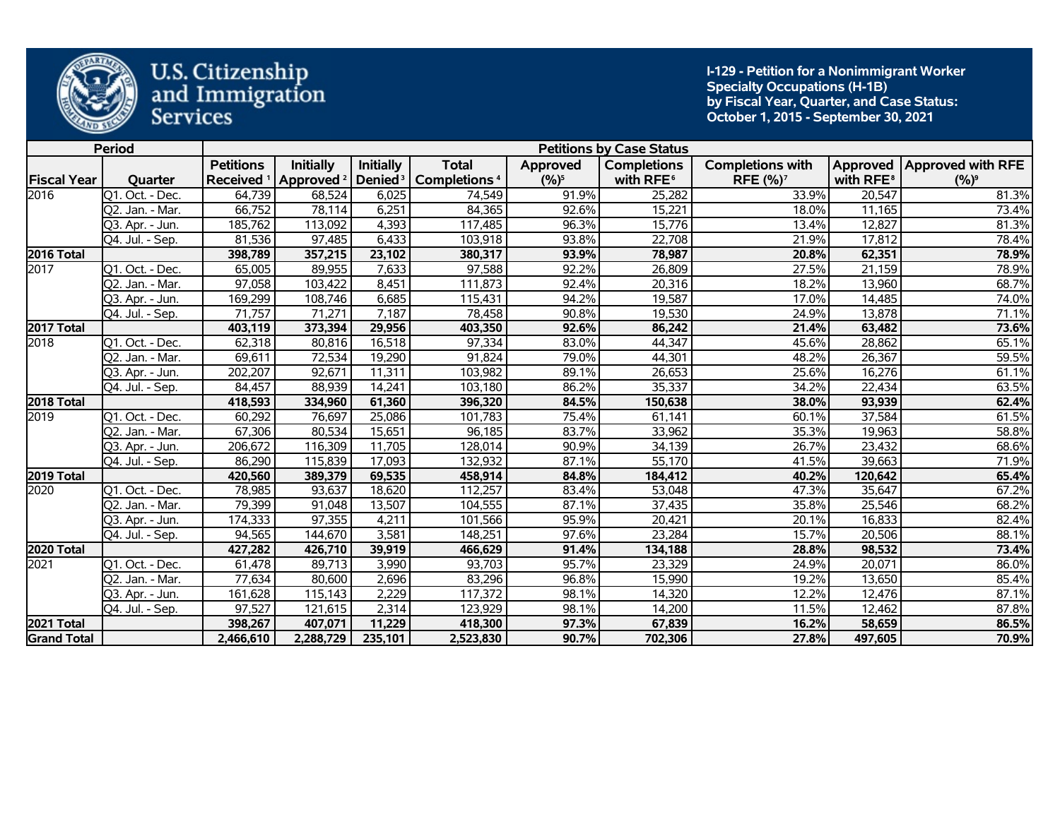

**I-129 - Petition for a Nonimmigrant Worker Specialty Occupations (H-1B) by Fiscal Year, Quarter, and Case Status: October 1, 2015 - September 30, 2021** 

|                    | <b>Period</b>                 |                  |                                               |                     |                          |           | <b>Petitions by Case Status</b> |                            |                       |                              |
|--------------------|-------------------------------|------------------|-----------------------------------------------|---------------------|--------------------------|-----------|---------------------------------|----------------------------|-----------------------|------------------------------|
|                    |                               | <b>Petitions</b> | <b>Initially</b>                              | <b>Initially</b>    | <b>Total</b>             | Approved  | <b>Completions</b>              | <b>Completions with</b>    |                       | Approved   Approved with RFE |
| <b>Fiscal Year</b> | Quarter                       |                  | Received <sup>1</sup>   Approved <sup>2</sup> | Denied <sup>3</sup> | Completions <sup>4</sup> | $(9/6)^5$ | with RFE <sup>6</sup>           | <b>RFE (%)<sup>7</sup></b> | with RFE <sup>8</sup> | $(%)^9$                      |
| 2016               | $\overline{Q1}$ . Oct. - Dec. | 64,739           | 68,524                                        | 6,025               | 74,549                   | 91.9%     | 25,282                          | 33.9%                      | 20,547                | 81.3%                        |
|                    | Q2. Jan. - Mar.               | 66,752           | 78,114                                        | 6,251               | 84,365                   | 92.6%     | 15,221                          | 18.0%                      | 11,165                | 73.4%                        |
|                    | Q3. Apr. - Jun.               | 185,762          | 113,092                                       | 4,393               | 117,485                  | 96.3%     | 15,776                          | 13.4%                      | 12,827                | 81.3%                        |
|                    | $\overline{Q}4.$ Jul. - Sep.  | 81,536           | 97,485                                        | 6,433               | 103,918                  | 93.8%     | 22,708                          | 21.9%                      | 17,812                | 78.4%                        |
| <b>2016 Total</b>  |                               | 398,789          | 357,215                                       | 23,102              | 380,317                  | 93.9%     | 78,987                          | 20.8%                      | 62,351                | 78.9%                        |
| 2017               | Q1. Oct. - Dec.               | 65,005           | 89,955                                        | 7,633               | 97,588                   | 92.2%     | 26,809                          | 27.5%                      | 21,159                | 78.9%                        |
|                    | Q2. Jan. - Mar.               | 97,058           | 103,422                                       | 8,451               | 111,873                  | 92.4%     | 20,316                          | 18.2%                      | 13,960                | 68.7%                        |
|                    | Q3. Apr. - Jun.               | 169,299          | 108,746                                       | 6,685               | 115,431                  | 94.2%     | 19,587                          | 17.0%                      | 14,485                | 74.0%                        |
|                    | Q4. Jul. - Sep.               | 71,757           | 71,271                                        | 7,187               | 78,458                   | 90.8%     | 19,530                          | 24.9%                      | 13,878                | 71.1%                        |
| 2017 Total         |                               | 403,119          | 373,394                                       | 29,956              | 403,350                  | 92.6%     | 86,242                          | 21.4%                      | 63,482                | 73.6%                        |
| 2018               | Q1. Oct. - Dec.               | 62,318           | 80,816                                        | 16,518              | 97,334                   | 83.0%     | 44,347                          | 45.6%                      | 28,862                | 65.1%                        |
|                    | Q2. Jan. - Mar.               | 69,611           | 72,534                                        | 19,290              | 91,824                   | 79.0%     | 44,301                          | 48.2%                      | 26,367                | 59.5%                        |
|                    | Q3. Apr. - Jun.               | 202,207          | 92,671                                        | 11,311              | 103,982                  | 89.1%     | 26,653                          | 25.6%                      | 16,276                | 61.1%                        |
|                    | Q4. Jul. - Sep.               | 84,457           | 88,939                                        | 14,241              | 103,180                  | 86.2%     | 35,337                          | 34.2%                      | 22,434                | 63.5%                        |
| 2018 Total         |                               | 418,593          | 334,960                                       | 61,360              | 396,320                  | 84.5%     | 150,638                         | 38.0%                      | 93,939                | 62.4%                        |
| 2019               | Q1. Oct. - Dec.               | 60,292           | 76,697                                        | 25,086              | 101,783                  | 75.4%     | 61,141                          | 60.1%                      | 37,584                | 61.5%                        |
|                    | Q2. Jan. - Mar.               | 67,306           | 80,534                                        | 15,651              | 96,185                   | 83.7%     | 33,962                          | 35.3%                      | 19,963                | 58.8%                        |
|                    | Q3. Apr. - Jun.               | 206,672          | 116,309                                       | 11,705              | 128,014                  | 90.9%     | 34,139                          | 26.7%                      | 23,432                | 68.6%                        |
|                    | Q4. Jul. - Sep.               | 86,290           | 115,839                                       | 17,093              | 132,932                  | 87.1%     | 55,170                          | 41.5%                      | 39,663                | 71.9%                        |
| 2019 Total         |                               | 420,560          | 389,379                                       | 69,535              | 458,914                  | 84.8%     | 184,412                         | 40.2%                      | 120,642               | 65.4%                        |
| 2020               | Q1. Oct. - Dec.               | 78,985           | 93,637                                        | 18,620              | 112,257                  | 83.4%     | 53,048                          | 47.3%                      | 35,647                | 67.2%                        |
|                    | Q2. Jan. - Mar.               | 79,399           | 91,048                                        | 13,507              | 104,555                  | 87.1%     | 37,435                          | 35.8%                      | 25,546                | 68.2%                        |
|                    | 03. Apr. - Jun.               | 174,333          | 97,355                                        | 4,211               | 101,566                  | 95.9%     | 20,421                          | 20.1%                      | 16,833                | 82.4%                        |
|                    | Q4. Jul. - Sep.               | 94,565           | 144,670                                       | 3,581               | 148,251                  | 97.6%     | 23,284                          | 15.7%                      | 20,506                | 88.1%                        |
| 2020 Total         |                               | 427,282          | 426,710                                       | 39,919              | 466,629                  | 91.4%     | 134,188                         | 28.8%                      | 98,532                | 73.4%                        |
| 2021               | Q1. Oct. - Dec.               | 61,478           | 89,713                                        | 3,990               | 93,703                   | 95.7%     | 23,329                          | 24.9%                      | 20,071                | 86.0%                        |
|                    | Q2. Jan. - Mar.               | 77,634           | 80,600                                        | 2,696               | 83,296                   | 96.8%     | 15,990                          | 19.2%                      | 13,650                | 85.4%                        |
|                    | Q3. Apr. - Jun.               | 161,628          | 115,143                                       | 2,229               | 117,372                  | 98.1%     | 14,320                          | 12.2%                      | 12,476                | 87.1%                        |
|                    | Q4. Jul. - Sep.               | 97,527           | 121,615                                       | 2,314               | 123,929                  | 98.1%     | 14,200                          | 11.5%                      | 12,462                | 87.8%                        |
| 2021 Total         |                               | 398,267          | 407,071                                       | 11,229              | 418,300                  | 97.3%     | 67,839                          | 16.2%                      | 58,659                | 86.5%                        |
| <b>Grand Total</b> |                               | 2,466,610        | 2,288,729                                     | 235,101             | 2,523,830                | 90.7%     | 702,306                         | 27.8%                      | 497,605               | 70.9%                        |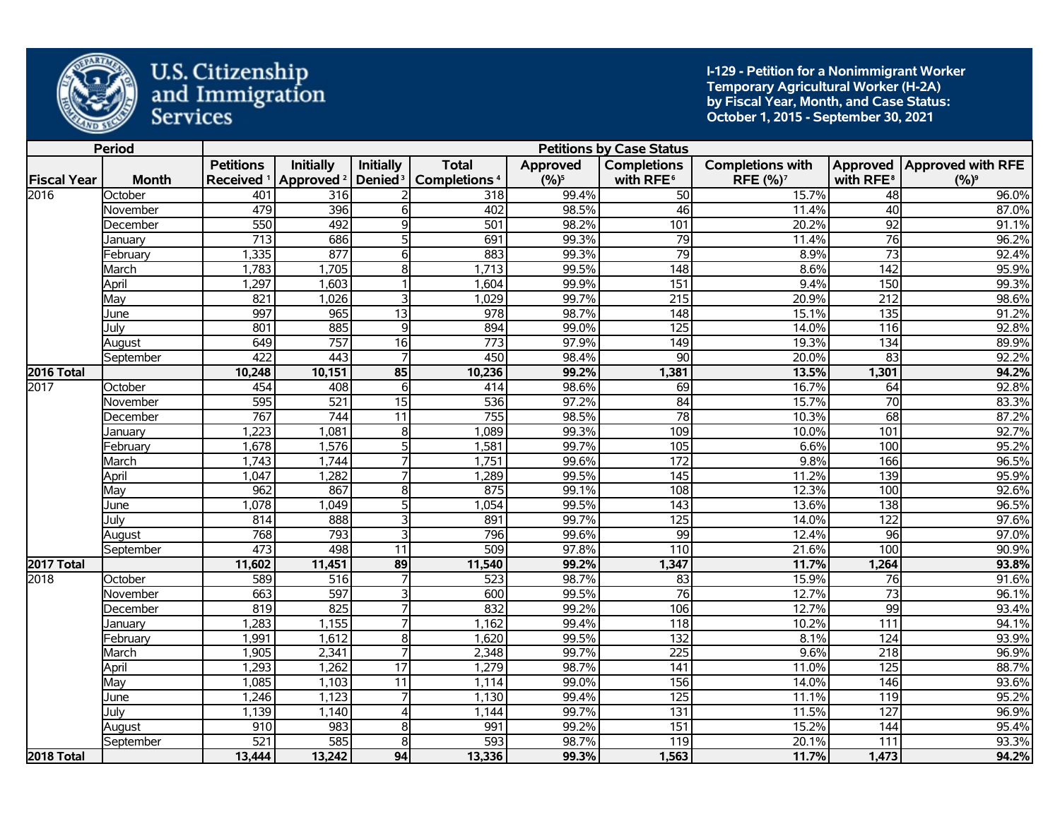

**I-129 - Petition for a Nonimmigrant Worker Temporary Agricultural Worker (H-2A) by Fiscal Year, Month, and Case Status: October 1, 2015 - September 30, 2021** 

|                    | <b>Period</b> |                       |                       |                         |                          |          | <b>Petitions by Case Status</b> |                         |                       |                              |
|--------------------|---------------|-----------------------|-----------------------|-------------------------|--------------------------|----------|---------------------------------|-------------------------|-----------------------|------------------------------|
|                    |               | <b>Petitions</b>      | <b>Initially</b>      | <b>Initially</b>        | <b>Total</b>             | Approved | <b>Completions</b>              | <b>Completions with</b> |                       | Approved   Approved with RFE |
| <b>Fiscal Year</b> | <b>Month</b>  | Received <sup>1</sup> | Approved <sup>2</sup> | Denied <sup>3</sup>     | Completions <sup>4</sup> | $(%)^5$  | with RFE <sup>6</sup>           | RFE (%) <sup>7</sup>    | with RFE <sup>8</sup> | $(%)^9$                      |
| 2016               | October       | 401                   | 316                   |                         | 318                      | 99.4%    | 50                              | 15.7%                   | 48                    | 96.0%                        |
|                    | November      | 479                   | 396                   | $6 \overline{}$         | 402                      | 98.5%    | 46                              | 11.4%                   | 40                    | 87.0%                        |
|                    | December      | 550                   | 492                   | $\overline{9}$          | 501                      | 98.2%    | 101                             | 20.2%                   | $\overline{92}$       | 91.1%                        |
|                    | January       | $\overline{713}$      | 686                   | 5                       | 691                      | 99.3%    | 79                              | 11.4%                   | $\overline{76}$       | 96.2%                        |
|                    | February      | 1,335                 | 877                   | 6                       | 883                      | 99.3%    | 79                              | 8.9%                    | $\overline{73}$       | 92.4%                        |
|                    | March         | 1,783                 | 1,705                 | $\overline{\infty}$     | 1,713                    | 99.5%    | 148                             | 8.6%                    | 142                   | 95.9%                        |
|                    | April         | 1,297                 | 1,603                 |                         | 1,604                    | 99.9%    | 151                             | 9.4%                    | 150                   | 99.3%                        |
|                    | May           | 821                   | 1,026                 | 3                       | 1,029                    | 99.7%    | $\overline{215}$                | 20.9%                   | $\overline{212}$      | 98.6%                        |
|                    | June          | 997                   | 965                   | $\overline{13}$         | $\overline{978}$         | 98.7%    | 148                             | 15.1%                   | 135                   | 91.2%                        |
|                    | July          | 801                   | 885                   | $\overline{9}$          | 894                      | 99.0%    | 125                             | 14.0%                   | $\frac{116}{116}$     | 92.8%                        |
|                    | August        | 649                   | 757                   | 16                      | $\frac{1}{773}$          | 97.9%    | $\overline{149}$                | 19.3%                   | 134                   | 89.9%                        |
|                    | September     | 422                   | 443                   |                         | 450                      | 98.4%    | 90                              | 20.0%                   | $\overline{83}$       | 92.2%                        |
| 2016 Total         |               | 10,248                | 10,151                | 85                      | 10,236                   | 99.2%    | 1,381                           | 13.5%                   | 1,301                 | 94.2%                        |
| 2017               | October       | 454                   | 408                   | 6                       | 414                      | 98.6%    | 69                              | 16.7%                   | 64                    | 92.8%                        |
|                    | November      | 595                   | 521                   | $\overline{15}$         | 536                      | 97.2%    | $\overline{84}$                 | 15.7%                   | $\overline{70}$       | 83.3%                        |
|                    | December      | 767                   | 744                   | $\overline{11}$         | 755                      | 98.5%    | $\overline{78}$                 | 10.3%                   | 68                    | 87.2%                        |
|                    | Januarv       | 1,223                 | 1,081                 | $\overline{8}$          | 1,089                    | 99.3%    | 109                             | 10.0%                   | 101                   | 92.7%                        |
|                    | February      | 1,678                 | 1,576                 | 5 <sup>1</sup>          | 1,581                    | 99.7%    | 105                             | 6.6%                    | 100                   | 95.2%                        |
|                    | March         | 1,743                 | 1,744                 | $\overline{7}$          | 1,751                    | 99.6%    | 172                             | 9.8%                    | 166                   | 96.5%                        |
|                    | April         | 1,047                 | 1,282                 |                         | 1,289                    | 99.5%    | $\overline{145}$                | 11.2%                   | 139                   | 95.9%                        |
|                    | Mav           | 962                   | 867                   | 8 <sup>1</sup>          | 875                      | 99.1%    | 108                             | 12.3%                   | 100                   | 92.6%                        |
|                    | June          | 1,078                 | 1,049                 | 5 <sup>1</sup>          | 1,054                    | 99.5%    | $\overline{143}$                | 13.6%                   | $\overline{138}$      | 96.5%                        |
|                    | Julv          | 814                   | 888                   | 3                       | 891                      | 99.7%    | 125                             | 14.0%                   | 122                   | 97.6%                        |
|                    | August        | 768                   | 793                   | 3                       | 796                      | 99.6%    | 99                              | 12.4%                   | 96                    | 97.0%                        |
|                    | September     | 473                   | 498                   | 11                      | 509                      | 97.8%    | 110                             | 21.6%                   | 100                   | 90.9%                        |
| 2017 Total         |               | 11,602                | 11,451                | 89                      | 11,540                   | 99.2%    | 1,347                           | 11.7%                   | 1,264                 | 93.8%                        |
| 2018               | October       | 589                   | 516                   |                         | 523                      | 98.7%    | 83                              | 15.9%                   | 76                    | 91.6%                        |
|                    | November      | 663                   | 597                   | $\overline{\mathbf{3}}$ | 600                      | 99.5%    | 76                              | 12.7%                   | $\overline{73}$       | 96.1%                        |
|                    | December      | 819                   | 825                   |                         | 832                      | 99.2%    | 106                             | 12.7%                   | $\overline{99}$       | 93.4%                        |
|                    | Januarv       | 1,283                 | 1,155                 | $\overline{7}$          | 1,162                    | 99.4%    | 118                             | 10.2%                   | 111                   | 94.1%                        |
|                    | February      | 1,991                 | 1,612                 | $\overline{\infty}$     | 1,620                    | 99.5%    | $\overline{132}$                | 8.1%                    | 124                   | 93.9%                        |
|                    | March         | 1,905                 | 2,341                 |                         | 2,348                    | 99.7%    | $\overline{225}$                | 9.6%                    | 218                   | 96.9%                        |
|                    | April         | 1,293                 | 1,262                 | $\overline{17}$         | 1,279                    | 98.7%    | $\overline{141}$                | 11.0%                   | $\overline{125}$      | 88.7%                        |
|                    | May           | 1,085                 | 1,103                 | $\overline{11}$         | 1,114                    | 99.0%    | 156                             | 14.0%                   | $\overline{146}$      | 93.6%                        |
|                    | June          | 1,246                 | 1,123                 | $\overline{7}$          | 1,130                    | 99.4%    | 125                             | 11.1%                   | 119                   | 95.2%                        |
|                    | July          | 1,139                 | 1,140                 | $\overline{4}$          | 1,144                    | 99.7%    | 131                             | 11.5%                   | 127                   | 96.9%                        |
|                    | August        | 910                   | 983                   | $\overline{8}$          | 991                      | 99.2%    | 151                             | 15.2%                   | 144                   | 95.4%                        |
|                    | September     | $\overline{521}$      | 585                   | 8                       | 593                      | 98.7%    | 119                             | 20.1%                   | $\overline{111}$      | 93.3%                        |
| 2018 Total         |               | 13,444                | 13,242                | 94                      | 13,336                   | 99.3%    | 1,563                           | 11.7%                   | 1,473                 | 94.2%                        |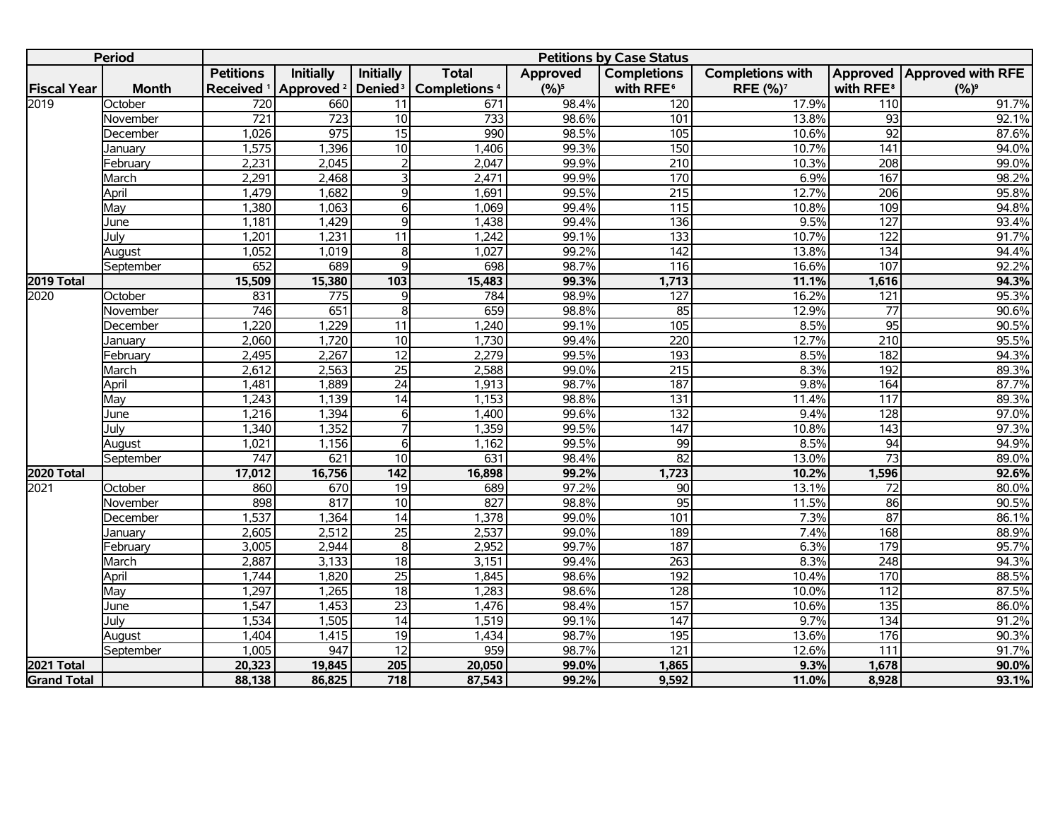|                    | <b>Period</b> |                  |                                             |                     |                          |           | <b>Petitions by Case Status</b> |                         |                       |                            |
|--------------------|---------------|------------------|---------------------------------------------|---------------------|--------------------------|-----------|---------------------------------|-------------------------|-----------------------|----------------------------|
|                    |               | <b>Petitions</b> | Initially                                   | Initially           | <b>Total</b>             | Approved  | <b>Completions</b>              | <b>Completions with</b> |                       | Approved Approved with RFE |
| <b>Fiscal Year</b> | <b>Month</b>  |                  | Received <sup>1</sup> Approved <sup>2</sup> | Denied <sup>3</sup> | Completions <sup>4</sup> | $(9/6)^5$ | with RFE <sup>6</sup>           | RFE (%) <sup>7</sup>    | with RFE <sup>8</sup> | $(%)^9$                    |
| 2019               | October       | 720              | 660                                         | 11                  | 671                      | 98.4%     | 120                             | 17.9%                   | 110                   | 91.7%                      |
|                    | November      | $\overline{721}$ | $\overline{723}$                            | 10                  | $\overline{733}$         | 98.6%     | 101                             | 13.8%                   | 93                    | 92.1%                      |
|                    | December      | 1,026            | 975                                         | $\overline{15}$     | 990                      | 98.5%     | 105                             | 10.6%                   | $\overline{92}$       | 87.6%                      |
|                    | Januarv       | 1,575            | 1,396                                       | 10                  | 1,406                    | 99.3%     | 150                             | 10.7%                   | 141                   | 94.0%                      |
|                    | February      | 2,231            | 2,045                                       | $\overline{2}$      | 2,047                    | 99.9%     | $\overline{210}$                | 10.3%                   | $\overline{208}$      | 99.0%                      |
|                    | March         | 2,291            | 2,468                                       | $\overline{3}$      | 2,471                    | 99.9%     | 170                             | 6.9%                    | 167                   | 98.2%                      |
|                    | April         | 1,479            | 1,682                                       | $\overline{9}$      | 1,691                    | 99.5%     | $\overline{215}$                | 12.7%                   | $\overline{206}$      | 95.8%                      |
|                    | May           | 1,380            | 1,063                                       | $\overline{6}$      | 1,069                    | 99.4%     | $\overline{115}$                | 10.8%                   | 109                   | 94.8%                      |
|                    | June          | 1,181            | 1,429                                       | $\overline{9}$      | 1,438                    | 99.4%     | $\overline{136}$                | 9.5%                    | 127                   | 93.4%                      |
|                    | Julv          | 1,201            | 1,231                                       | $\overline{11}$     | 1,242                    | 99.1%     | $\overline{133}$                | 10.7%                   | 122                   | 91.7%                      |
|                    | August        | 1,052            | 1,019                                       | $\overline{8}$      | 1,027                    | 99.2%     | $\overline{142}$                | 13.8%                   | $\frac{134}{x}$       | 94.4%                      |
|                    | September     | 652              | 689                                         | q                   | 698                      | 98.7%     | 116                             | 16.6%                   | 107                   | 92.2%                      |
| 2019 Total         |               | 15,509           | 15,380                                      | 103                 | 15,483                   | 99.3%     | 1,713                           | 11.1%                   | 1,616                 | 94.3%                      |
| 2020               | October       | 831              | $\overline{775}$                            | 9                   | 784                      | 98.9%     | 127                             | 16.2%                   | 121                   | 95.3%                      |
|                    | November      | 746              | 651                                         | $\overline{8}$      | 659                      | 98.8%     | 85                              | 12.9%                   | $\overline{77}$       | 90.6%                      |
|                    | December      | 1,220            | 1,229                                       | $\overline{11}$     | 1,240                    | 99.1%     | 105                             | 8.5%                    | 95                    | 90.5%                      |
|                    | January       | 2,060            | 1,720                                       | $\overline{10}$     | 1,730                    | 99.4%     | 220                             | 12.7%                   | $\overline{210}$      | 95.5%                      |
|                    | Februarv      | 2,495            | 2,267                                       | $\overline{12}$     | 2,279                    | 99.5%     | 193                             | 8.5%                    | 182                   | 94.3%                      |
|                    | March         | 2,612            | 2,563                                       | $\overline{25}$     | 2,588                    | 99.0%     | $\overline{215}$                | 8.3%                    | 192                   | 89.3%                      |
|                    | April         | 1,481            | 1,889                                       | $\overline{24}$     | 1,913                    | 98.7%     | 187                             | 9.8%                    | 164                   | 87.7%                      |
|                    | Mav           | 1,243            | 1,139                                       | $\overline{14}$     | 1,153                    | 98.8%     | $\overline{131}$                | 11.4%                   | $\overline{117}$      | 89.3%                      |
|                    | June          | 1,216            | 1,394                                       | $\overline{6}$      | 1,400                    | 99.6%     | $\overline{132}$                | 9.4%                    | $\overline{128}$      | 97.0%                      |
|                    | Julv          | 1,340            | 1,352                                       | $\overline{7}$      | 1,359                    | 99.5%     | $\overline{147}$                | 10.8%                   | $\overline{143}$      | 97.3%                      |
|                    | August        | 1,021            | 1,156                                       | $\overline{6}$      | 1,162                    | 99.5%     | 99                              | 8.5%                    | 94                    | 94.9%                      |
|                    | September     | 747              | 621                                         | $\overline{10}$     | 631                      | 98.4%     | 82                              | 13.0%                   | $\overline{73}$       | 89.0%                      |
| 2020 Total         |               | 17,012           | 16,756                                      | $\frac{1}{142}$     | 16,898                   | 99.2%     | 1,723                           | 10.2%                   | 1,596                 | 92.6%                      |
| 2021               | October       | 860              | 670                                         | 19                  | 689                      | 97.2%     | 90                              | 13.1%                   | $\overline{72}$       | 80.0%                      |
|                    | November      | 898              | 817                                         | $\overline{10}$     | 827                      | 98.8%     | 95                              | 11.5%                   | 86                    | 90.5%                      |
|                    | December      | 1,537            | 1,364                                       | $\overline{14}$     | 1,378                    | 99.0%     | 101                             | 7.3%                    | $\overline{87}$       | 86.1%                      |
|                    | January       | 2,605            | 2,512                                       | $\overline{25}$     | 2,537                    | 99.0%     | 189                             | 7.4%                    | 168                   | 88.9%                      |
|                    | February      | 3,005            | 2,944                                       | $\overline{8}$      | 2,952                    | 99.7%     | 187                             | 6.3%                    | 179                   | 95.7%                      |
|                    | March         | 2,887            | 3,133                                       | $\overline{18}$     | 3,151                    | 99.4%     | $\overline{263}$                | 8.3%                    | 248                   | 94.3%                      |
|                    | April         | 1,744            | 1,820                                       | $\overline{25}$     | 1,845                    | 98.6%     | 192                             | 10.4%                   | 170                   | 88.5%                      |
|                    | May           | 1,297            | 1,265                                       | $\overline{18}$     | 1,283                    | 98.6%     | 128                             | 10.0%                   | 112                   | 87.5%                      |
|                    | June          | 1,547            | 1,453                                       | $\overline{23}$     | 1,476                    | 98.4%     | 157                             | 10.6%                   | $\overline{135}$      | 86.0%                      |
|                    | Julv          | 1,534            | 1,505                                       | $\overline{14}$     | 1,519                    | 99.1%     | 147                             | 9.7%                    | 134                   | 91.2%                      |
|                    | August        | 1,404            | 1,415                                       | $\overline{19}$     | 1,434                    | 98.7%     | 195                             | 13.6%                   | 176                   | 90.3%                      |
|                    | September     | 1,005            | 947                                         | $\overline{12}$     | 959                      | 98.7%     | 121                             | 12.6%                   | 111                   | 91.7%                      |
| 2021 Total         |               | 20,323           | 19,845                                      | 205                 | 20,050                   | 99.0%     | 1,865                           | 9.3%                    | 1,678                 | 90.0%                      |
| <b>Grand Total</b> |               | 88,138           | 86,825                                      | 718                 | 87,543                   | 99.2%     | 9,592                           | 11.0%                   | 8,928                 | 93.1%                      |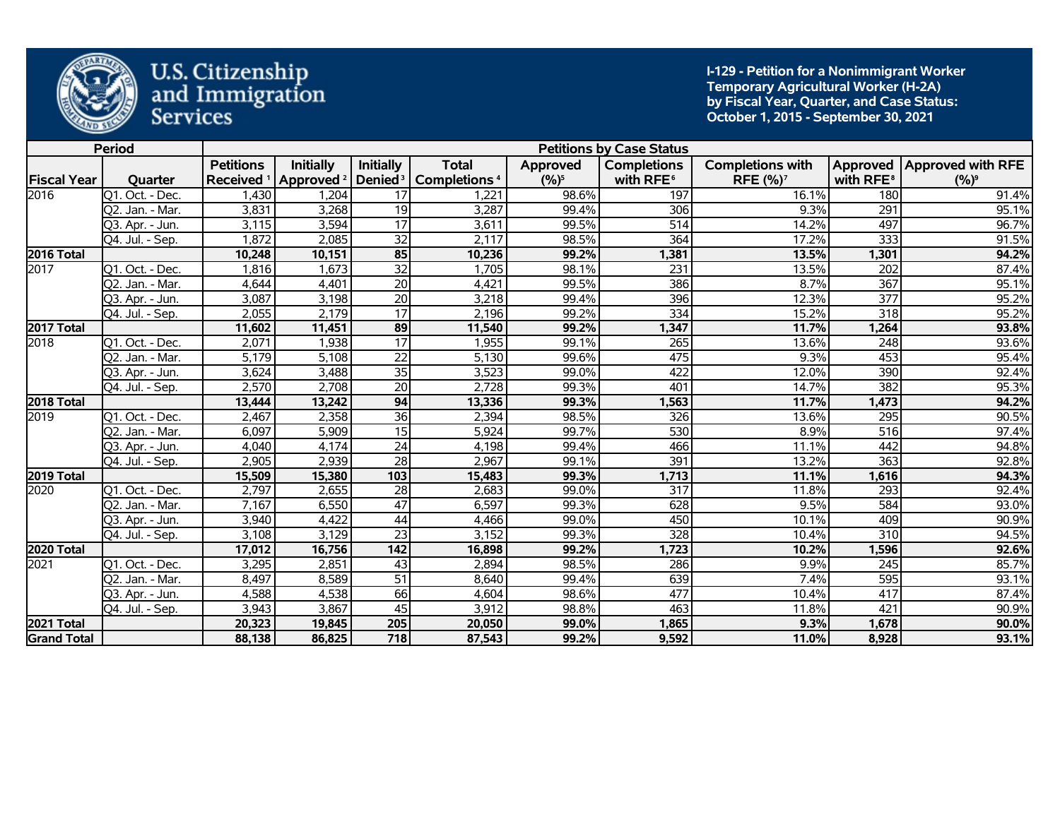

**I-129 - Petition for a Nonimmigrant Worker Temporary Agricultural Worker (H-2A) by Fiscal Year, Quarter, and Case Status: October 1, 2015 - September 30, 2021** 

|                    | <b>Period</b>   |                  |                                             |                  |                                                |           | <b>Petitions by Case Status</b> |                            |                       |                              |
|--------------------|-----------------|------------------|---------------------------------------------|------------------|------------------------------------------------|-----------|---------------------------------|----------------------------|-----------------------|------------------------------|
|                    |                 | <b>Petitions</b> | <b>Initially</b>                            | <b>Initially</b> | <b>Total</b>                                   | Approved  | <b>Completions</b>              | <b>Completions with</b>    |                       | Approved   Approved with RFE |
| <b>Fiscal Year</b> | Quarter         |                  | Received <sup>1</sup> Approved <sup>2</sup> |                  | Denied <sup>3</sup>   Completions <sup>4</sup> | $(9/6)^5$ | with RFE <sup>6</sup>           | <b>RFE (%)<sup>7</sup></b> | with RFE <sup>8</sup> | $(%)^9$                      |
| 2016               | Q1. Oct. - Dec. | 1,430            | 1,204                                       | 17               | 1.221                                          | 98.6%     | 197                             | 16.1%                      | 180                   | 91.4%                        |
|                    | Q2. Jan. - Mar. | 3,831            | 3,268                                       | 19               | 3,287                                          | 99.4%     | 306                             | 9.3%                       | 291                   | 95.1%                        |
|                    | Q3. Apr. - Jun. | 3,115            | 3,594                                       | 17               | 3,611                                          | 99.5%     | 514                             | 14.2%                      | 497                   | 96.7%                        |
|                    | Q4. Jul. - Sep. | 1,872            | 2,085                                       | 32               | 2,117                                          | 98.5%     | 364                             | 17.2%                      | 333                   | 91.5%                        |
| <b>2016 Total</b>  |                 | 10,248           | 10,151                                      | 85               | 10,236                                         | 99.2%     | 1,381                           | 13.5%                      | 1,301                 | 94.2%                        |
| 2017               | Q1. Oct. - Dec. | 1,816            | 1,673                                       | $\overline{32}$  | 1,705                                          | 98.1%     | 231                             | 13.5%                      | 202                   | 87.4%                        |
|                    | Q2. Jan. - Mar. | 4,644            | 4,401                                       | $\overline{20}$  | 4,421                                          | 99.5%     | 386                             | 8.7%                       | 367                   | 95.1%                        |
|                    | Q3. Apr. - Jun. | 3,087            | 3,198                                       | $\overline{20}$  | 3,218                                          | 99.4%     | 396                             | 12.3%                      | $\overline{377}$      | 95.2%                        |
|                    | Q4. Jul. - Sep. | 2,055            | 2,179                                       | 17               | 2,196                                          | 99.2%     | 334                             | 15.2%                      | 318                   | 95.2%                        |
| 2017 Total         |                 | 11,602           | 11,451                                      | 89               | 11,540                                         | 99.2%     | 1,347                           | 11.7%                      | 1,264                 | 93.8%                        |
| 2018               | Q1. Oct. - Dec. | 2,071            | 1,938                                       | $\overline{17}$  | 1,955                                          | 99.1%     | $\overline{265}$                | 13.6%                      | 248                   | 93.6%                        |
|                    | Q2. Jan. - Mar. | 5,179            | 5,108                                       | $\overline{22}$  | 5,130                                          | 99.6%     | 475                             | 9.3%                       | 453                   | 95.4%                        |
|                    | Q3. Apr. - Jun. | 3,624            | 3,488                                       | 35               | 3,523                                          | 99.0%     | 422                             | 12.0%                      | 390                   | 92.4%                        |
|                    | Q4. Jul. - Sep. | 2,570            | 2,708                                       | $\overline{20}$  | 2,728                                          | 99.3%     | 401                             | 14.7%                      | 382                   | 95.3%                        |
| 2018 Total         |                 | 13,444           | 13,242                                      | 94               | 13,336                                         | 99.3%     | 1,563                           | 11.7%                      | 1,473                 | 94.2%                        |
| 2019               | Q1. Oct. - Dec. | 2,467            | 2,358                                       | 36               | 2,394                                          | 98.5%     | 326                             | 13.6%                      | 295                   | 90.5%                        |
|                    | Q2. Jan. - Mar. | 6,097            | 5,909                                       | $\overline{15}$  | 5,924                                          | 99.7%     | 530                             | 8.9%                       | 516                   | 97.4%                        |
|                    | Q3. Apr. - Jun. | 4,040            | 4,174                                       | $\overline{24}$  | 4,198                                          | 99.4%     | 466                             | 11.1%                      | 442                   | 94.8%                        |
|                    | Q4. Jul. - Sep. | 2,905            | 2,939                                       | $\overline{28}$  | 2,967                                          | 99.1%     | 391                             | 13.2%                      | 363                   | 92.8%                        |
| 2019 Total         |                 | 15,509           | 15,380                                      | $\boxed{103}$    | 15,483                                         | 99.3%     | 1,713                           | 11.1%                      | 1,616                 | 94.3%                        |
| 2020               | Q1. Oct. - Dec. | 2,797            | 2,655                                       | $\overline{28}$  | 2,683                                          | 99.0%     | 317                             | 11.8%                      | 293                   | 92.4%                        |
|                    | Q2. Jan. - Mar. | 7,167            | 6,550                                       | $\overline{47}$  | 6,597                                          | 99.3%     | 628                             | 9.5%                       | 584                   | 93.0%                        |
|                    | 03. Apr. - Jun. | 3,940            | 4,422                                       | 44               | 4,466                                          | 99.0%     | 450                             | 10.1%                      | 409                   | 90.9%                        |
|                    | Q4. Jul. - Sep. | 3,108            | 3,129                                       | $\overline{23}$  | 3,152                                          | 99.3%     | 328                             | 10.4%                      | $\overline{310}$      | 94.5%                        |
| 2020 Total         |                 | 17,012           | 16,756                                      | 142              | 16,898                                         | 99.2%     | 1,723                           | 10.2%                      | 1,596                 | 92.6%                        |
| 2021               | Q1. Oct. - Dec. | 3,295            | 2,851                                       | 43               | 2,894                                          | 98.5%     | 286                             | 9.9%                       | $\overline{245}$      | 85.7%                        |
|                    | Q2. Jan. - Mar. | 8,497            | 8,589                                       | $\overline{51}$  | 8,640                                          | 99.4%     | 639                             | 7.4%                       | 595                   | 93.1%                        |
|                    | Q3. Apr. - Jun. | 4,588            | 4,538                                       | 66               | 4,604                                          | 98.6%     | 477                             | 10.4%                      | 417                   | 87.4%                        |
|                    | Q4. Jul. - Sep. | 3,943            | 3,867                                       | 45               | 3,912                                          | 98.8%     | 463                             | 11.8%                      | 421                   | 90.9%                        |
| 2021 Total         |                 | 20,323           | 19,845                                      | 205              | 20,050                                         | 99.0%     | 1,865                           | 9.3%                       | 1,678                 | 90.0%                        |
| <b>Grand Total</b> |                 | 88,138           | 86,825                                      | 718              | 87,543                                         | 99.2%     | 9,592                           | 11.0%                      | 8,928                 | 93.1%                        |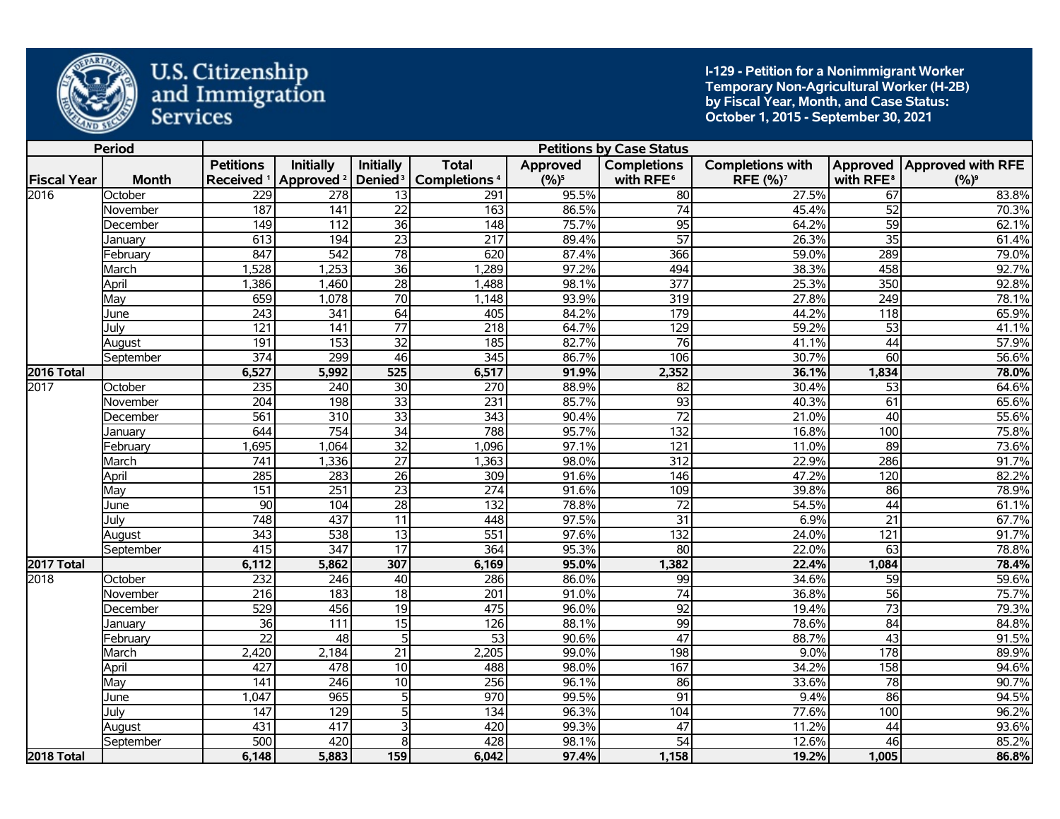

**I-129 - Petition for a Nonimmigrant Worker Temporary Non-Agricultural Worker (H-2B) by Fiscal Year, Month, and Case Status: October 1, 2015 - September 30, 2021** 

|                    | <b>Period</b> |                  |                                             |                         |                          |          | <b>Petitions by Case Status</b> |                         |                       |                              |
|--------------------|---------------|------------------|---------------------------------------------|-------------------------|--------------------------|----------|---------------------------------|-------------------------|-----------------------|------------------------------|
|                    |               | <b>Petitions</b> | <b>Initially</b>                            | <b>Initially</b>        | <b>Total</b>             | Approved | <b>Completions</b>              | <b>Completions with</b> |                       | Approved   Approved with RFE |
| <b>Fiscal Year</b> | <b>Month</b>  |                  | Received <sup>1</sup> Approved <sup>2</sup> | Denied <sup>3</sup>     | Completions <sup>4</sup> | $(%)^5$  | with RFE <sup>6</sup>           | RFE (%) <sup>7</sup>    | with RFE <sup>8</sup> | $(%)^9$                      |
| 2016               | October       | 229              | 278                                         | 13                      | 291                      | 95.5%    | 80                              | 27.5%                   | 67                    | 83.8%                        |
|                    | November      | 187              | 141                                         | $\overline{22}$         | 163                      | 86.5%    | $\overline{74}$                 | 45.4%                   | $\overline{52}$       | 70.3%                        |
|                    | December      | 149              | $\overline{112}$                            | $\overline{36}$         | 148                      | 75.7%    | 95                              | 64.2%                   | 59                    | 62.1%                        |
|                    | January       | 613              | 194                                         | $\overline{23}$         | $\overline{217}$         | 89.4%    | 57                              | 26.3%                   | $\overline{35}$       | 61.4%                        |
|                    | February      | 847              | $\overline{542}$                            | $\overline{78}$         | 620                      | 87.4%    | 366                             | 59.0%                   | 289                   | 79.0%                        |
|                    | March         | 1,528            | 1,253                                       | $\overline{36}$         | 1,289                    | 97.2%    | 494                             | 38.3%                   | 458                   | 92.7%                        |
|                    | April         | 1,386            | 1,460                                       | $\overline{28}$         | 1,488                    | 98.1%    | 377                             | 25.3%                   | 350                   | 92.8%                        |
|                    | May           | 659              | 1,078                                       | $\overline{70}$         | 1,148                    | 93.9%    | 319                             | 27.8%                   | 249                   | 78.1%                        |
|                    | June          | 243              | 341                                         | 64                      | 405                      | 84.2%    | 179                             | 44.2%                   | 118                   | 65.9%                        |
|                    | July          | 121              | $\overline{141}$                            | $\overline{77}$         | $\overline{218}$         | 64.7%    | 129                             | 59.2%                   | $\overline{53}$       | 41.1%                        |
|                    | August        | 191              | 153                                         | $\overline{32}$         | 185                      | 82.7%    | 76                              | 41.1%                   | 44                    | 57.9%                        |
|                    | September     | $\overline{374}$ | 299                                         | 46                      | $\overline{345}$         | 86.7%    | 106                             | 30.7%                   | 60                    | 56.6%                        |
| 2016 Total         |               | 6,527            | 5,992                                       | 525                     | 6,517                    | 91.9%    | 2,352                           | 36.1%                   | 1,834                 | 78.0%                        |
| 2017               | October       | 235              | 240                                         | $\overline{30}$         | 270                      | 88.9%    | 82                              | 30.4%                   | 53                    | 64.6%                        |
|                    | November      | $\overline{204}$ | 198                                         | $\overline{33}$         | 231                      | 85.7%    | $\overline{93}$                 | 40.3%                   | $\overline{61}$       | 65.6%                        |
|                    | December      | 561              | 310                                         | $\overline{33}$         | $\overline{343}$         | 90.4%    | $\overline{72}$                 | 21.0%                   | 40                    | 55.6%                        |
|                    | Januarv       | 644              | 754                                         | $\overline{34}$         | 788                      | 95.7%    | $\overline{132}$                | 16.8%                   | 100                   | 75.8%                        |
|                    | February      | ,695             | 1,064                                       | $\overline{32}$         | 1,096                    | 97.1%    | 121                             | 11.0%                   | 89                    | 73.6%                        |
|                    | March         | 741              | 1,336                                       | $\overline{27}$         | 1,363                    | 98.0%    | $\overline{312}$                | 22.9%                   | 286                   | 91.7%                        |
|                    | April         | 285              | 283                                         | $\overline{26}$         | 309                      | 91.6%    | 146                             | 47.2%                   | 120                   | 82.2%                        |
|                    | Mav           | 151              | $\overline{251}$                            | $\overline{23}$         | $\overline{274}$         | 91.6%    | 109                             | 39.8%                   | 86                    | 78.9%                        |
|                    | June          | 90               | 104                                         | $\overline{28}$         | $\overline{132}$         | 78.8%    | $\overline{72}$                 | 54.5%                   | $\overline{44}$       | 61.1%                        |
|                    | Julv          | 748              | 437                                         | 11                      | 448                      | 97.5%    | 31                              | 6.9%                    | $\overline{21}$       | 67.7%                        |
|                    | August        | $\overline{343}$ | 538                                         | $\overline{13}$         | $\overline{551}$         | 97.6%    | 132                             | 24.0%                   | 121                   | 91.7%                        |
|                    | September     | 415              | 347                                         | $\overline{17}$         | 364                      | 95.3%    | 80                              | 22.0%                   | 63                    | 78.8%                        |
| <b>2017 Total</b>  |               | 6,112            | 5,862                                       | 307                     | 6,169                    | 95.0%    | 1,382                           | 22.4%                   | 1,084                 | 78.4%                        |
| 2018               | October       | 232              | 246                                         | 40                      | 286                      | 86.0%    | 99                              | 34.6%                   | 59                    | 59.6%                        |
|                    | November      | 216              | $\frac{1}{183}$                             | $\overline{18}$         | $\overline{201}$         | 91.0%    | $\overline{74}$                 | 36.8%                   | 56                    | 75.7%                        |
|                    | December      | 529              | 456                                         | 19                      | 475                      | 96.0%    | 92                              | 19.4%                   | $\overline{73}$       | 79.3%                        |
|                    | Januarv       | $\overline{36}$  | $\overline{111}$                            | $\overline{15}$         | 126                      | 88.1%    | 99                              | 78.6%                   | 84                    | 84.8%                        |
|                    | February      | $\overline{22}$  | $\overline{48}$                             | 5                       | $\overline{53}$          | 90.6%    | $\overline{47}$                 | 88.7%                   | $\overline{43}$       | 91.5%                        |
|                    | March         | 2,420            | 2,184                                       | $\overline{21}$         | 2,205                    | 99.0%    | 198                             | 9.0%                    | 178                   | 89.9%                        |
|                    | April         | 427              | 478                                         | $\overline{10}$         | 488                      | 98.0%    | 167                             | 34.2%                   | 158                   | 94.6%                        |
|                    | May           | 141              | $\overline{246}$                            | $\overline{10}$         | 256                      | 96.1%    | 86                              | 33.6%                   | $\overline{78}$       | 90.7%                        |
|                    | June          | 1,047            | 965                                         | $\overline{5}$          | 970                      | 99.5%    | $\overline{91}$                 | 9.4%                    | 86                    | 94.5%                        |
|                    | July          | $\overline{147}$ | 129                                         | 5                       | 134                      | 96.3%    | 104                             | 77.6%                   | 100                   | 96.2%                        |
|                    | August        | 431              | 417                                         | $\overline{\mathbf{3}}$ | 420                      | 99.3%    | $\overline{47}$                 | 11.2%                   | $\overline{44}$       | 93.6%                        |
|                    | September     | 500              | 420                                         | œ.                      | 428                      | 98.1%    | $\overline{54}$                 | 12.6%                   | 46                    | 85.2%                        |
| 2018 Total         |               | 6,148            | 5,883                                       | 159                     | 6,042                    | 97.4%    | 1,158                           | 19.2%                   | 1,005                 | 86.8%                        |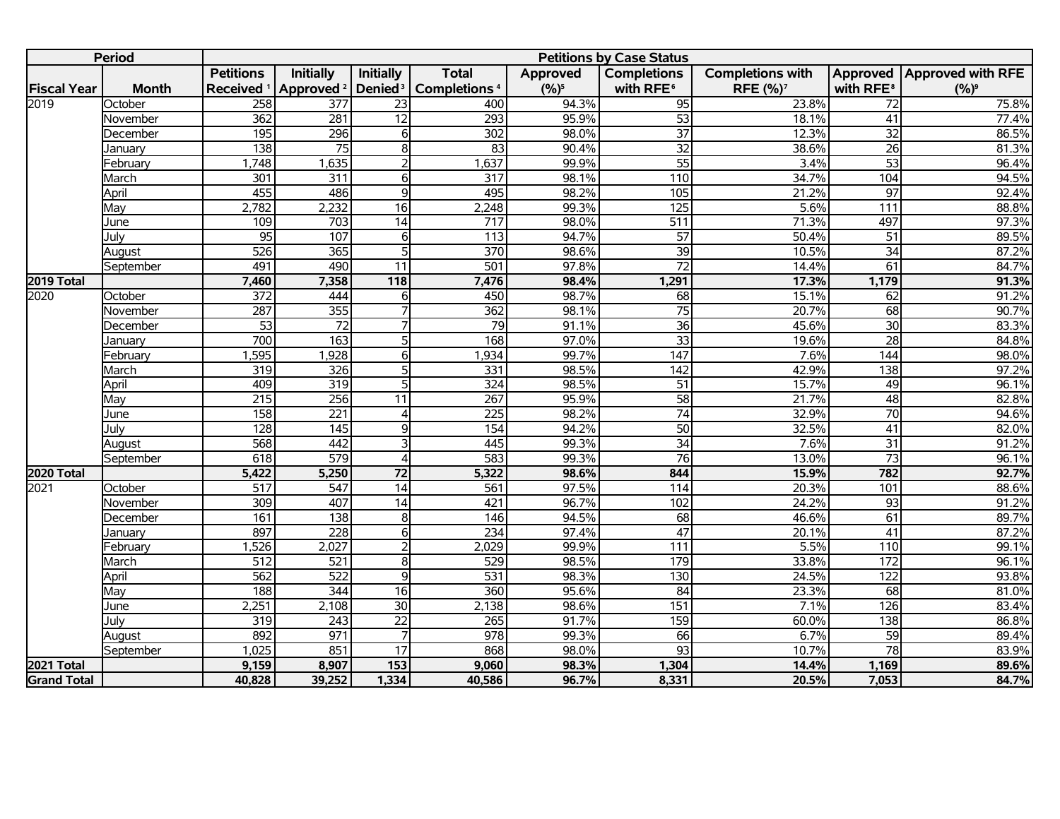|                    | <b>Period</b> |                       |                                           |                  |                          |          | <b>Petitions by Case Status</b> |                         |                       |                            |
|--------------------|---------------|-----------------------|-------------------------------------------|------------------|--------------------------|----------|---------------------------------|-------------------------|-----------------------|----------------------------|
|                    |               | <b>Petitions</b>      | <b>Initially</b>                          | <b>Initially</b> | <b>Total</b>             | Approved | <b>Completions</b>              | <b>Completions with</b> |                       | Approved Approved with RFE |
| <b>Fiscal Year</b> | <b>Month</b>  | Received <sup>1</sup> | Approved <sup>2</sup> Denied <sup>3</sup> |                  | Completions <sup>4</sup> | $(%)^5$  | with RFE <sup>6</sup>           | RFE (%) <sup>7</sup>    | with RFE <sup>8</sup> | $(%)^9$                    |
| 2019               | October       | 258                   | 377                                       | $\overline{23}$  | 400                      | 94.3%    | 95                              | 23.8%                   | 72                    | 75.8%                      |
|                    | November      | 362                   | 281                                       | 12               | 293                      | 95.9%    | 53                              | 18.1%                   | 41                    | 77.4%                      |
|                    | December      | $\frac{1}{195}$       | 296                                       | 6                | 302                      | 98.0%    | $\overline{37}$                 | 12.3%                   | $\overline{32}$       | 86.5%                      |
|                    | January       | 138                   | $\overline{75}$                           | $\infty$         | $\overline{83}$          | 90.4%    | $\overline{32}$                 | 38.6%                   | 26                    | 81.3%                      |
|                    | February      | 1,748                 | 1,635                                     | $\overline{2}$   | 1,637                    | 99.9%    | 55                              | 3.4%                    | $\overline{53}$       | 96.4%                      |
|                    | March         | 301                   | 311                                       | $\overline{6}$   | 317                      | 98.1%    | 110                             | 34.7%                   | 104                   | 94.5%                      |
|                    | April         | 455                   | 486                                       | $\overline{9}$   | 495                      | 98.2%    | 105                             | 21.2%                   | $\overline{97}$       | 92.4%                      |
|                    | May           | 2,782                 | 2,232                                     | 16               | 2,248                    | 99.3%    | 125                             | 5.6%                    | 111                   | 88.8%                      |
|                    | June          | 109                   | 703                                       | 14               | 717                      | 98.0%    | $\overline{511}$                | 71.3%                   | 497                   | 97.3%                      |
|                    | Julv          | 95                    | 107                                       | $\overline{6}$   | 113                      | 94.7%    | $\overline{57}$                 | 50.4%                   | $\overline{51}$       | 89.5%                      |
|                    | August        | 526                   | 365                                       | $\overline{5}$   | $\overline{370}$         | 98.6%    | 39                              | 10.5%                   | $\overline{34}$       | 87.2%                      |
|                    | September     | 491                   | 490                                       | $\overline{11}$  | $\overline{501}$         | 97.8%    | $\overline{72}$                 | 14.4%                   | 61                    | 84.7%                      |
| 2019 Total         |               | 7,460                 | 7,358                                     | 118              | 7,476                    | 98.4%    | 1,291                           | 17.3%                   | 1,179                 | 91.3%                      |
| 2020               | October       | $\overline{372}$      | 444                                       | 6                | 450                      | 98.7%    | 68                              | 15.1%                   | 62                    | 91.2%                      |
|                    | November      | 287                   | 355                                       | $\overline{7}$   | 362                      | 98.1%    | $\overline{75}$                 | 20.7%                   | 68                    | 90.7%                      |
|                    | December      | $\overline{53}$       | $\overline{72}$                           | $\overline{7}$   | $\overline{79}$          | 91.1%    | 36                              | 45.6%                   | 30                    | 83.3%                      |
|                    | January       | 700                   | 163                                       | 5                | 168                      | 97.0%    | $\overline{33}$                 | 19.6%                   | $\overline{28}$       | 84.8%                      |
|                    | February      | 1,595                 | 1,928                                     | 6                | 1,934                    | 99.7%    | $\overline{147}$                | 7.6%                    | $\overline{144}$      | 98.0%                      |
|                    | March         | 319                   | 326                                       | $\overline{5}$   | 331                      | 98.5%    | $\frac{1}{142}$                 | 42.9%                   | 138                   | 97.2%                      |
|                    | April         | 409                   | 319                                       | 5                | 324                      | 98.5%    | 51                              | 15.7%                   | 49                    | 96.1%                      |
|                    | May           | $\overline{215}$      | $\overline{256}$                          | $\overline{11}$  | 267                      | 95.9%    | $\overline{58}$                 | 21.7%                   | $\overline{48}$       | 82.8%                      |
|                    | June          | 158                   | 221                                       | Δ                | $\overline{225}$         | 98.2%    | $\overline{74}$                 | 32.9%                   | $\overline{70}$       | 94.6%                      |
|                    | Julv          | $\overline{128}$      | $\frac{145}{145}$                         | 9                | 154                      | 94.2%    | 50                              | 32.5%                   | $\overline{41}$       | 82.0%                      |
|                    | August        | 568                   | 442                                       | 3                | 445                      | 99.3%    | $\overline{34}$                 | 7.6%                    | 31                    | 91.2%                      |
|                    | September     | 618                   | $\overline{579}$                          | $\overline{4}$   | 583                      | 99.3%    | 76                              | 13.0%                   | $\overline{73}$       | 96.1%                      |
| <b>2020 Total</b>  |               | 5,422                 | 5,250                                     | $\overline{72}$  | 5,322                    | 98.6%    | 844                             | 15.9%                   | 782                   | 92.7%                      |
| 2021               | October       | $\overline{517}$      | 547                                       | $\overline{14}$  | 561                      | 97.5%    | 114                             | 20.3%                   | 101                   | 88.6%                      |
|                    | November      | 309                   | 407                                       | $\overline{14}$  | 421                      | 96.7%    | 102                             | 24.2%                   | 93                    | 91.2%                      |
|                    | December      | 161                   | 138                                       | $\overline{8}$   | 146                      | 94.5%    | 68                              | 46.6%                   | 61                    | 89.7%                      |
|                    | January       | 897                   | 228                                       | $\overline{6}$   | 234                      | 97.4%    | $\overline{47}$                 | 20.1%                   | $\overline{41}$       | 87.2%                      |
|                    | February      | 1,526                 | 2,027                                     | $\overline{2}$   | 2,029                    | 99.9%    | 111                             | 5.5%                    | 110                   | 99.1%                      |
|                    | March         | $\overline{512}$      | $\overline{521}$                          | $\overline{8}$   | 529                      | 98.5%    | 179                             | 33.8%                   | 172                   | 96.1%                      |
|                    | April         | 562                   | 522                                       | $\overline{9}$   | 531                      | 98.3%    | 130                             | 24.5%                   | 122                   | 93.8%                      |
|                    | May           | 188                   | 344                                       | $\overline{16}$  | 360                      | 95.6%    | 84                              | 23.3%                   | 68                    | 81.0%                      |
|                    | June          | 2,251                 | 2,108                                     | 30               | 2,138                    | 98.6%    | 151                             | 7.1%                    | 126                   | 83.4%                      |
|                    | Julv          | 319                   | 243                                       | $\overline{22}$  | $\overline{265}$         | 91.7%    | 159                             | 60.0%                   | 138                   | 86.8%                      |
|                    | August        | 892                   | $\overline{971}$                          |                  | $\overline{978}$         | 99.3%    | 66                              | 6.7%                    | 59                    | 89.4%                      |
|                    | September     | 1,025                 | 851                                       | $\overline{17}$  | 868                      | 98.0%    | 93                              | 10.7%                   | $\overline{78}$       | 83.9%                      |
| 2021 Total         |               | 9,159                 | 8,907                                     | $\overline{153}$ | 9,060                    | 98.3%    | 1,304                           | 14.4%                   | 1,169                 | 89.6%                      |
| <b>Grand Total</b> |               | 40,828                | 39,252                                    | 1,334            | 40,586                   | 96.7%    | 8,331                           | 20.5%                   | 7,053                 | 84.7%                      |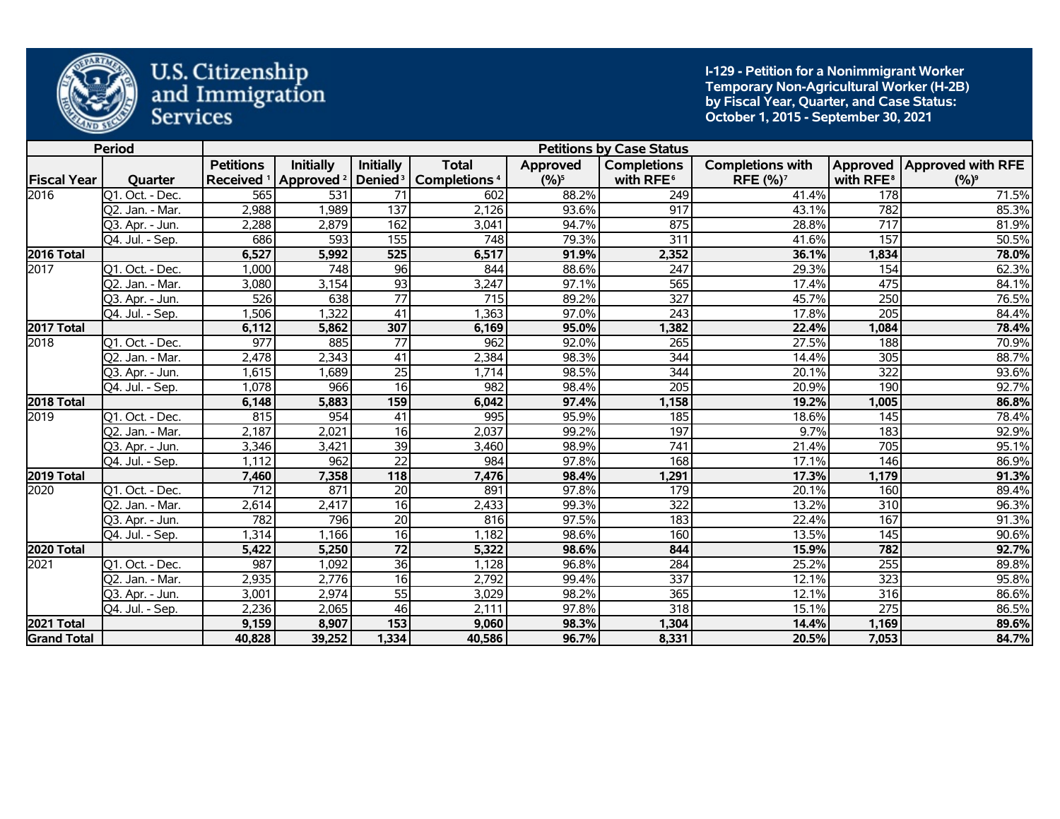

**I-129 - Petition for a Nonimmigrant Worker Temporary Non-Agricultural Worker (H-2B) by Fiscal Year, Quarter, and Case Status: October 1, 2015 - September 30, 2021** 

|                    | <b>Period</b>                 |                                           |                                                               |                  |                                          |                     | <b>Petitions by Case Status</b>             |                                                       |                       |                                         |
|--------------------|-------------------------------|-------------------------------------------|---------------------------------------------------------------|------------------|------------------------------------------|---------------------|---------------------------------------------|-------------------------------------------------------|-----------------------|-----------------------------------------|
| <b>Fiscal Year</b> | Quarter                       | <b>Petitions</b><br>Received <sup>1</sup> | <b>Initially</b><br>Approved <sup>2</sup> Denied <sup>3</sup> | <b>Initially</b> | <b>Total</b><br>Completions <sup>4</sup> | Approved<br>$(%)^5$ | <b>Completions</b><br>with RFE <sup>6</sup> | <b>Completions with</b><br><b>RFE (%)<sup>7</sup></b> | with RFE <sup>8</sup> | Approved   Approved with RFE<br>$(%)^9$ |
| 2016               | Q1. Oct. - Dec.               | 565                                       | $\overline{531}$                                              | 71               | 602                                      | 88.2%               | 249                                         | 41.4%                                                 | 178                   | 71.5%                                   |
|                    | Q2. Jan. - Mar.               | 2,988                                     | 1,989                                                         | 137              | 2,126                                    | 93.6%               | 917                                         | 43.1%                                                 | 782                   | 85.3%                                   |
|                    | Q3. Apr. - Jun.               | 2,288                                     | 2,879                                                         | 162              | 3,041                                    | 94.7%               | 875                                         | 28.8%                                                 | 717                   | 81.9%                                   |
|                    | Q4. Jul. - Sep.               | 686                                       | 593                                                           | 155              | $\overline{748}$                         | 79.3%               | 311                                         | 41.6%                                                 | 157                   | 50.5%                                   |
| 2016 Total         |                               | 6,527                                     | 5,992                                                         | 525              | 6,517                                    | 91.9%               | 2,352                                       | 36.1%                                                 | 1,834                 | 78.0%                                   |
| 2017               | Q1. Oct. - Dec.               | 1,000                                     | 748                                                           | 96               | 844                                      | 88.6%               | 247                                         | 29.3%                                                 | 154                   | 62.3%                                   |
|                    | Q2. Jan. - Mar.               | 3,080                                     | 3,154                                                         | 93               | 3,247                                    | 97.1%               | 565                                         | 17.4%                                                 | 475                   | 84.1%                                   |
|                    | Q3. Apr. - Jun.               | $\overline{526}$                          | 638                                                           | $\overline{77}$  | 715                                      | 89.2%               | $\overline{327}$                            | 45.7%                                                 | 250                   | 76.5%                                   |
|                    | $\overline{Q4}$ . Jul. - Sep. | 1,506                                     | 1,322                                                         | 41               | 1,363                                    | 97.0%               | 243                                         | 17.8%                                                 | 205                   | 84.4%                                   |
| 2017 Total         |                               | 6,112                                     | 5,862                                                         | 307              | 6,169                                    | 95.0%               | 1,382                                       | 22.4%                                                 | 1,084                 | 78.4%                                   |
| 2018               | Q1. Oct. - Dec.               | 977                                       | 885                                                           | $\overline{77}$  | 962                                      | 92.0%               | 265                                         | 27.5%                                                 | 188                   | 70.9%                                   |
|                    | Q2. Jan. - Mar.               | 2,478                                     | 2,343                                                         | 41               | 2,384                                    | 98.3%               | 344                                         | 14.4%                                                 | 305                   | 88.7%                                   |
|                    | Q3. Apr. - Jun.               | 1,615                                     | 1,689                                                         | $\overline{25}$  | 1,714                                    | 98.5%               | 344                                         | 20.1%                                                 | 322                   | 93.6%                                   |
|                    | Q4. Jul. - Sep.               | 1,078                                     | 966                                                           | 16               | 982                                      | 98.4%               | 205                                         | 20.9%                                                 | 190                   | 92.7%                                   |
| 2018 Total         |                               | 6,148                                     | 5,883                                                         | 159              | 6,042                                    | 97.4%               | 1,158                                       | 19.2%                                                 | 1,005                 | 86.8%                                   |
| 2019               | Q1. Oct. - Dec.               | 815                                       | 954                                                           | 41               | 995                                      | 95.9%               | 185                                         | 18.6%                                                 | 145                   | 78.4%                                   |
|                    | Q2. Jan. - Mar.               | 2,187                                     | 2,021                                                         | 16               | 2,037                                    | 99.2%               | 197                                         | 9.7%                                                  | 183                   | 92.9%                                   |
|                    | Q3. Apr. - Jun.               | 3,346                                     | 3,421                                                         | 39               | 3,460                                    | 98.9%               | 741                                         | 21.4%                                                 | 705                   | 95.1%                                   |
|                    | Q4. Jul. - Sep.               | 1,112                                     | 962                                                           | $\overline{22}$  | 984                                      | 97.8%               | 168                                         | 17.1%                                                 | $\frac{146}{ }$       | 86.9%                                   |
| 2019 Total         |                               | 7,460                                     | 7,358                                                         | 118              | 7,476                                    | 98.4%               | 1,291                                       | 17.3%                                                 | 1,179                 | 91.3%                                   |
| 2020               | Q1. Oct. - Dec.               | 712                                       | 871                                                           | 20               | 891                                      | 97.8%               | 179                                         | 20.1%                                                 | 160                   | 89.4%                                   |
|                    | Q2. Jan. - Mar.               | 2,614                                     | 2,417                                                         | 16               | 2,433                                    | 99.3%               | 322                                         | 13.2%                                                 | 310                   | 96.3%                                   |
|                    | Q3. Apr. - Jun.               | 782                                       | 796                                                           | 20               | 816                                      | 97.5%               | 183                                         | 22.4%                                                 | 167                   | 91.3%                                   |
|                    | Q4. Jul. - Sep.               | 1,314                                     | 1,166                                                         | 16               | 1,182                                    | 98.6%               | 160                                         | 13.5%                                                 | $\overline{145}$      | 90.6%                                   |
| 2020 Total         |                               | 5,422                                     | 5,250                                                         | 72               | 5,322                                    | 98.6%               | 844                                         | 15.9%                                                 | 782                   | 92.7%                                   |
| 2021               | Q1. Oct. - Dec.               | 987                                       | 1,092                                                         | 36               | 1,128                                    | 96.8%               | 284                                         | 25.2%                                                 | 255                   | 89.8%                                   |
|                    | Q2. Jan. - Mar.               | 2,935                                     | 2,776                                                         | 16               | 2,792                                    | 99.4%               | 337                                         | 12.1%                                                 | 323                   | 95.8%                                   |
|                    | Q3. Apr. - Jun.               | 3,001                                     | 2,974                                                         | 55               | 3,029                                    | 98.2%               | 365                                         | 12.1%                                                 | 316                   | 86.6%                                   |
|                    | Q4. Jul. - Sep.               | 2,236                                     | 2,065                                                         | 46               | 2,111                                    | 97.8%               | 318                                         | 15.1%                                                 | $\overline{275}$      | 86.5%                                   |
| <b>2021 Total</b>  |                               | 9,159                                     | 8,907                                                         | $\overline{153}$ | 9,060                                    | 98.3%               | 1,304                                       | 14.4%                                                 | 1,169                 | 89.6%                                   |
| <b>Grand Total</b> |                               | 40,828                                    | 39,252                                                        | 1,334            | 40,586                                   | 96.7%               | 8,331                                       | 20.5%                                                 | 7,053                 | 84.7%                                   |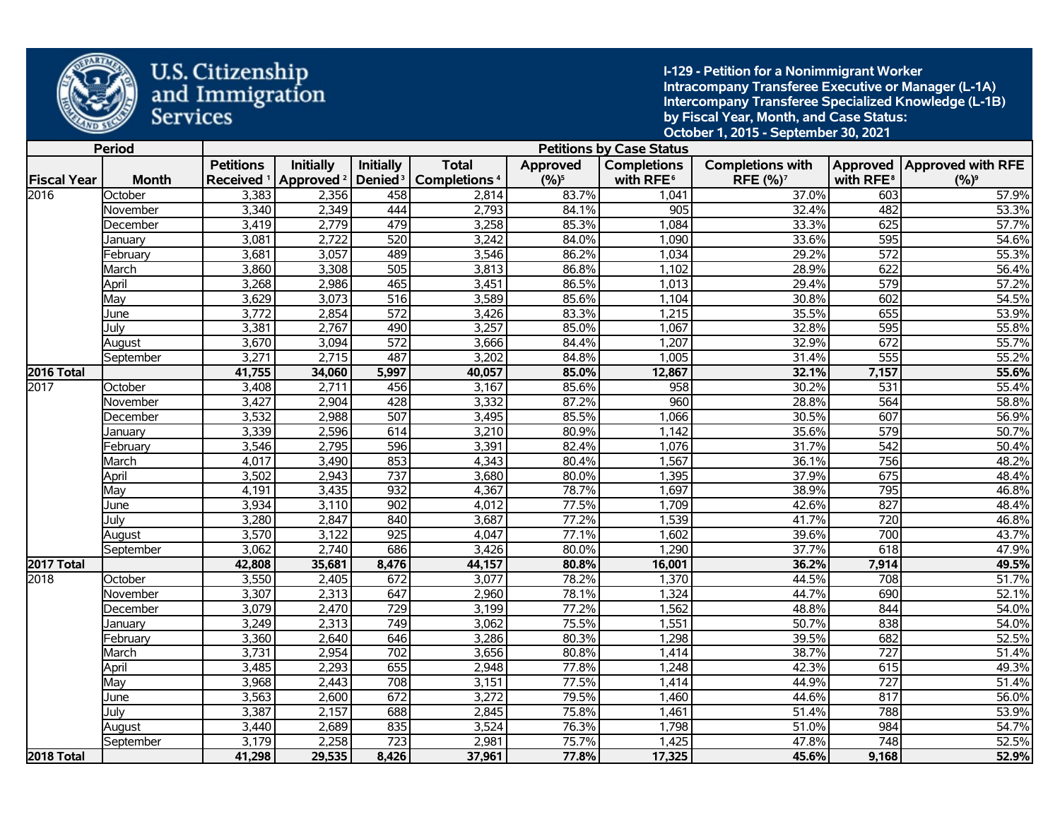

**I-129 - Petition for a Nonimmigrant Worker Intracompany Transferee Executive or Manager (L-1A) Intercompany Transferee Specialized Knowledge (L-1B) by Fiscal Year, Month, and Case Status: October 1, 2015 - September 30, 2021** 

|                    | <b>Period</b> |                       |                       |                     |                                |                 | <b>Petitions by Case Status</b> |                         |                       |                              |
|--------------------|---------------|-----------------------|-----------------------|---------------------|--------------------------------|-----------------|---------------------------------|-------------------------|-----------------------|------------------------------|
|                    |               | <b>Petitions</b>      | <b>Initially</b>      | <b>Initially</b>    | <b>Total</b>                   | <b>Approved</b> | <b>Completions</b>              | <b>Completions with</b> |                       | Approved   Approved with RFE |
| <b>Fiscal Year</b> | <b>Month</b>  | Received <sup>1</sup> | Approved <sup>2</sup> | Denied <sup>3</sup> | <b>Completions<sup>4</sup></b> | $(9/6)^5$       | with RFE <sup>6</sup>           | RFE (%) <sup>7</sup>    | with RFE <sup>8</sup> | $(%)^9$                      |
| 2016               | October       | 3,383                 | 2,356                 | 458                 | 2,814                          | 83.7%           | 1,041                           | 37.0%                   | 603                   | 57.9%                        |
|                    | November      | 3,340                 | 2,349                 | 444                 | 2,793                          | 84.1%           | 905                             | 32.4%                   | 482                   | 53.3%                        |
|                    | December      | 3,419                 | 2,779                 | 479                 | 3,258                          | 85.3%           | 1,084                           | 33.3%                   | 625                   | 57.7%                        |
|                    | January       | 3,081                 | 2,722                 | 520                 | 3,242                          | 84.0%           | 1,090                           | 33.6%                   | 595                   | 54.6%                        |
|                    | February      | 3,681                 | 3,057                 | 489                 | 3,546                          | 86.2%           | 1,034                           | 29.2%                   | 572                   | 55.3%                        |
|                    | March         | 3,860                 | 3,308                 | 505                 | 3,813                          | 86.8%           | 1,102                           | 28.9%                   | 622                   | 56.4%                        |
|                    | April         | 3,268                 | 2,986                 | 465                 | 3,451                          | 86.5%           | 1,013                           | 29.4%                   | $\overline{579}$      | 57.2%                        |
|                    | May           | 3,629                 | 3,073                 | $\overline{516}$    | 3,589                          | 85.6%           | 1,104                           | 30.8%                   | 602                   | 54.5%                        |
|                    | June          | 3,772                 | 2,854                 | $\overline{572}$    | 3,426                          | 83.3%           | 1,215                           | 35.5%                   | 655                   | 53.9%                        |
|                    | July          | 3,381                 | 2,767                 | 490                 | 3,257                          | 85.0%           | 1,067                           | 32.8%                   | 595                   | 55.8%                        |
|                    | August        | 3,670                 | 3,094                 | 572                 | 3,666                          | 84.4%           | 1,207                           | 32.9%                   | 672                   | 55.7%                        |
|                    | September     | 3,271                 | 2,715                 | 487                 | 3,202                          | 84.8%           | 1,005                           | 31.4%                   | $\overline{555}$      | 55.2%                        |
| <b>2016 Total</b>  |               | 41,755                | 34,060                | 5,997               | 40,057                         | 85.0%           | 12,867                          | 32.1%                   | 7,157                 | 55.6%                        |
| 2017               | October       | 3,408                 | 2,711                 | 456                 | 3,167                          | 85.6%           | 958                             | 30.2%                   | 531                   | 55.4%                        |
|                    | November      | 3,427                 | 2,904                 | 428                 | 3,332                          | 87.2%           | 960                             | 28.8%                   | $\overline{564}$      | 58.8%                        |
|                    | December      | 3,532                 | 2,988                 | 507                 | 3,495                          | 85.5%           | 1,066                           | 30.5%                   | 607                   | 56.9%                        |
|                    | January       | 3,339                 | 2,596                 | 614                 | 3,210                          | 80.9%           | 1,142                           | 35.6%                   | 579                   | 50.7%                        |
|                    | February      | 3,546                 | 2,795                 | 596                 | 3,391                          | 82.4%           | 1,076                           | 31.7%                   | $\overline{542}$      | 50.4%                        |
|                    | March         | 4,017                 | 3,490                 | 853                 | 4,343                          | 80.4%           | 1,567                           | 36.1%                   | 756                   | 48.2%                        |
|                    | April         | 3,502                 | 2,943                 | 737                 | 3,680                          | 80.0%           | 1,395                           | 37.9%                   | 675                   | 48.4%                        |
|                    | May           | 4,191                 | 3,435                 | 932                 | 4,367                          | 78.7%           | 1,697                           | 38.9%                   | 795                   | 46.8%                        |
|                    | June          | 3,934                 | 3,110                 | 902                 | 4,012                          | 77.5%           | 1,709                           | 42.6%                   | 827                   | 48.4%                        |
|                    | Julv          | 3,280                 | 2,847                 | 840                 | 3,687                          | 77.2%           | 1,539                           | 41.7%                   | 720                   | 46.8%                        |
|                    | August        | 3,570                 | 3,122                 | 925                 | 4,047                          | 77.1%           | 1,602                           | 39.6%                   | 700                   | 43.7%                        |
|                    | September     | 3,062                 | 2,740                 | 686                 | 3,426                          | 80.0%           | 1,290                           | 37.7%                   | 618                   | 47.9%                        |
| <b>2017 Total</b>  |               | 42,808                | 35,681                | 8,476               | 44,157                         | 80.8%           | 16,001                          | 36.2%                   | 7,914                 | 49.5%                        |
| 2018               | October       | 3,550                 | 2,405                 | 672                 | 3,077                          | 78.2%           | 1,370                           | 44.5%                   | 708                   | 51.7%                        |
|                    | November      | 3,307                 | 2,313                 | 647                 | 2,960                          | 78.1%           | 1,324                           | 44.7%                   | 690                   | 52.1%                        |
|                    | December      | 3,079                 | 2,470                 | 729                 | 3,199                          | 77.2%           | 1,562                           | 48.8%                   | 844                   | 54.0%                        |
|                    | January       | 3,249                 | 2,313                 | 749                 | 3,062                          | 75.5%           | 1,551                           | 50.7%                   | 838                   | 54.0%                        |
|                    | February      | 3,360                 | 2,640                 | 646                 | 3,286                          | 80.3%           | 1,298                           | 39.5%                   | 682                   | 52.5%                        |
|                    | March         | 3,731                 | 2,954                 | 702                 | 3,656                          | 80.8%           | 1,414                           | 38.7%                   | 727                   | 51.4%                        |
|                    | April         | 3,485                 | 2,293                 | 655                 | 2,948                          | 77.8%           | 1,248                           | 42.3%                   | 615                   | 49.3%                        |
|                    | May           | 3,968                 | 2,443                 | 708                 | 3,151                          | 77.5%           | 1,414                           | 44.9%                   | $\overline{727}$      | 51.4%                        |
|                    | June          | 3,563                 | 2,600                 | 672                 | 3,272                          | 79.5%           | 1,460                           | 44.6%                   | 817                   | 56.0%                        |
|                    | July          | 3,387                 | 2,157                 | 688                 | 2,845                          | 75.8%           | 1,461                           | 51.4%                   | 788                   | 53.9%                        |
|                    | August        | 3,440                 | 2,689                 | 835                 | 3,524                          | 76.3%           | 1,798                           | 51.0%                   | 984                   | 54.7%                        |
|                    | September     | 3,179                 | 2,258                 | 723                 | 2,981                          | 75.7%           | 1,425                           | 47.8%                   | 748                   | 52.5%                        |
| <b>2018 Total</b>  |               | 41,298                | 29,535                | 8,426               | 37,961                         | 77.8%           | 17,325                          | 45.6%                   | 9,168                 | 52.9%                        |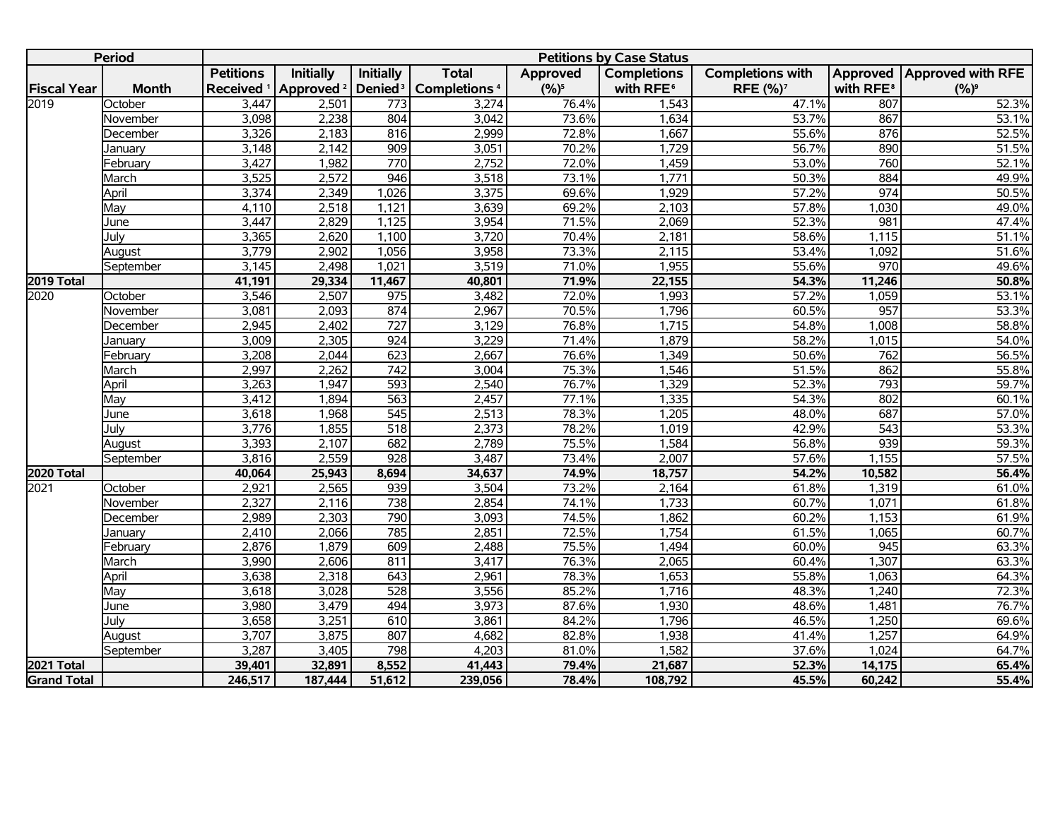|                    | <b>Period</b> |                  |                                             |                     |                                |          | <b>Petitions by Case Status</b> |                         |                       |                              |
|--------------------|---------------|------------------|---------------------------------------------|---------------------|--------------------------------|----------|---------------------------------|-------------------------|-----------------------|------------------------------|
|                    |               | <b>Petitions</b> | <b>Initially</b>                            | <b>Initially</b>    | <b>Total</b>                   | Approved | <b>Completions</b>              | <b>Completions with</b> |                       | Approved   Approved with RFE |
| <b>Fiscal Year</b> | <b>Month</b>  |                  | Received <sup>1</sup> Approved <sup>2</sup> | Denied <sup>3</sup> | <b>Completions<sup>4</sup></b> | $(%)^5$  | with RFE <sup>6</sup>           | RFE (%) <sup>7</sup>    | with RFE <sup>8</sup> | $(%)^9$                      |
| 2019               | October       | 3,447            | 2,501                                       | 773                 | 3,274                          | 76.4%    | 1,543                           | 47.1%                   | 807                   | 52.3%                        |
|                    | November      | 3,098            | 2,238                                       | 804                 | 3,042                          | 73.6%    | 1,634                           | 53.7%                   | 867                   | 53.1%                        |
|                    | December      | 3,326            | 2,183                                       | 816                 | 2,999                          | 72.8%    | 1,667                           | 55.6%                   | 876                   | 52.5%                        |
|                    | January       | 3,148            | 2,142                                       | 909                 | 3,051                          | 70.2%    | 1,729                           | 56.7%                   | 890                   | 51.5%                        |
|                    | Februarv      | 3,427            | 1,982                                       | 770                 | 2,752                          | 72.0%    | 1,459                           | 53.0%                   | 760                   | 52.1%                        |
|                    | March         | 3,525            | 2,572                                       | 946                 | 3,518                          | 73.1%    | 1,771                           | 50.3%                   | 884                   | 49.9%                        |
|                    | April         | 3,374            | 2,349                                       | 1,026               | 3,375                          | 69.6%    | 1,929                           | 57.2%                   | 974                   | 50.5%                        |
|                    | May           | 4,110            | 2,518                                       | 1,121               | 3,639                          | 69.2%    | 2,103                           | 57.8%                   | 1,030                 | 49.0%                        |
|                    | June          | 3,447            | 2,829                                       | 1,125               | 3,954                          | 71.5%    | 2,069                           | 52.3%                   | 981                   | 47.4%                        |
|                    | July          | 3,365            | 2,620                                       | 1,100               | 3,720                          | 70.4%    | 2,181                           | 58.6%                   | 1,115                 | 51.1%                        |
|                    | August        | 3,779            | 2,902                                       | 1,056               | 3,958                          | 73.3%    | 2,115                           | 53.4%                   | 1,092                 | 51.6%                        |
|                    | September     | 3,145            | 2,498                                       | 1,021               | 3,519                          | 71.0%    | 1,955                           | 55.6%                   | 970                   | 49.6%                        |
| 2019 Total         |               | 41,191           | 29,334                                      | 11,467              | 40,801                         | 71.9%    | 22,155                          | 54.3%                   | 11,246                | 50.8%                        |
| 2020               | October       | 3,546            | 2,507                                       | $\overline{975}$    | 3,482                          | 72.0%    | 1,993                           | 57.2%                   | 1,059                 | 53.1%                        |
|                    | November      | 3,081            | 2,093                                       | 874                 | 2,967                          | 70.5%    | 1,796                           | 60.5%                   | 957                   | 53.3%                        |
|                    | December      | 2,945            | 2,402                                       | 727                 | 3,129                          | 76.8%    | 1,715                           | 54.8%                   | 1,008                 | 58.8%                        |
|                    | January       | 3,009            | 2,305                                       | 924                 | 3,229                          | 71.4%    | 1,879                           | 58.2%                   | 1,015                 | 54.0%                        |
|                    | February      | 3,208            | 2,044                                       | 623                 | 2,667                          | 76.6%    | 1,349                           | 50.6%                   | 762                   | 56.5%                        |
|                    | March         | 2,997            | 2,262                                       | $\overline{742}$    | 3,004                          | 75.3%    | 1,546                           | 51.5%                   | 862                   | 55.8%                        |
|                    | April         | 3,263            | 1,947                                       | 593                 | 2,540                          | 76.7%    | 1,329                           | 52.3%                   | 793                   | 59.7%                        |
|                    | May           | 3,412            | 1,894                                       | 563                 | 2,457                          | 77.1%    | 1,335                           | 54.3%                   | 802                   | 60.1%                        |
|                    | June          | 3,618            | 1,968                                       | $\overline{545}$    | 2,513                          | 78.3%    | 1,205                           | 48.0%                   | 687                   | 57.0%                        |
|                    | July          | 3,776            | 1,855                                       | $\overline{518}$    | 2,373                          | 78.2%    | 1,019                           | 42.9%                   | $\overline{543}$      | 53.3%                        |
|                    | August        | 3,393            | 2,107                                       | 682                 | 2,789                          | 75.5%    | 1,584                           | 56.8%                   | 939                   | 59.3%                        |
|                    | September     | 3,816            | 2,559                                       | 928                 | 3,487                          | 73.4%    | 2,007                           | 57.6%                   | 1,155                 | 57.5%                        |
| 2020 Total         |               | 40,064           | 25,943                                      | 8,694               | 34,637                         | 74.9%    | 18,757                          | 54.2%                   | 10,582                | 56.4%                        |
| 2021               | October       | 2,921            | 2,565                                       | 939                 | 3,504                          | 73.2%    | 2,164                           | 61.8%                   | 1,319                 | 61.0%                        |
|                    | November      | 2,327            | 2,116                                       | 738                 | 2,854                          | 74.1%    | 1,733                           | 60.7%                   | 1,071                 | 61.8%                        |
|                    | December      | 2,989            | 2,303                                       | 790                 | 3,093                          | 74.5%    | 1,862                           | 60.2%                   | 1,153                 | 61.9%                        |
|                    | January       | 2,410            | 2,066                                       | 785                 | 2,851                          | 72.5%    | 1,754                           | 61.5%                   | 1,065                 | 60.7%                        |
|                    | February      | 2,876            | 1,879                                       | 609                 | 2,488                          | 75.5%    | 1,494                           | 60.0%                   | $\overline{945}$      | 63.3%                        |
|                    | March         | 3,990            | 2,606                                       | 811                 | 3,417                          | 76.3%    | 2,065                           | 60.4%                   | 1,307                 | 63.3%                        |
|                    | April         | 3,638            | 2,318                                       | 643                 | 2,961                          | 78.3%    | 1,653                           | 55.8%                   | 1,063                 | 64.3%                        |
|                    | May           | 3,618            | 3,028                                       | 528                 | 3,556                          | 85.2%    | 1,716                           | 48.3%                   | 1,240                 | 72.3%                        |
|                    | June          | 3,980            | 3,479                                       | 494                 | 3,973                          | 87.6%    | 1,930                           | 48.6%                   | 1,481                 | 76.7%                        |
|                    | July          | 3,658            | 3,251                                       | 610                 | 3,861                          | 84.2%    | 1,796                           | 46.5%                   | 1,250                 | 69.6%                        |
|                    | August        | 3,707            | 3,875                                       | 807                 | 4,682                          | 82.8%    | 1,938                           | 41.4%                   | 1,257                 | 64.9%                        |
|                    | September     | 3,287            | 3,405                                       | 798                 | 4,203                          | 81.0%    | 1,582                           | 37.6%                   | 1,024                 | 64.7%                        |
| <b>2021 Total</b>  |               | 39,401           | 32,891                                      | 8,552               | 41,443                         | 79.4%    | 21,687                          | 52.3%                   | 14,175                | 65.4%                        |
| <b>Grand Total</b> |               | 246,517          | 187,444                                     | 51,612              | 239,056                        | 78.4%    | 108,792                         | 45.5%                   | 60,242                | 55.4%                        |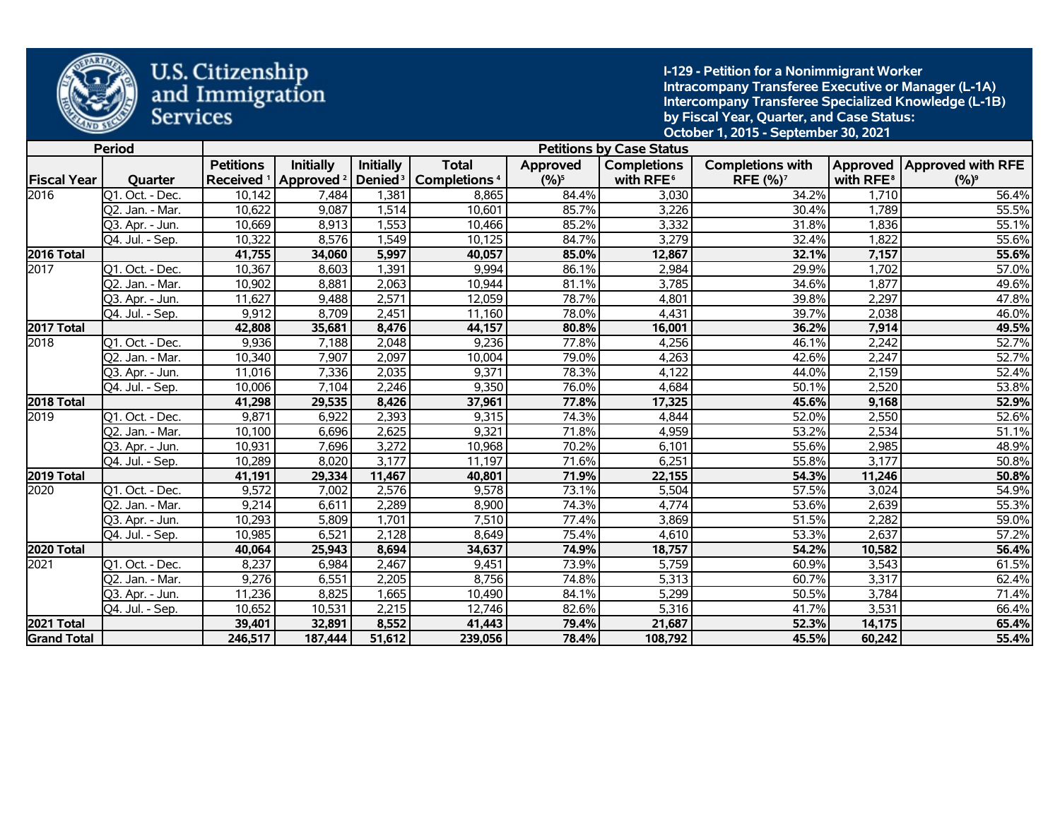

**I-129 - Petition for a Nonimmigrant Worker Intracompany Transferee Executive or Manager (L-1A) Intercompany Transferee Specialized Knowledge (L-1B) by Fiscal Year, Quarter, and Case Status: October 1, 2015 - September 30, 2021** 

|                    | <b>Period</b>   |                  |                                             |                  |                                                |          | <b>Petitions by Case Status</b> |                            |                       |                              |
|--------------------|-----------------|------------------|---------------------------------------------|------------------|------------------------------------------------|----------|---------------------------------|----------------------------|-----------------------|------------------------------|
|                    |                 | <b>Petitions</b> | <b>Initially</b>                            | <b>Initially</b> | <b>Total</b>                                   | Approved | <b>Completions</b>              | <b>Completions with</b>    |                       | Approved   Approved with RFE |
| <b>Fiscal Year</b> | Quarter         |                  | Received <sup>1</sup> Approved <sup>2</sup> |                  | Denied <sup>3</sup>   Completions <sup>4</sup> | $(%)^5$  | with RFE <sup>6</sup>           | <b>RFE (%)<sup>7</sup></b> | with RFE <sup>8</sup> | $(%)^9$                      |
| 2016               | Q1. Oct. - Dec. | 10,142           | 7,484                                       | 1,381            | 8,865                                          | 84.4%    | 3,030                           | 34.2%                      | 1,710                 | 56.4%                        |
|                    | Q2. Jan. - Mar. | 10,622           | 9,087                                       | 1,514            | 10,601                                         | 85.7%    | 3,226                           | 30.4%                      | 1,789                 | 55.5%                        |
|                    | Q3. Apr. - Jun. | 10,669           | 8,913                                       | 1,553            | 10,466                                         | 85.2%    | 3,332                           | 31.8%                      | 1,836                 | 55.1%                        |
|                    | Q4. Jul. - Sep. | 10,322           | 8,576                                       | 1,549            | 10,125                                         | 84.7%    | 3,279                           | 32.4%                      | 1,822                 | 55.6%                        |
| 2016 Total         |                 | 41,755           | 34,060                                      | 5,997            | 40,057                                         | 85.0%    | 12,867                          | 32.1%                      | 7,157                 | 55.6%                        |
| 2017               | Q1. Oct. - Dec. | 10,367           | 8,603                                       | 1,391            | 9,994                                          | 86.1%    | 2,984                           | 29.9%                      | 1,702                 | 57.0%                        |
|                    | Q2. Jan. - Mar. | 10,902           | 8,881                                       | 2,063            | 10,944                                         | 81.1%    | 3,785                           | 34.6%                      | 1,877                 | 49.6%                        |
|                    | Q3. Apr. - Jun. | 11,627           | 9,488                                       | 2,571            | 12,059                                         | 78.7%    | 4,801                           | 39.8%                      | 2,297                 | 47.8%                        |
|                    | Q4. Jul. - Sep. | 9,912            | 8,709                                       | 2,451            | 11,160                                         | 78.0%    | 4,431                           | 39.7%                      | 2,038                 | 46.0%                        |
| 2017 Total         |                 | 42,808           | 35,681                                      | 8,476            | 44,157                                         | 80.8%    | 16,001                          | 36.2%                      | 7,914                 | 49.5%                        |
| 2018               | Q1. Oct. - Dec. | 9,936            | 7,188                                       | 2,048            | 9,236                                          | 77.8%    | 4,256                           | 46.1%                      | 2,242                 | 52.7%                        |
|                    | Q2. Jan. - Mar. | 10,340           | 7,907                                       | 2,097            | 10,004                                         | 79.0%    | 4,263                           | 42.6%                      | 2,247                 | 52.7%                        |
|                    | Q3. Apr. - Jun. | 11,016           | 7,336                                       | 2,035            | 9,371                                          | 78.3%    | 4,122                           | 44.0%                      | 2,159                 | 52.4%                        |
|                    | Q4. Jul. - Sep. | 10,006           | 7,104                                       | 2,246            | 9,350                                          | 76.0%    | 4,684                           | 50.1%                      | 2,520                 | 53.8%                        |
| 2018 Total         |                 | 41,298           | 29,535                                      | 8,426            | 37,961                                         | 77.8%    | 17,325                          | 45.6%                      | 9,168                 | 52.9%                        |
| 2019               | Q1. Oct. - Dec. | 9,871            | 6,922                                       | 2,393            | 9,315                                          | 74.3%    | 4,844                           | 52.0%                      | 2,550                 | 52.6%                        |
|                    | Q2. Jan. - Mar. | 10,100           | 6,696                                       | 2,625            | 9,321                                          | 71.8%    | 4,959                           | 53.2%                      | 2,534                 | 51.1%                        |
|                    | Q3. Apr. - Jun. | 10,931           | 7,696                                       | 3,272            | 10,968                                         | 70.2%    | 6,101                           | 55.6%                      | 2,985                 | 48.9%                        |
|                    | Q4. Jul. - Sep. | 10,289           | 8,020                                       | 3,177            | 11,197                                         | 71.6%    | 6,251                           | 55.8%                      | 3,177                 | 50.8%                        |
| 2019 Total         |                 | 41,191           | 29,334                                      | 11,467           | 40,801                                         | 71.9%    | 22,155                          | 54.3%                      | 11,246                | 50.8%                        |
| 2020               | Q1. Oct. - Dec. | 9,572            | 7,002                                       | 2,576            | 9,578                                          | 73.1%    | 5,504                           | 57.5%                      | 3,024                 | 54.9%                        |
|                    | Q2. Jan. - Mar. | 9,214            | 6,611                                       | 2,289            | 8,900                                          | 74.3%    | 4,774                           | 53.6%                      | 2,639                 | 55.3%                        |
|                    | Q3. Apr. - Jun. | 10,293           | 5,809                                       | 1,701            | 7,510                                          | 77.4%    | 3,869                           | 51.5%                      | 2,282                 | 59.0%                        |
|                    | Q4. Jul. - Sep. | 10,985           | 6,521                                       | 2,128            | 8,649                                          | 75.4%    | 4,610                           | 53.3%                      | 2,637                 | 57.2%                        |
| 2020 Total         |                 | 40,064           | 25,943                                      | 8,694            | 34,637                                         | 74.9%    | 18,757                          | 54.2%                      | 10,582                | 56.4%                        |
| 2021               | Q1. Oct. - Dec. | 8,237            | 6,984                                       | 2,467            | 9,451                                          | 73.9%    | 5,759                           | 60.9%                      | 3,543                 | 61.5%                        |
|                    | Q2. Jan. - Mar. | 9,276            | 6,551                                       | 2,205            | 8,756                                          | 74.8%    | 5,313                           | 60.7%                      | 3,317                 | 62.4%                        |
|                    | Q3. Apr. - Jun. | 11,236           | 8,825                                       | 1,665            | 10,490                                         | 84.1%    | 5,299                           | 50.5%                      | 3,784                 | 71.4%                        |
|                    | Q4. Jul. - Sep. | 10,652           | 10,531                                      | 2,215            | 12,746                                         | 82.6%    | 5,316                           | 41.7%                      | 3,531                 | 66.4%                        |
| 2021 Total         |                 | 39,401           | 32,891                                      | 8,552            | 41,443                                         | 79.4%    | 21,687                          | 52.3%                      | 14,175                | 65.4%                        |
| <b>Grand Total</b> |                 | 246,517          | 187,444                                     | 51,612           | 239,056                                        | 78.4%    | 108,792                         | 45.5%                      | 60,242                | 55.4%                        |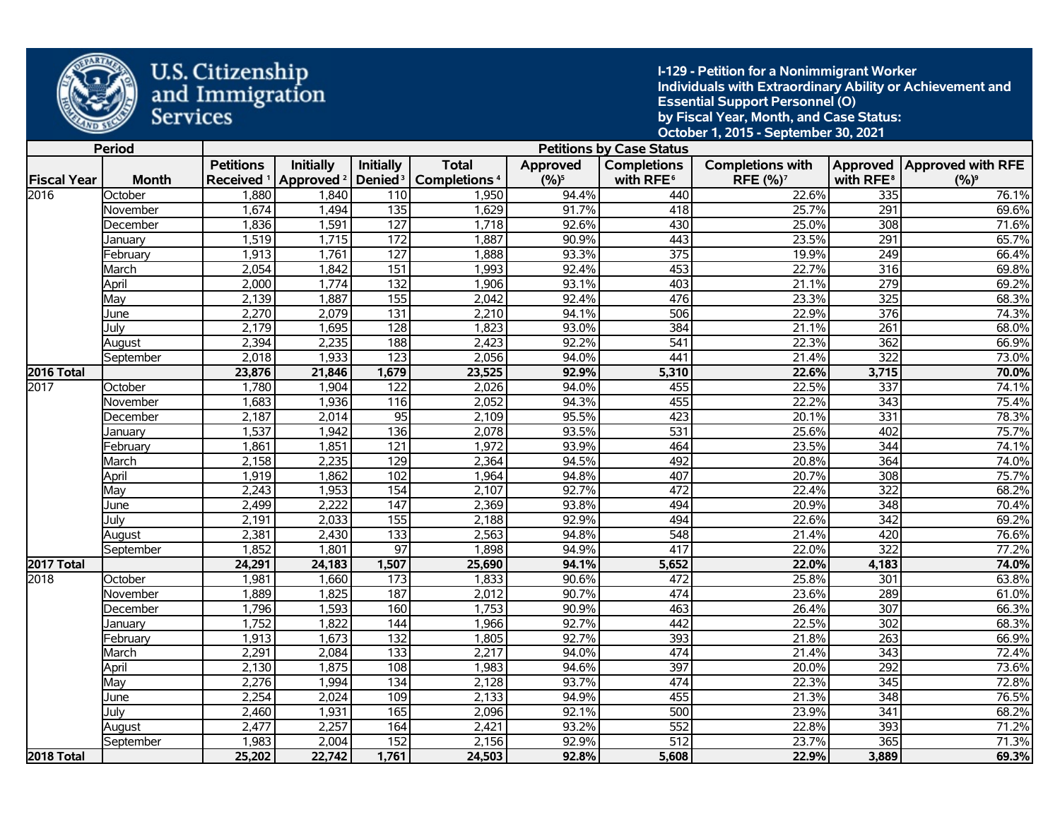

**I-129 - Petition for a Nonimmigrant Worker Individuals with Extraordinary Ability or Achievement and Essential Support Personnel (O) by Fiscal Year, Month, and Case Status: October 1, 2015 - September 30, 2021** 

|                    | <b>Period</b> |                  |                                             |                     |                      |           | <b>Petitions by Case Status</b> |                         |                       |                              |
|--------------------|---------------|------------------|---------------------------------------------|---------------------|----------------------|-----------|---------------------------------|-------------------------|-----------------------|------------------------------|
|                    |               | <b>Petitions</b> | <b>Initially</b>                            | Initially           | <b>Total</b>         | Approved  | <b>Completions</b>              | <b>Completions with</b> |                       | Approved   Approved with RFE |
| <b>Fiscal Year</b> | <b>Month</b>  |                  | Received <sup>1</sup> Approved <sup>2</sup> | Denied <sup>3</sup> | <b>Completions 4</b> | $(9/6)^5$ | with RFE <sup>6</sup>           | RFE (%) <sup>7</sup>    | with RFE <sup>8</sup> | $(%)^9$                      |
| 2016               | October       | 1,880            | 1,840                                       | 110                 | 1,950                | 94.4%     | 440                             | 22.6%                   | 335                   | 76.1%                        |
|                    | November      | 1,674            | 1,494                                       | $\overline{135}$    | 1,629                | 91.7%     | 418                             | 25.7%                   | 291                   | 69.6%                        |
|                    | December      | 1,836            | 1,591                                       | $\overline{127}$    | 1,718                | 92.6%     | 430                             | 25.0%                   | 308                   | 71.6%                        |
|                    | Januarv       | 1,519            | 1,715                                       | 172                 | 1,887                | 90.9%     | 443                             | 23.5%                   | 291                   | 65.7%                        |
|                    | February      | 1,913            | 1,761                                       | $\overline{127}$    | 1,888                | 93.3%     | $\overline{375}$                | 19.9%                   | 249                   | 66.4%                        |
|                    | March         | 2,054            | 1,842                                       | $\overline{151}$    | 1,993                | 92.4%     | 453                             | 22.7%                   | 316                   | 69.8%                        |
|                    | April         | 2,000            | 1,774                                       | $\overline{132}$    | 1,906                | 93.1%     | 403                             | 21.1%                   | 279                   | 69.2%                        |
|                    | May           | 2,139            | 1,887                                       | 155                 | 2,042                | 92.4%     | 476                             | 23.3%                   | $\overline{325}$      | 68.3%                        |
|                    | June          | 2,270            | 2,079                                       | $\overline{131}$    | 2,210                | 94.1%     | 506                             | 22.9%                   | 376                   | 74.3%                        |
|                    | July          | 2,179            | 1,695                                       | 128                 | 1,823                | 93.0%     | 384                             | 21.1%                   | $\overline{261}$      | 68.0%                        |
|                    | August        | 2,394            | 2,235                                       | 188                 | 2,423                | 92.2%     | 541                             | 22.3%                   | 362                   | 66.9%                        |
|                    | September     | 2,018            | 1,933                                       | $\overline{123}$    | 2,056                | 94.0%     | 441                             | 21.4%                   | $\overline{322}$      | 73.0%                        |
| 2016 Total         |               | 23,876           | 21,846                                      | 1,679               | 23,525               | 92.9%     | 5,310                           | 22.6%                   | 3,715                 | 70.0%                        |
| 2017               | October       | 1,780            | 1,904                                       | 122                 | 2,026                | 94.0%     | 455                             | 22.5%                   | $\overline{337}$      | 74.1%                        |
|                    | November      | 1,683            | 1,936                                       | 116                 | 2,052                | 94.3%     | 455                             | 22.2%                   | $\overline{343}$      | 75.4%                        |
|                    | December      | 2,187            | 2,014                                       | $\overline{95}$     | 2,109                | 95.5%     | 423                             | 20.1%                   | 331                   | 78.3%                        |
|                    | Januarv       | 1,537            | 1,942                                       | 136                 | 2,078                | 93.5%     | $\overline{531}$                | 25.6%                   | 402                   | 75.7%                        |
|                    | Februarv      | 1,861            | 1,851                                       | 121                 | 1,972                | 93.9%     | 464                             | 23.5%                   | 344                   | 74.1%                        |
|                    | March         | 2,158            | 2,235                                       | 129                 | 2,364                | 94.5%     | 492                             | 20.8%                   | 364                   | 74.0%                        |
|                    | April         | 1,919            | 1,862                                       | 102                 | 1,964                | 94.8%     | 407                             | 20.7%                   | 308                   | 75.7%                        |
|                    | May           | 2,243            | 1,953                                       | 154                 | 2,107                | 92.7%     | 472                             | 22.4%                   | $\overline{322}$      | 68.2%                        |
|                    | June          | 2,499            | 2,222                                       | $\overline{147}$    | 2,369                | 93.8%     | 494                             | 20.9%                   | 348                   | 70.4%                        |
|                    | July          | 2,191            | 2,033                                       | 155                 | 2,188                | 92.9%     | 494                             | 22.6%                   | $\overline{342}$      | 69.2%                        |
|                    | August        | 2,381            | 2,430                                       | $\overline{133}$    | 2,563                | 94.8%     | $\overline{548}$                | 21.4%                   | 420                   | 76.6%                        |
|                    | September     | 1,852            | 1,801                                       | $\overline{97}$     | 1,898                | 94.9%     | 417                             | 22.0%                   | 322                   | 77.2%                        |
| 2017 Total         |               | 24,291           | 24,183                                      | 1,507               | 25,690               | 94.1%     | 5,652                           | 22.0%                   | 4,183                 | 74.0%                        |
| 2018               | October       | 1,981            | 1,660                                       | 173                 | 1,833                | 90.6%     | 472                             | 25.8%                   | 301                   | 63.8%                        |
|                    | November      | 1,889            | 1,825                                       | 187                 | 2,012                | 90.7%     | 474                             | 23.6%                   | 289                   | 61.0%                        |
|                    | December      | 1,796            | 1,593                                       | 160                 | 1,753                | 90.9%     | 463                             | 26.4%                   | 307                   | 66.3%                        |
|                    | Januarv       | 1,752            | 1,822                                       | 144                 | 1,966                | 92.7%     | 442                             | 22.5%                   | 302                   | 68.3%                        |
|                    | February      | 1,913            | 1,673                                       | $\overline{132}$    | 1,805                | 92.7%     | 393                             | 21.8%                   | 263                   | 66.9%                        |
|                    | March         | 2,291            | 2,084                                       | $\overline{133}$    | 2,217                | 94.0%     | 474                             | 21.4%                   | 343                   | 72.4%                        |
|                    | April         | 2,130            | 1,875                                       | 108                 | 1,983                | 94.6%     | 397                             | 20.0%                   | 292                   | 73.6%                        |
|                    | May           | 2,276            | 1,994                                       | $\overline{134}$    | 2,128                | 93.7%     | 474                             | 22.3%                   | 345                   | 72.8%                        |
|                    | June          | 2,254            | 2,024                                       | 109                 | 2,133                | 94.9%     | 455                             | 21.3%                   | 348                   | 76.5%                        |
|                    | July          | 2,460            | 1,931                                       | 165                 | 2,096                | 92.1%     | 500                             | 23.9%                   | $\overline{341}$      | 68.2%                        |
|                    | August        | 2,477            | 2,257                                       | $\frac{164}{x}$     | 2,421                | 93.2%     | 552                             | 22.8%                   | 393                   | 71.2%                        |
|                    | September     | 1,983            | 2,004                                       | 152                 | 2,156                | 92.9%     | $\overline{512}$                | 23.7%                   | 365                   | 71.3%                        |
| <b>2018 Total</b>  |               | 25,202           | 22,742                                      | 1,761               | 24,503               | 92.8%     | 5,608                           | 22.9%                   | 3,889                 | 69.3%                        |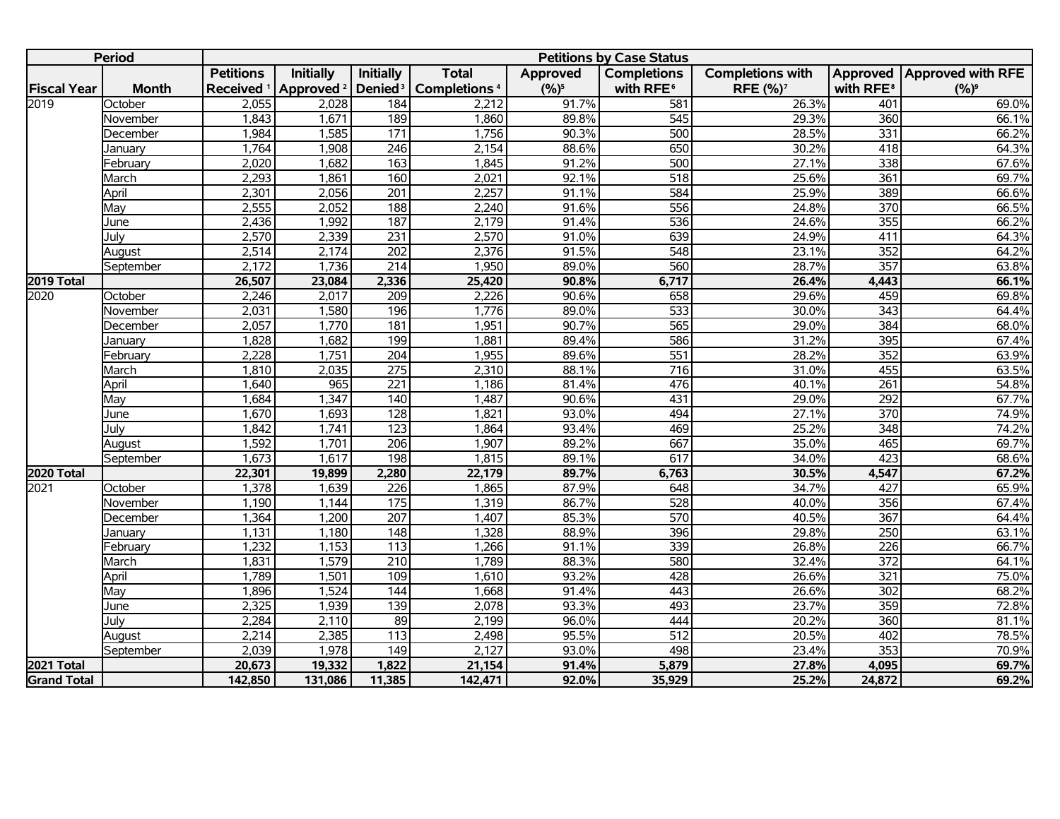|                    | <b>Period</b> |                  |                                             |                     |                                |           | <b>Petitions by Case Status</b> |                         |                       |                              |
|--------------------|---------------|------------------|---------------------------------------------|---------------------|--------------------------------|-----------|---------------------------------|-------------------------|-----------------------|------------------------------|
|                    |               | <b>Petitions</b> | <b>Initially</b>                            | Initially           | <b>Total</b>                   | Approved  | <b>Completions</b>              | <b>Completions with</b> |                       | Approved   Approved with RFE |
| <b>Fiscal Year</b> | <b>Month</b>  |                  | Received <sup>1</sup> Approved <sup>2</sup> | Denied <sup>3</sup> | <b>Completions<sup>4</sup></b> | $(9/6)^5$ | with RFE <sup>6</sup>           | RFE (%) <sup>7</sup>    | with RFE <sup>8</sup> | $(%)^9$                      |
| 2019               | October       | 2,055            | 2,028                                       | 184                 | 2,212                          | 91.7%     | 581                             | 26.3%                   | 401                   | 69.0%                        |
|                    | November      | 1,843            | 1,671                                       | 189                 | 1,860                          | 89.8%     | 545                             | 29.3%                   | 360                   | 66.1%                        |
|                    | December      | 1,984            | 1,585                                       | $\overline{171}$    | 1,756                          | 90.3%     | 500                             | 28.5%                   | 331                   | 66.2%                        |
|                    | January       | 1,764            | 1,908                                       | $\overline{246}$    | 2,154                          | 88.6%     | 650                             | 30.2%                   | 418                   | 64.3%                        |
|                    | February      | 2,020            | 1,682                                       | $\frac{163}{ }$     | 1,845                          | 91.2%     | 500                             | 27.1%                   | $\frac{1}{338}$       | 67.6%                        |
|                    | March         | 2,293            | 1,861                                       | 160                 | 2,021                          | 92.1%     | 518                             | 25.6%                   | 361                   | 69.7%                        |
|                    | April         | 2,301            | 2,056                                       | $\overline{201}$    | 2,257                          | 91.1%     | 584                             | 25.9%                   | 389                   | 66.6%                        |
|                    | May           | 2,555            | 2,052                                       | 188                 | 2,240                          | 91.6%     | 556                             | 24.8%                   | 370                   | 66.5%                        |
|                    | June          | 2,436            | 1,992                                       | 187                 | 2,179                          | 91.4%     | 536                             | 24.6%                   | 355                   | 66.2%                        |
|                    | July          | 2,570            | 2,339                                       | 231                 | 2,570                          | 91.0%     | 639                             | 24.9%                   | 411                   | 64.3%                        |
|                    | August        | 2,514            | 2,174                                       | $\overline{202}$    | 2,376                          | 91.5%     | $\overline{548}$                | 23.1%                   | 352                   | 64.2%                        |
|                    | September     | 2,172            | 1,736                                       | $\overline{214}$    | 1,950                          | 89.0%     | 560                             | 28.7%                   | 357                   | 63.8%                        |
| 2019 Total         |               | 26,507           | 23,084                                      | 2,336               | 25,420                         | 90.8%     | 6,717                           | 26.4%                   | 4,443                 | 66.1%                        |
| 2020               | October       | 2,246            | 2,017                                       | $\overline{209}$    | 2,226                          | 90.6%     | 658                             | 29.6%                   | 459                   | 69.8%                        |
|                    | November      | 2,031            | 1,580                                       | 196                 | 1,776                          | 89.0%     | 533                             | 30.0%                   | $\overline{343}$      | 64.4%                        |
|                    | December      | 2,057            | 1,770                                       | 181                 | 1,951                          | 90.7%     | 565                             | 29.0%                   | 384                   | 68.0%                        |
|                    | January       | 1,828            | 1,682                                       | 199                 | 1,881                          | 89.4%     | 586                             | 31.2%                   | 395                   | 67.4%                        |
|                    | February      | 2,228            | 1,751                                       | $\overline{204}$    | 1,955                          | 89.6%     | 551                             | 28.2%                   | 352                   | 63.9%                        |
|                    | March         | 1,810            | 2,035                                       | $\overline{275}$    | 2,310                          | 88.1%     | $\overline{716}$                | 31.0%                   | 455                   | 63.5%                        |
|                    | April         | 1,640            | 965                                         | $\overline{221}$    | 1,186                          | 81.4%     | 476                             | 40.1%                   | $\overline{261}$      | 54.8%                        |
|                    | May           | 1,684            | 1,347                                       | 140                 | 1,487                          | 90.6%     | 431                             | 29.0%                   | 292                   | 67.7%                        |
|                    | June          | 1,670            | 1,693                                       | $\overline{128}$    | 1,821                          | 93.0%     | 494                             | 27.1%                   | 370                   | 74.9%                        |
|                    | July          | 1,842            | 1,741                                       | 123                 | 1,864                          | 93.4%     | 469                             | 25.2%                   | 348                   | 74.2%                        |
|                    | August        | 1,592            | 1,701                                       | 206                 | 1,907                          | 89.2%     | 667                             | 35.0%                   | 465                   | 69.7%                        |
|                    | September     | 1,673            | 1,617                                       | 198                 | 1,815                          | 89.1%     | 617                             | 34.0%                   | 423                   | 68.6%                        |
| <b>2020 Total</b>  |               | 22,301           | 19,899                                      | 2,280               | 22,179                         | 89.7%     | 6,763                           | 30.5%                   | 4,547                 | 67.2%                        |
| 2021               | October       | 1,378            | 1,639                                       | $\overline{226}$    | 1,865                          | 87.9%     | 648                             | 34.7%                   | 427                   | 65.9%                        |
|                    | November      | 1,190            | 1,144                                       | 175                 | 1,319                          | 86.7%     | 528                             | 40.0%                   | 356                   | 67.4%                        |
|                    | December      | 1,364            | 1,200                                       | 207                 | 1,407                          | 85.3%     | 570                             | 40.5%                   | 367                   | 64.4%                        |
|                    | January       | 1,131            | 1,180                                       | $\overline{148}$    | 1,328                          | 88.9%     | 396                             | 29.8%                   | $\overline{250}$      | 63.1%                        |
|                    | February      | 1,232            | 1,153                                       | 113                 | 1,266                          | 91.1%     | 339                             | 26.8%                   | 226                   | 66.7%                        |
|                    | March         | 1,831            | 1,579                                       | 210                 | 1,789                          | 88.3%     | 580                             | 32.4%                   | $\overline{372}$      | 64.1%                        |
|                    | April         | 1,789            | 1,501                                       | 109                 | 1,610                          | 93.2%     | 428                             | 26.6%                   | $\overline{321}$      | 75.0%                        |
|                    | May           | 1,896            | 1,524                                       | $\overline{144}$    | 1,668                          | 91.4%     | 443                             | 26.6%                   | 302                   | 68.2%                        |
|                    | June          | 2,325            | 1,939                                       | $\frac{139}{x}$     | 2,078                          | 93.3%     | 493                             | 23.7%                   | 359                   | 72.8%                        |
|                    | Julv          | 2,284            | 2,110                                       | 89                  | 2,199                          | 96.0%     | 444                             | 20.2%                   | 360                   | 81.1%                        |
|                    | August        | 2,214            | 2,385                                       | $\frac{113}{1}$     | 2,498                          | 95.5%     | $\overline{512}$                | 20.5%                   | 402                   | 78.5%                        |
|                    | September     | 2,039            | 1,978                                       | $\overline{149}$    | 2,127                          | 93.0%     | 498                             | 23.4%                   | 353                   | 70.9%                        |
| 2021 Total         |               | 20,673           | 19,332                                      | 1,822               | 21,154                         | 91.4%     | 5,879                           | 27.8%                   | 4,095                 | 69.7%                        |
| <b>Grand Total</b> |               | 142,850          | 131,086                                     | 11,385              | 142,471                        | 92.0%     | 35,929                          | 25.2%                   | 24,872                | 69.2%                        |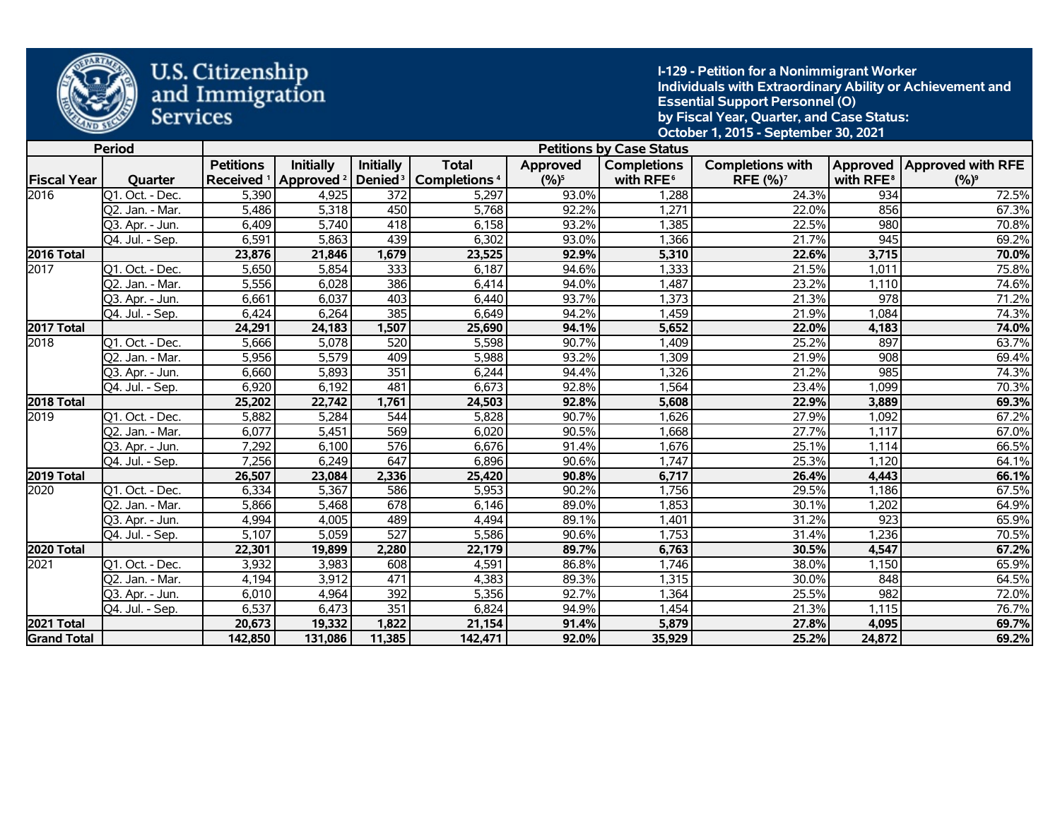

**I-129 - Petition for a Nonimmigrant Worker Individuals with Extraordinary Ability or Achievement and Essential Support Personnel (O) by Fiscal Year, Quarter, and Case Status: October 1, 2015 - September 30, 2021** 

|                    | <b>Period</b>   |                  |                                             |                  |                                                |           | <b>Petitions by Case Status</b> |                            |                       |                              |
|--------------------|-----------------|------------------|---------------------------------------------|------------------|------------------------------------------------|-----------|---------------------------------|----------------------------|-----------------------|------------------------------|
|                    |                 | <b>Petitions</b> | <b>Initially</b>                            | <b>Initially</b> | <b>Total</b>                                   | Approved  | <b>Completions</b>              | <b>Completions with</b>    |                       | Approved   Approved with RFE |
| <b>Fiscal Year</b> | Quarter         |                  | Received <sup>1</sup> Approved <sup>2</sup> |                  | Denied <sup>3</sup>   Completions <sup>4</sup> | $(9/6)^5$ | with RFE <sup>6</sup>           | <b>RFE (%)<sup>7</sup></b> | with RFE <sup>8</sup> | $(%)^9$                      |
| 2016               | Q1. Oct. - Dec. | 5,390            | 4,925                                       | 372              | 5,297                                          | 93.0%     | 1,288                           | 24.3%                      | 934                   | 72.5%                        |
|                    | Q2. Jan. - Mar. | 5,486            | 5,318                                       | 450              | 5,768                                          | 92.2%     | 1,271                           | 22.0%                      | 856                   | 67.3%                        |
|                    | Q3. Apr. - Jun. | 6,409            | 5,740                                       | 418              | 6,158                                          | 93.2%     | 1,385                           | 22.5%                      | 980                   | 70.8%                        |
|                    | Q4. Jul. - Sep. | 6,591            | 5,863                                       | 439              | 6,302                                          | 93.0%     | 1,366                           | 21.7%                      | $\overline{945}$      | 69.2%                        |
| 2016 Total         |                 | 23,876           | 21,846                                      | 1,679            | 23,525                                         | 92.9%     | 5,310                           | 22.6%                      | 3,715                 | 70.0%                        |
| 2017               | Q1. Oct. - Dec. | 5,650            | 5,854                                       | $\overline{333}$ | 6,187                                          | 94.6%     | 1,333                           | 21.5%                      | 1,011                 | 75.8%                        |
|                    | Q2. Jan. - Mar. | 5,556            | 6,028                                       | 386              | 6,414                                          | 94.0%     | 1,487                           | 23.2%                      | 1,110                 | 74.6%                        |
|                    | Q3. Apr. - Jun. | 6,661            | 6,037                                       | 403              | 6,440                                          | 93.7%     | 1,373                           | 21.3%                      | 978                   | 71.2%                        |
|                    | Q4. Jul. - Sep. | 6,424            | 6,264                                       | 385              | 6,649                                          | 94.2%     | 1.459                           | 21.9%                      | 1,084                 | 74.3%                        |
| 2017 Total         |                 | 24,291           | 24,183                                      | 1,507            | 25,690                                         | 94.1%     | 5,652                           | 22.0%                      | 4,183                 | 74.0%                        |
| 2018               | Q1. Oct. - Dec. | 5,666            | 5,078                                       | 520              | 5,598                                          | 90.7%     | 1,409                           | 25.2%                      | 897                   | 63.7%                        |
|                    | Q2. Jan. - Mar. | 5,956            | 5,579                                       | 409              | 5,988                                          | 93.2%     | 1,309                           | 21.9%                      | 908                   | 69.4%                        |
|                    | Q3. Apr. - Jun. | 6,660            | 5,893                                       | 351              | 6,244                                          | 94.4%     | 1,326                           | 21.2%                      | 985                   | 74.3%                        |
|                    | Q4. Jul. - Sep. | 6,920            | 6,192                                       | 481              | 6,673                                          | 92.8%     | 1,564                           | 23.4%                      | 1,099                 | 70.3%                        |
| 2018 Total         |                 | 25,202           | 22,742                                      | 1,761            | 24,503                                         | 92.8%     | 5,608                           | 22.9%                      | 3,889                 | 69.3%                        |
| 2019               | Q1. Oct. - Dec. | 5,882            | 5,284                                       | 544              | 5,828                                          | 90.7%     | 1,626                           | 27.9%                      | 1,092                 | 67.2%                        |
|                    | Q2. Jan. - Mar. | 6,077            | 5,451                                       | 569              | 6,020                                          | 90.5%     | 1,668                           | 27.7%                      | 1,117                 | 67.0%                        |
|                    | Q3. Apr. - Jun. | 7,292            | 6.100                                       | 576              | 6,676                                          | 91.4%     | 1,676                           | 25.1%                      | 1,114                 | 66.5%                        |
|                    | Q4. Jul. - Sep. | 7,256            | 6,249                                       | 647              | 6,896                                          | 90.6%     | 1,747                           | 25.3%                      | 1,120                 | 64.1%                        |
| 2019 Total         |                 | 26,507           | 23,084                                      | 2,336            | 25,420                                         | 90.8%     | 6,717                           | 26.4%                      | 4,443                 | 66.1%                        |
| 2020               | Q1. Oct. - Dec. | 6,334            | 5,367                                       | 586              | 5,953                                          | 90.2%     | 1,756                           | 29.5%                      | 1,186                 | 67.5%                        |
|                    | Q2. Jan. - Mar. | 5,866            | 5,468                                       | 678              | 6,146                                          | 89.0%     | 1,853                           | 30.1%                      | 1,202                 | 64.9%                        |
|                    | 03. Apr. - Jun. | 4,994            | 4,005                                       | 489              | 4,494                                          | 89.1%     | 1,401                           | 31.2%                      | 923                   | 65.9%                        |
|                    | Q4. Jul. - Sep. | 5,107            | 5,059                                       | 527              | 5,586                                          | 90.6%     | 1,753                           | 31.4%                      | 1,236                 | 70.5%                        |
| 2020 Total         |                 | 22,301           | 19,899                                      | 2,280            | 22,179                                         | 89.7%     | 6,763                           | 30.5%                      | 4,547                 | 67.2%                        |
| 2021               | Q1. Oct. - Dec. | 3,932            | 3,983                                       | 608              | 4,591                                          | 86.8%     | 1,746                           | 38.0%                      | 1,150                 | 65.9%                        |
|                    | Q2. Jan. - Mar. | 4,194            | 3,912                                       | 471              | 4,383                                          | 89.3%     | 1,315                           | 30.0%                      | 848                   | 64.5%                        |
|                    | Q3. Apr. - Jun. | 6,010            | 4,964                                       | 392              | 5,356                                          | 92.7%     | 1,364                           | 25.5%                      | 982                   | 72.0%                        |
|                    | Q4. Jul. - Sep. | 6,537            | 6,473                                       | 351              | 6,824                                          | 94.9%     | 1,454                           | 21.3%                      | 1,115                 | 76.7%                        |
| 2021 Total         |                 | 20,673           | 19,332                                      | 1,822            | 21,154                                         | 91.4%     | 5,879                           | 27.8%                      | 4,095                 | 69.7%                        |
| <b>Grand Total</b> |                 | 142,850          | 131,086                                     | 11,385           | 142,471                                        | 92.0%     | 35,929                          | 25.2%                      | 24,872                | 69.2%                        |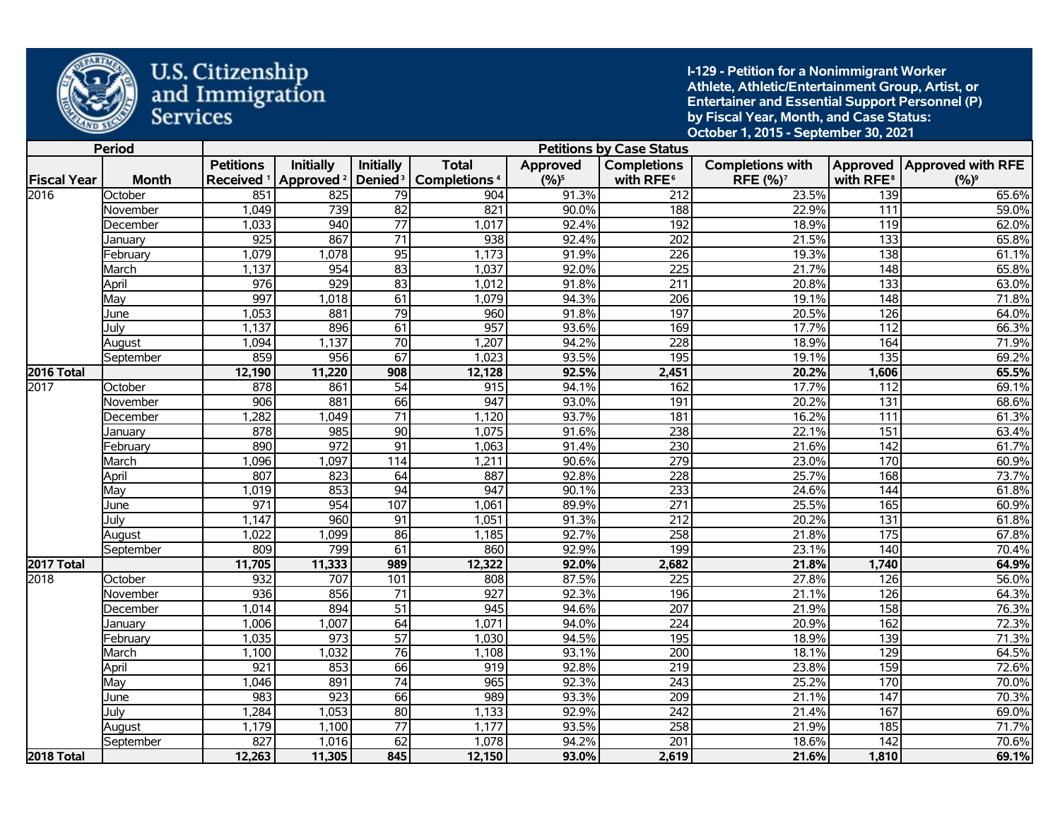

**I-129 - Petition for a Nonimmigrant Worker Athlete, Athletic/Entertainment Group, Artist, or Entertainer and Essential Support Personnel (P) by Fiscal Year, Month, and Case Status: October 1, 2015 - September 30, 2021** 

|                    | <b>Period</b> |                       |                       |                     |                                |           | <b>Petitions by Case Status</b> |                         |                       |                              |
|--------------------|---------------|-----------------------|-----------------------|---------------------|--------------------------------|-----------|---------------------------------|-------------------------|-----------------------|------------------------------|
|                    |               | <b>Petitions</b>      | <b>Initially</b>      | <b>Initially</b>    | <b>Total</b>                   | Approved  | <b>Completions</b>              | <b>Completions with</b> |                       | Approved   Approved with RFE |
| <b>Fiscal Year</b> | <b>Month</b>  | Received <sup>1</sup> | Approved <sup>2</sup> | Denied <sup>3</sup> | <b>Completions<sup>4</sup></b> | $(9/6)^5$ | with RFE <sup>6</sup>           | RFE (%) <sup>7</sup>    | with RFE <sup>8</sup> | $(%)^9$                      |
| 2016               | October       | 851                   | 825                   | $\overline{79}$     | 904                            | 91.3%     | 212                             | 23.5%                   | 139                   | 65.6%                        |
|                    | November      | 1,049                 | 739                   | $\overline{82}$     | 821                            | 90.0%     | 188                             | 22.9%                   | 111                   | 59.0%                        |
|                    | December      | 1,033                 | 940                   | $\overline{77}$     | 1,017                          | 92.4%     | 192                             | 18.9%                   | $\overline{119}$      | 62.0%                        |
|                    | Januarv       | 925                   | 867                   | $\overline{71}$     | 938                            | 92.4%     | 202                             | 21.5%                   | $\overline{133}$      | 65.8%                        |
|                    | February      | 1,079                 | 1,078                 | $\overline{95}$     | 1,173                          | 91.9%     | 226                             | 19.3%                   | 138                   | 61.1%                        |
|                    | March         | 1,137                 | 954                   | $\overline{83}$     | 1,037                          | 92.0%     | 225                             | 21.7%                   | 148                   | 65.8%                        |
|                    | April         | 976                   | 929                   | $\overline{83}$     | 1,012                          | 91.8%     | $\overline{211}$                | 20.8%                   | $\overline{133}$      | 63.0%                        |
|                    | May           | 997                   | 1,018                 | $\overline{61}$     | 1,079                          | 94.3%     | $\overline{206}$                | 19.1%                   | $\overline{148}$      | 71.8%                        |
|                    | June          | 1,053                 | 881                   | $\overline{79}$     | 960                            | 91.8%     | 197                             | 20.5%                   | 126                   | 64.0%                        |
|                    | July          | 1,137                 | 896                   | 61                  | 957                            | 93.6%     | 169                             | 17.7%                   | $\overline{112}$      | 66.3%                        |
|                    | August        | 1,094                 | 1,137                 | 70                  | 1,207                          | 94.2%     | 228                             | 18.9%                   | 164                   | 71.9%                        |
|                    | September     | 859                   | 956                   | 67                  | 1,023                          | 93.5%     | 195                             | 19.1%                   | $\overline{135}$      | 69.2%                        |
| 2016 Total         |               | 12,190                | 11,220                | 908                 | 12,128                         | 92.5%     | 2,451                           | 20.2%                   | 1,606                 | 65.5%                        |
| 2017               | October       | 878                   | 861                   | $\overline{54}$     | 915                            | 94.1%     | 162                             | 17.7%                   | 112                   | 69.1%                        |
|                    | November      | 906                   | 881                   | 66                  | 947                            | 93.0%     | 191                             | 20.2%                   | $\overline{131}$      | 68.6%                        |
|                    | December      | 1,282                 | 1,049                 | $\overline{71}$     | 1,120                          | 93.7%     | 181                             | 16.2%                   | 111                   | 61.3%                        |
|                    | Januarv       | 878                   | 985                   | $\overline{90}$     | 1,075                          | 91.6%     | 238                             | 22.1%                   | $\overline{151}$      | 63.4%                        |
|                    | February      | 890                   | 972                   | $\overline{91}$     | 1,063                          | 91.4%     | 230                             | 21.6%                   | $\frac{142}{2}$       | 61.7%                        |
|                    | March         | 1,096                 | 1,097                 | 114                 | 1,211                          | 90.6%     | $\overline{279}$                | 23.0%                   | 170                   | 60.9%                        |
|                    | April         | 807                   | 823                   | 64                  | 887                            | 92.8%     | 228                             | 25.7%                   | 168                   | 73.7%                        |
|                    | Mav           | 1,019                 | 853                   | $\overline{94}$     | 947                            | 90.1%     | 233                             | 24.6%                   | 144                   | 61.8%                        |
|                    | June          | $\overline{971}$      | 954                   | 107                 | 1,061                          | 89.9%     | $\overline{271}$                | 25.5%                   | 165                   | 60.9%                        |
|                    | July          | 1,147                 | 960                   | $\overline{91}$     | 1,051                          | 91.3%     | 212                             | 20.2%                   | 131                   | 61.8%                        |
|                    | August        | 1,022                 | 1,099                 | $\overline{86}$     | 1,185                          | 92.7%     | $\overline{258}$                | 21.8%                   | $\overline{175}$      | 67.8%                        |
|                    | September     | 809                   | 799                   | 61                  | 860                            | 92.9%     | 199                             | 23.1%                   | 140                   | 70.4%                        |
| 2017 Total         |               | 11,705                | 11,333                | 989                 | 12,322                         | 92.0%     | 2,682                           | 21.8%                   | 1,740                 | 64.9%                        |
| 2018               | October       | 932                   | 707                   | 101                 | 808                            | 87.5%     | 225                             | 27.8%                   | 126                   | 56.0%                        |
|                    | November      | 936                   | 856                   | $\overline{71}$     | 927                            | 92.3%     | 196                             | 21.1%                   | 126                   | 64.3%                        |
|                    | December      | 1,014                 | 894                   | $\overline{51}$     | 945                            | 94.6%     | 207                             | 21.9%                   | 158                   | 76.3%                        |
|                    | Januarv       | 1,006                 | 1,007                 | 64                  | 1,071                          | 94.0%     | $\overline{224}$                | 20.9%                   | 162                   | 72.3%                        |
|                    | Februarv      | 1,035                 | $\overline{973}$      | $\overline{57}$     | 1,030                          | 94.5%     | 195                             | 18.9%                   | $\frac{139}{2}$       | 71.3%                        |
|                    | March         | 1,100                 | 1,032                 | 76                  | 1,108                          | 93.1%     | 200                             | 18.1%                   | 129                   | 64.5%                        |
|                    | April         | $\overline{921}$      | 853                   | 66                  | 919                            | 92.8%     | $\overline{219}$                | 23.8%                   | 159                   | 72.6%                        |
|                    | May           | 1,046                 | 891                   | $\overline{74}$     | 965                            | 92.3%     | 243                             | 25.2%                   | 170                   | 70.0%                        |
|                    | June          | 983                   | 923                   | 66                  | 989                            | 93.3%     | $\overline{209}$                | 21.1%                   | $\overline{147}$      | 70.3%                        |
|                    | July          | 1,284                 | 1,053                 | 80                  | 1,133                          | 92.9%     | $\overline{242}$                | 21.4%                   | 167                   | 69.0%                        |
|                    | August        | 1,179                 | 1,100                 | $\overline{77}$     | 1,177                          | 93.5%     | $\overline{258}$                | 21.9%                   | 185                   | 71.7%                        |
|                    | September     | 827                   | 1,016                 | 62                  | 1,078                          | 94.2%     | 201                             | 18.6%                   | $\overline{142}$      | 70.6%                        |
| <b>2018 Total</b>  |               | 12,263                | 11,305                | 845                 | 12,150                         | 93.0%     | 2,619                           | 21.6%                   | 1,810                 | 69.1%                        |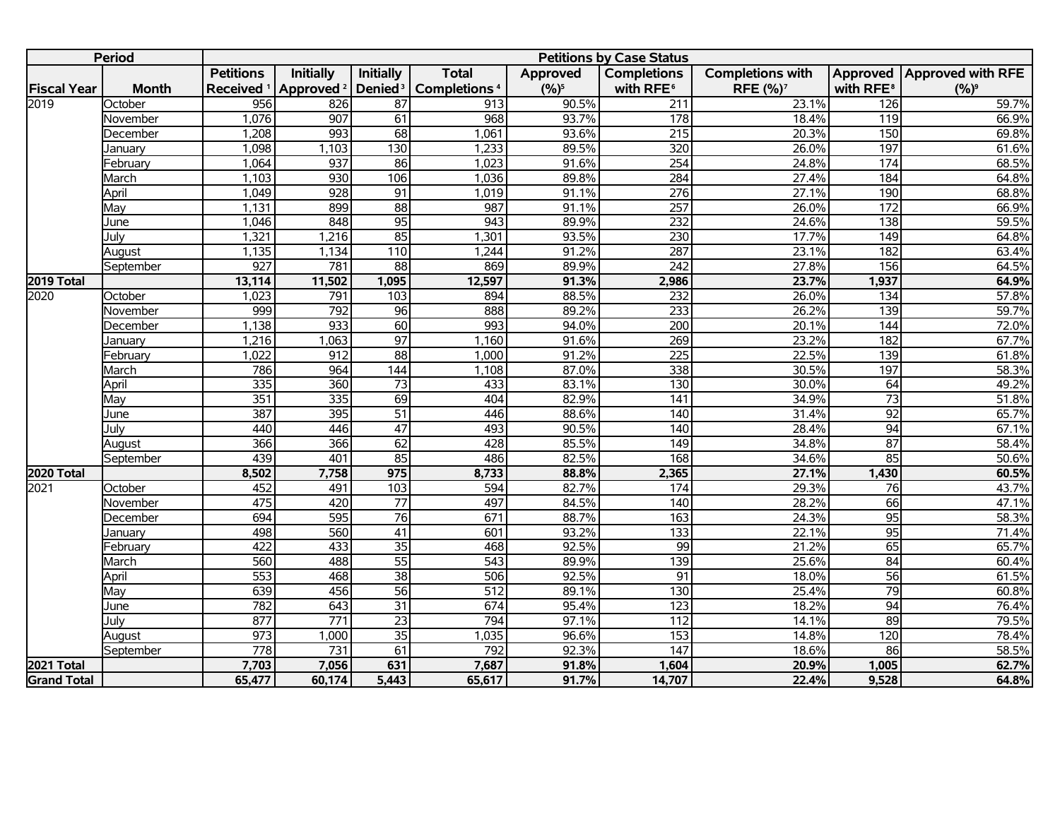|                    | <b>Period</b> |                  |                                             |                     |                          |           | <b>Petitions by Case Status</b> |                            |                       |                            |
|--------------------|---------------|------------------|---------------------------------------------|---------------------|--------------------------|-----------|---------------------------------|----------------------------|-----------------------|----------------------------|
|                    |               | <b>Petitions</b> | <b>Initially</b>                            | Initially           | <b>Total</b>             | Approved  | <b>Completions</b>              | <b>Completions with</b>    |                       | Approved Approved with RFE |
| <b>Fiscal Year</b> | <b>Month</b>  |                  | Received <sup>1</sup> Approved <sup>2</sup> | Denied <sup>3</sup> | Completions <sup>4</sup> | $(9/6)^5$ | with RFE <sup>6</sup>           | <b>RFE (%)<sup>7</sup></b> | with RFE <sup>8</sup> | $(%)^9$                    |
| 2019               | October       | 956              | 826                                         | $\overline{87}$     | 913                      | 90.5%     | 211                             | 23.1%                      | 126                   | 59.7%                      |
|                    | November      | 1,076            | 907                                         | 61                  | 968                      | 93.7%     | 178                             | 18.4%                      | 119                   | 66.9%                      |
|                    | December      | 1,208            | 993                                         | $\overline{68}$     | 1,061                    | 93.6%     | 215                             | 20.3%                      | 150                   | 69.8%                      |
|                    | Januarv       | 1,098            | 1,103                                       | 130                 | 1,233                    | 89.5%     | 320                             | 26.0%                      | 197                   | 61.6%                      |
|                    | February      | 1,064            | 937                                         | 86                  | 1,023                    | 91.6%     | 254                             | 24.8%                      | 174                   | 68.5%                      |
|                    | March         | 1,103            | 930                                         | 106                 | 1,036                    | 89.8%     | 284                             | 27.4%                      | 184                   | 64.8%                      |
|                    | April         | 1,049            | 928                                         | 91                  | 1,019                    | 91.1%     | $\overline{276}$                | 27.1%                      | 190                   | 68.8%                      |
|                    | May           | 1,131            | 899                                         | 88                  | 987                      | 91.1%     | 257                             | 26.0%                      | 172                   | 66.9%                      |
|                    | June          | 1,046            | 848                                         | 95                  | 943                      | 89.9%     | 232                             | 24.6%                      | 138                   | 59.5%                      |
|                    | Julv          | 1,321            | 1,216                                       | $\overline{85}$     | 1,301                    | 93.5%     | $\overline{230}$                | 17.7%                      | 149                   | 64.8%                      |
|                    | August        | 1,135            | 1,134                                       | $\overline{110}$    | 1,244                    | 91.2%     | 287                             | 23.1%                      | 182                   | 63.4%                      |
|                    | September     | 927              | 781                                         | 88                  | 869                      | 89.9%     | 242                             | 27.8%                      | 156                   | 64.5%                      |
| 2019 Total         |               | 13,114           | 11,502                                      | 1,095               | 12,597                   | 91.3%     | 2,986                           | 23.7%                      | 1,937                 | 64.9%                      |
| 2020               | October       | 1,023            | $\overline{791}$                            | 103                 | 894                      | 88.5%     | 232                             | 26.0%                      | $\frac{134}{x}$       | 57.8%                      |
|                    | November      | 999              | 792                                         | 96                  | 888                      | 89.2%     | 233                             | 26.2%                      | 139                   | 59.7%                      |
|                    | December      | 1,138            | 933                                         | 60                  | 993                      | 94.0%     | $\overline{200}$                | 20.1%                      | $\overline{144}$      | 72.0%                      |
|                    | January       | 1,216            | 1,063                                       | 97                  | 1,160                    | 91.6%     | 269                             | 23.2%                      | 182                   | 67.7%                      |
|                    | Februarv      | 1,022            | 912                                         | 88                  | 1,000                    | 91.2%     | 225                             | 22.5%                      | 139                   | 61.8%                      |
|                    | March         | 786              | 964                                         | 144                 | 1,108                    | 87.0%     | $\frac{1}{338}$                 | 30.5%                      | 197                   | 58.3%                      |
|                    | April         | 335              | 360                                         | $\overline{73}$     | 433                      | 83.1%     | 130                             | 30.0%                      | 64                    | 49.2%                      |
|                    | Mav           | 351              | $\frac{1}{335}$                             | 69                  | 404                      | 82.9%     | 141                             | 34.9%                      | $\overline{73}$       | 51.8%                      |
|                    | June          | 387              | 395                                         | $\overline{51}$     | 446                      | 88.6%     | $\overline{140}$                | 31.4%                      | $\overline{92}$       | 65.7%                      |
|                    | Julv          | 440              | 446                                         | $\overline{47}$     | 493                      | 90.5%     | 140                             | 28.4%                      | 94                    | 67.1%                      |
|                    | August        | 366              | 366                                         | $\overline{62}$     | 428                      | 85.5%     | 149                             | 34.8%                      | 87                    | 58.4%                      |
|                    | September     | 439              | 401                                         | $\overline{85}$     | 486                      | 82.5%     | 168                             | 34.6%                      | 85                    | 50.6%                      |
| 2020 Total         |               | 8,502            | 7,758                                       | 975                 | 8,733                    | 88.8%     | 2,365                           | 27.1%                      | 1,430                 | 60.5%                      |
| 2021               | October       | 452              | 491                                         | 103                 | 594                      | 82.7%     | 174                             | 29.3%                      | 76                    | 43.7%                      |
|                    | November      | 475              | 420                                         | $\overline{77}$     | 497                      | 84.5%     | 140                             | 28.2%                      | 66                    | 47.1%                      |
|                    | December      | 694              | 595                                         | $\overline{76}$     | 671                      | 88.7%     | 163                             | 24.3%                      | 95                    | 58.3%                      |
|                    | January       | 498              | 560                                         | $\overline{41}$     | 601                      | 93.2%     | 133                             | 22.1%                      | 95                    | 71.4%                      |
|                    | February      | 422              | 433                                         | $\overline{35}$     | 468                      | 92.5%     | 99                              | 21.2%                      | 65                    | 65.7%                      |
|                    | March         | 560              | 488                                         | $\overline{55}$     | $\overline{543}$         | 89.9%     | 139                             | 25.6%                      | 84                    | 60.4%                      |
|                    | April         | 553              | 468                                         | $\overline{38}$     | 506                      | 92.5%     | 91                              | 18.0%                      | $\overline{56}$       | 61.5%                      |
|                    | May           | 639              | 456                                         | $\overline{56}$     | 512                      | 89.1%     | 130                             | 25.4%                      | 79                    | 60.8%                      |
|                    | June          | 782              | 643                                         | $\overline{31}$     | 674                      | 95.4%     | 123                             | 18.2%                      | $\overline{94}$       | 76.4%                      |
|                    | Julv          | 877              | $\overline{771}$                            | $\overline{23}$     | 794                      | 97.1%     | 112                             | 14.1%                      | 89                    | 79.5%                      |
|                    | August        | 973              | 1,000                                       | $\overline{35}$     | 1,035                    | 96.6%     | 153                             | 14.8%                      | 120                   | 78.4%                      |
|                    | September     | $\overline{778}$ | 731                                         | 61                  | 792                      | 92.3%     | $\overline{147}$                | 18.6%                      | 86                    | 58.5%                      |
| 2021 Total         |               | 7,703            | 7,056                                       | 631                 | 7,687                    | 91.8%     | 1,604                           | 20.9%                      | 1,005                 | 62.7%                      |
| <b>Grand Total</b> |               | 65,477           | 60,174                                      | 5,443               | 65,617                   | 91.7%     | 14,707                          | 22.4%                      | 9,528                 | 64.8%                      |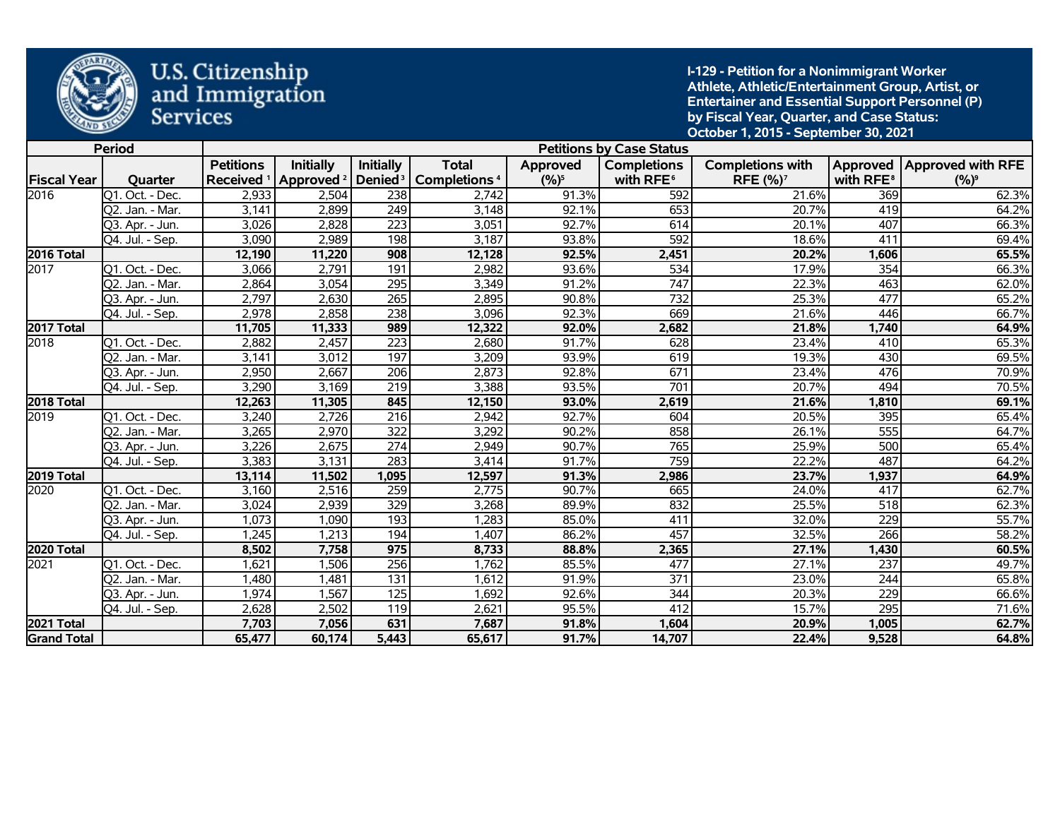

**I-129 - Petition for a Nonimmigrant Worker Athlete, Athletic/Entertainment Group, Artist, or Entertainer and Essential Support Personnel (P) by Fiscal Year, Quarter, and Case Status: October 1, 2015 - September 30, 2021** 

|                    | <b>Period</b>                 |                  |                  |                  |                                                                                          |          | <b>Petitions by Case Status</b> |                            |                       |                              |
|--------------------|-------------------------------|------------------|------------------|------------------|------------------------------------------------------------------------------------------|----------|---------------------------------|----------------------------|-----------------------|------------------------------|
|                    |                               | <b>Petitions</b> | <b>Initially</b> | <b>Initially</b> | <b>Total</b>                                                                             | Approved | <b>Completions</b>              | <b>Completions with</b>    |                       | Approved   Approved with RFE |
| <b>Fiscal Year</b> | Quarter                       |                  |                  |                  | Received <sup>1</sup> Approved <sup>2</sup> Denied <sup>3</sup> Completions <sup>4</sup> | $(%)^5$  | with RFE <sup>6</sup>           | <b>RFE (%)<sup>7</sup></b> | with RFE <sup>8</sup> | $(%)^9$                      |
| 2016               | $\overline{Q1}$ . Oct. - Dec. | 2,933            | 2,504            | 238              | 2,742                                                                                    | 91.3%    | 592                             | 21.6%                      | 369                   | 62.3%                        |
|                    | Q2. Jan. - Mar.               | 3,141            | 2,899            | 249              | 3,148                                                                                    | 92.1%    | 653                             | 20.7%                      | 419                   | 64.2%                        |
|                    | Q3. Apr. - Jun.               | 3,026            | 2,828            | 223              | 3,051                                                                                    | 92.7%    | 614                             | 20.1%                      | 407                   | 66.3%                        |
|                    | Q4. Jul. - Sep.               | 3,090            | 2,989            | 198              | 3,187                                                                                    | 93.8%    | 592                             | 18.6%                      | 411                   | 69.4%                        |
| 2016 Total         |                               | 12,190           | 11,220           | 908              | 12,128                                                                                   | 92.5%    | 2,451                           | 20.2%                      | 1,606                 | 65.5%                        |
| 2017               | Q1. Oct. - Dec.               | 3,066            | 2,791            | 191              | 2,982                                                                                    | 93.6%    | $\overline{534}$                | 17.9%                      | 354                   | 66.3%                        |
|                    | Q2. Jan. - Mar.               | 2,864            | 3,054            | 295              | 3,349                                                                                    | 91.2%    | 747                             | 22.3%                      | 463                   | 62.0%                        |
|                    | Q3. Apr. - Jun.               | 2,797            | 2,630            | $\overline{265}$ | 2,895                                                                                    | 90.8%    | 732                             | 25.3%                      | 477                   | 65.2%                        |
|                    | Q4. Jul. - Sep.               | 2,978            | 2,858            | 238              | 3,096                                                                                    | 92.3%    | 669                             | 21.6%                      | 446                   | 66.7%                        |
| 2017 Total         |                               | 11,705           | 11,333           | 989              | 12,322                                                                                   | 92.0%    | 2,682                           | 21.8%                      | 1,740                 | 64.9%                        |
| 2018               | Q1. Oct. - Dec.               | 2,882            | 2,457            | 223              | 2,680                                                                                    | 91.7%    | 628                             | 23.4%                      | 410                   | 65.3%                        |
|                    | Q2. Jan. - Mar.               | 3,141            | 3,012            | 197              | 3,209                                                                                    | 93.9%    | 619                             | 19.3%                      | 430                   | 69.5%                        |
|                    | Q3. Apr. - Jun.               | 2,950            | 2,667            | 206              | 2,873                                                                                    | 92.8%    | 671                             | 23.4%                      | 476                   | 70.9%                        |
|                    | Q4. Jul. - Sep.               | 3,290            | 3,169            | 219              | 3,388                                                                                    | 93.5%    | 701                             | 20.7%                      | 494                   | 70.5%                        |
| 2018 Total         |                               | 12,263           | 11,305           | 845              | 12,150                                                                                   | 93.0%    | 2,619                           | 21.6%                      | 1,810                 | 69.1%                        |
| 2019               | Q1. Oct. - Dec.               | 3,240            | 2,726            | 216              | 2,942                                                                                    | 92.7%    | 604                             | 20.5%                      | 395                   | 65.4%                        |
|                    | Q2. Jan. - Mar.               | 3,265            | 2,970            | 322              | 3,292                                                                                    | 90.2%    | 858                             | 26.1%                      | $\overline{555}$      | 64.7%                        |
|                    | Q3. Apr. - Jun.               | 3,226            | 2,675            | 274              | 2,949                                                                                    | 90.7%    | 765                             | 25.9%                      | 500                   | 65.4%                        |
|                    | Q4. Jul. - Sep.               | 3,383            | 3,131            | 283              | 3,414                                                                                    | 91.7%    | 759                             | 22.2%                      | 487                   | 64.2%                        |
| 2019 Total         |                               | 13,114           | 11,502           | 1,095            | 12,597                                                                                   | 91.3%    | 2,986                           | 23.7%                      | 1,937                 | 64.9%                        |
| 2020               | Q1. Oct. - Dec.               | 3,160            | 2,516            | 259              | 2,775                                                                                    | 90.7%    | 665                             | 24.0%                      | 417                   | 62.7%                        |
|                    | Q2. Jan. - Mar.               | 3,024            | 2,939            | 329              | 3,268                                                                                    | 89.9%    | 832                             | 25.5%                      | 518                   | 62.3%                        |
|                    | Q3. Apr. - Jun.               | 1,073            | 1,090            | 193              | 1,283                                                                                    | 85.0%    | 411                             | 32.0%                      | 229                   | 55.7%                        |
|                    | Q4. Jul. - Sep.               | 1,245            | 1,213            | 194              | 1,407                                                                                    | 86.2%    | 457                             | 32.5%                      | 266                   | 58.2%                        |
| 2020 Total         |                               | 8,502            | 7,758            | 975              | 8,733                                                                                    | 88.8%    | 2,365                           | 27.1%                      | 1,430                 | 60.5%                        |
| 2021               | Q1. Oct. - Dec.               | 1,621            | 1,506            | 256              | 1,762                                                                                    | 85.5%    | 477                             | 27.1%                      | $\overline{237}$      | 49.7%                        |
|                    | Q2. Jan. - Mar.               | 1,480            | 1,481            | 131              | 1,612                                                                                    | 91.9%    | 371                             | 23.0%                      | 244                   | 65.8%                        |
|                    | Q3. Apr. - Jun.               | 1,974            | 1,567            | 125              | 1,692                                                                                    | 92.6%    | 344                             | 20.3%                      | 229                   | 66.6%                        |
|                    | Q4. Jul. - Sep.               | 2,628            | 2,502            | 119              | 2,621                                                                                    | 95.5%    | 412                             | 15.7%                      | 295                   | 71.6%                        |
| 2021 Total         |                               | 7,703            | 7,056            | 631              | 7,687                                                                                    | 91.8%    | 1,604                           | 20.9%                      | 1,005                 | 62.7%                        |
| <b>Grand Total</b> |                               | 65,477           | 60,174           | 5,443            | 65,617                                                                                   | 91.7%    | 14,707                          | 22.4%                      | 9,528                 | 64.8%                        |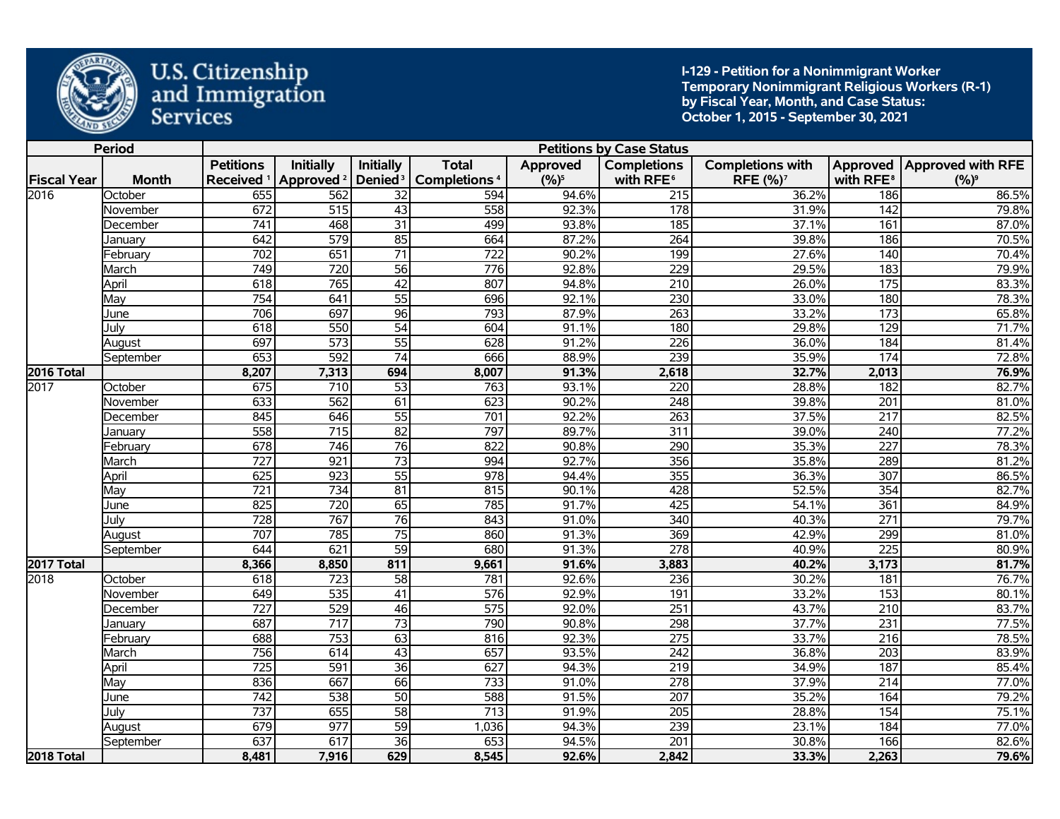

**I-129 - Petition for a Nonimmigrant Worker Temporary Nonimmigrant Religious Workers (R-1) by Fiscal Year, Month, and Case Status: October 1, 2015 - September 30, 2021** 

|                    | <b>Period</b> |                                           |                       |                     |                                                |          | <b>Petitions by Case Status</b> |                               |                       |                              |
|--------------------|---------------|-------------------------------------------|-----------------------|---------------------|------------------------------------------------|----------|---------------------------------|-------------------------------|-----------------------|------------------------------|
|                    |               | <b>Petitions</b><br>Received <sup>1</sup> | <b>Initially</b>      | <b>Initially</b>    | <b>Total</b><br><b>Completions<sup>4</sup></b> | Approved | <b>Completions</b>              | <b>Completions with</b>       | with RFE <sup>8</sup> | Approved   Approved with RFE |
| <b>Fiscal Year</b> | <b>Month</b>  |                                           | Approved <sup>2</sup> | Denied <sup>3</sup> |                                                | $(%)^5$  | with RFE <sup>6</sup>           | RFE (%) <sup>7</sup><br>36.2% |                       | $(%)^9$<br>86.5%             |
| 2016               | October       | 655                                       | 562                   | 32                  | 594                                            | 94.6%    | 215                             |                               | 186                   |                              |
|                    | November      | 672                                       | 515                   | 43                  | 558                                            | 92.3%    | 178                             | 31.9%                         | 142                   | 79.8%                        |
|                    | December      | 741                                       | 468                   | $\overline{31}$     | 499                                            | 93.8%    | 185                             | 37.1%                         | 161                   | 87.0%                        |
|                    | Januarv       | 642                                       | 579                   | $\overline{85}$     | 664                                            | 87.2%    | 264                             | 39.8%                         | 186                   | 70.5%                        |
|                    | February      | 702                                       | 651                   | $\overline{71}$     | 722                                            | 90.2%    | 199                             | 27.6%                         | 140                   | 70.4%                        |
|                    | March         | 749                                       | 720                   | $\overline{56}$     | 776                                            | 92.8%    | 229                             | 29.5%                         | 183                   | 79.9%                        |
|                    | April         | 618                                       | 765                   | $\overline{42}$     | 807                                            | 94.8%    | $\overline{210}$                | 26.0%                         | $\frac{175}{2}$       | 83.3%                        |
|                    | May           | 754                                       | 641                   | $\overline{55}$     | 696                                            | 92.1%    | 230                             | 33.0%                         | 180                   | 78.3%                        |
|                    | June          | 706                                       | 697                   | $\overline{96}$     | 793                                            | 87.9%    | $\overline{263}$                | 33.2%                         | $\frac{1}{173}$       | 65.8%                        |
|                    | Julv          | 618                                       | 550                   | $\overline{54}$     | 604                                            | 91.1%    | 180                             | 29.8%                         | 129                   | 71.7%                        |
|                    | August        | 697                                       | 573                   | $\overline{55}$     | 628                                            | 91.2%    | $\overline{226}$                | 36.0%                         | 184                   | 81.4%                        |
|                    | September     | 653                                       | 592                   | $\overline{74}$     | 666                                            | 88.9%    | 239                             | 35.9%                         | 174                   | 72.8%                        |
| <b>2016 Total</b>  |               | 8,207                                     | 7,313                 | 694                 | 8,007                                          | 91.3%    | 2,618                           | 32.7%                         | 2,013                 | 76.9%                        |
| 2017               | October       | 675                                       | 710                   | 53                  | 763                                            | 93.1%    | 220                             | 28.8%                         | 182                   | 82.7%                        |
|                    | November      | 633                                       | 562                   | 61                  | 623                                            | 90.2%    | 248                             | 39.8%                         | $\overline{201}$      | 81.0%                        |
|                    | December      | 845                                       | 646                   | $\overline{55}$     | 701                                            | 92.2%    | $\overline{263}$                | 37.5%                         | $\overline{217}$      | 82.5%                        |
|                    | January       | 558                                       | $\overline{715}$      | $\overline{82}$     | 797                                            | 89.7%    | $\overline{311}$                | 39.0%                         | $\overline{240}$      | 77.2%                        |
|                    | February      | 678                                       | 746                   | $\overline{76}$     | 822                                            | 90.8%    | 290                             | 35.3%                         | $\overline{227}$      | 78.3%                        |
|                    | March         | 727                                       | $\overline{921}$      | $\overline{73}$     | 994                                            | 92.7%    | 356                             | 35.8%                         | 289                   | 81.2%                        |
|                    | April         | 625                                       | 923                   | $\overline{55}$     | 978                                            | 94.4%    | 355                             | 36.3%                         | 307                   | 86.5%                        |
|                    | May           | 721                                       | $\overline{734}$      | $\overline{81}$     | 815                                            | 90.1%    | 428                             | 52.5%                         | 354                   | 82.7%                        |
|                    | June          | 825                                       | 720                   | $\overline{65}$     | 785                                            | 91.7%    | 425                             | 54.1%                         | 361                   | 84.9%                        |
|                    | July          | $\overline{728}$                          | 767                   | $\overline{76}$     | 843                                            | 91.0%    | 340                             | 40.3%                         | $\overline{271}$      | 79.7%                        |
|                    | August        | 707                                       | 785                   | $\overline{75}$     | 860                                            | 91.3%    | 369                             | 42.9%                         | 299                   | 81.0%                        |
|                    | September     | 644                                       | 621                   | $\overline{59}$     | 680                                            | 91.3%    | $\overline{278}$                | 40.9%                         | 225                   | 80.9%                        |
| <b>2017 Total</b>  |               | 8,366                                     | 8,850                 | 811                 | 9,661                                          | 91.6%    | 3,883                           | 40.2%                         | 3,173                 | 81.7%                        |
| 2018               | October       | 618                                       | 723                   | 58                  | 781                                            | 92.6%    | 236                             | 30.2%                         | 181                   | 76.7%                        |
|                    | November      | 649                                       | $\overline{535}$      | 41                  | $\overline{576}$                               | 92.9%    | 191                             | 33.2%                         | $\overline{153}$      | 80.1%                        |
|                    | December      | 727                                       | 529                   | 46                  | 575                                            | 92.0%    | 251                             | 43.7%                         | $\overline{210}$      | 83.7%                        |
|                    | January       | 687                                       | $\overline{717}$      | $\overline{73}$     | 790                                            | 90.8%    | 298                             | 37.7%                         | 231                   | 77.5%                        |
|                    | February      | 688                                       | 753                   | 63                  | 816                                            | 92.3%    | $\overline{275}$                | 33.7%                         | $\overline{216}$      | 78.5%                        |
|                    | March         | 756                                       | 614                   | $\overline{43}$     | 657                                            | 93.5%    | 242                             | 36.8%                         | 203                   | 83.9%                        |
|                    | April         | 725                                       | 591                   | $\overline{36}$     | 627                                            | 94.3%    | $\overline{219}$                | 34.9%                         | 187                   | 85.4%                        |
|                    | May           | 836                                       | 667                   | 66                  | $\overline{733}$                               | 91.0%    | $\overline{278}$                | 37.9%                         | $\overline{214}$      | 77.0%                        |
|                    | June          | $\overline{742}$                          | $\overline{538}$      | $\overline{50}$     | 588                                            | 91.5%    | 207                             | 35.2%                         | 164                   | 79.2%                        |
|                    | July          | $\overline{737}$                          | 655                   | $\overline{58}$     | $\overline{713}$                               | 91.9%    | $\overline{205}$                | 28.8%                         | 154                   | 75.1%                        |
|                    | August        | 679                                       | 977                   | $\overline{59}$     | 1,036                                          | 94.3%    | 239                             | 23.1%                         | 184                   | 77.0%                        |
|                    | September     | 637                                       | 617                   | $\overline{36}$     | 653                                            | 94.5%    | 201                             | 30.8%                         | 166                   | 82.6%                        |
| <b>2018 Total</b>  |               | 8,481                                     | 7,916                 | 629                 | 8,545                                          | 92.6%    | 2,842                           | 33.3%                         | 2,263                 | 79.6%                        |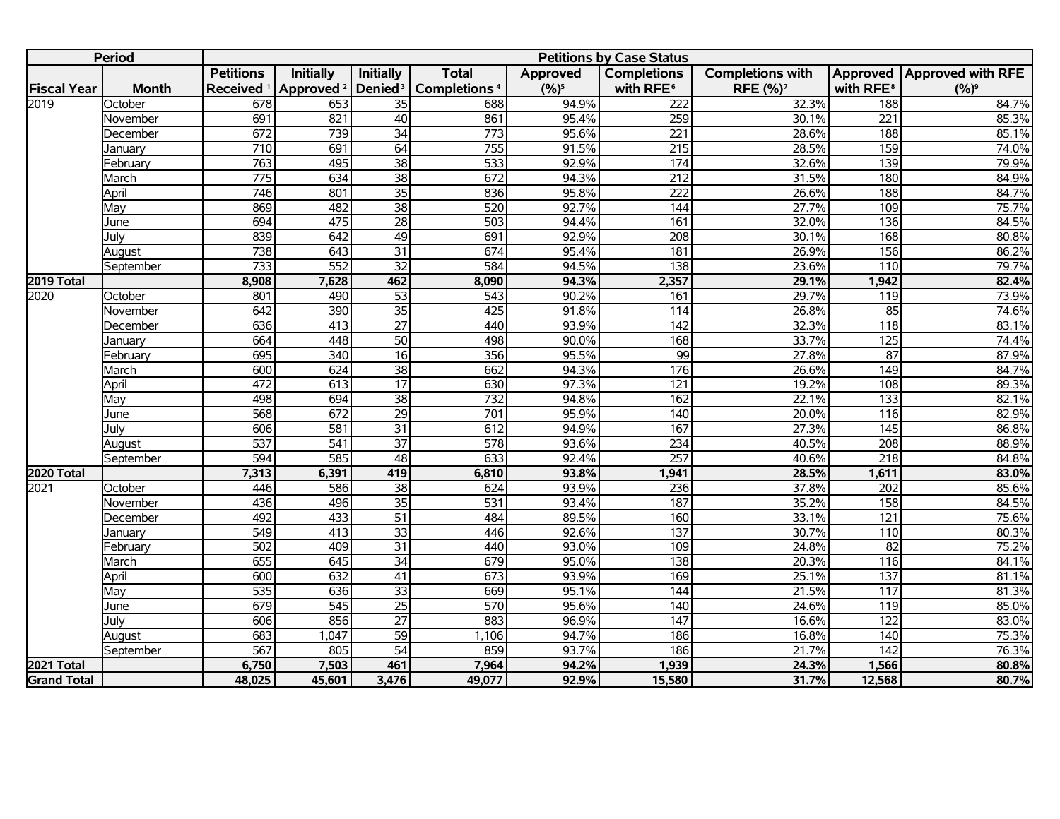|                    | <b>Period</b> |                       |                       |                     |                          |          | <b>Petitions by Case Status</b> |                            |                       |                            |
|--------------------|---------------|-----------------------|-----------------------|---------------------|--------------------------|----------|---------------------------------|----------------------------|-----------------------|----------------------------|
|                    |               | <b>Petitions</b>      | <b>Initially</b>      | Initially           | <b>Total</b>             | Approved | <b>Completions</b>              | <b>Completions with</b>    |                       | Approved Approved with RFE |
| <b>Fiscal Year</b> | <b>Month</b>  | Received <sup>1</sup> | Approved <sup>2</sup> | Denied <sup>3</sup> | Completions <sup>4</sup> | $(%)^5$  | with RFE <sup>6</sup>           | <b>RFE (%)<sup>7</sup></b> | with RFE <sup>8</sup> | $(%)^9$                    |
| 2019               | October       | 678                   | 653                   | $\overline{35}$     | 688                      | 94.9%    | $\overline{222}$                | 32.3%                      | 188                   | 84.7%                      |
|                    | November      | 691                   | 821                   | 40                  | 861                      | 95.4%    | 259                             | 30.1%                      | 221                   | 85.3%                      |
|                    | December      | 672                   | 739                   | $\overline{34}$     | 773                      | 95.6%    | 221                             | 28.6%                      | 188                   | 85.1%                      |
|                    | Januarv       | $\overline{710}$      | 691                   | 64                  | 755                      | 91.5%    | $\overline{215}$                | 28.5%                      | 159                   | 74.0%                      |
|                    | February      | 763                   | 495                   | $\overline{38}$     | 533                      | 92.9%    | 174                             | 32.6%                      | $\overline{139}$      | 79.9%                      |
|                    | March         | 775                   | 634                   | $\overline{38}$     | 672                      | 94.3%    | 212                             | 31.5%                      | 180                   | 84.9%                      |
|                    | April         | 746                   | 801                   | $\overline{35}$     | 836                      | 95.8%    | $\overline{222}$                | 26.6%                      | 188                   | 84.7%                      |
|                    | May           | 869                   | 482                   | $\overline{38}$     | 520                      | 92.7%    | 144                             | 27.7%                      | 109                   | 75.7%                      |
|                    | June          | 694                   | 475                   | $\overline{28}$     | 503                      | 94.4%    | 161                             | 32.0%                      | $\overline{136}$      | 84.5%                      |
|                    | Julv          | 839                   | 642                   | 49                  | 691                      | 92.9%    | $\overline{208}$                | 30.1%                      | 168                   | 80.8%                      |
|                    | August        | 738                   | 643                   | $\overline{31}$     | 674                      | 95.4%    | 181                             | 26.9%                      | 156                   | 86.2%                      |
|                    | September     | 733                   | 552                   | $\overline{32}$     | 584                      | 94.5%    | 138                             | 23.6%                      | 110                   | 79.7%                      |
| 2019 Total         |               | 8,908                 | 7,628                 | 462                 | 8,090                    | 94.3%    | 2,357                           | 29.1%                      | 1,942                 | 82.4%                      |
| 2020               | October       | 801                   | 490                   | $\overline{53}$     | $\overline{543}$         | 90.2%    | 161                             | 29.7%                      | 119                   | 73.9%                      |
|                    | November      | 642                   | 390                   | $\overline{35}$     | 425                      | 91.8%    | $\overline{114}$                | 26.8%                      | 85                    | 74.6%                      |
|                    | December      | 636                   | 413                   | $\overline{27}$     | 440                      | 93.9%    | $\overline{142}$                | 32.3%                      | $\overline{118}$      | 83.1%                      |
|                    | January       | 664                   | 448                   | 50                  | 498                      | 90.0%    | 168                             | 33.7%                      | 125                   | 74.4%                      |
|                    | Februarv      | 695                   | 340                   | $\overline{16}$     | 356                      | 95.5%    | 99                              | 27.8%                      | $\overline{87}$       | 87.9%                      |
|                    | March         | 600                   | 624                   | $\overline{38}$     | 662                      | 94.3%    | 176                             | 26.6%                      | 149                   | 84.7%                      |
|                    | April         | 472                   | 613                   | $\overline{17}$     | 630                      | 97.3%    | 121                             | 19.2%                      | 108                   | 89.3%                      |
|                    | Mav           | 498                   | 694                   | $\overline{38}$     | $\overline{732}$         | 94.8%    | 162                             | 22.1%                      | 133                   | 82.1%                      |
|                    | June          | 568                   | 672                   | $\overline{29}$     | 701                      | 95.9%    | $\overline{140}$                | 20.0%                      | 116                   | 82.9%                      |
|                    | Julv          | 606                   | $\overline{581}$      | $\overline{31}$     | 612                      | 94.9%    | 167                             | 27.3%                      | 145                   | 86.8%                      |
|                    | August        | 537                   | 541                   | $\overline{37}$     | 578                      | 93.6%    | 234                             | 40.5%                      | 208                   | 88.9%                      |
|                    | September     | 594                   | 585                   | 48                  | 633                      | 92.4%    | 257                             | 40.6%                      | $\overline{218}$      | 84.8%                      |
| 2020 Total         |               | 7,313                 | 6,391                 | 419                 | 6,810                    | 93.8%    | 1,941                           | 28.5%                      | 1,611                 | 83.0%                      |
| 2021               | October       | 446                   | 586                   | $\overline{38}$     | 624                      | 93.9%    | 236                             | 37.8%                      | 202                   | 85.6%                      |
|                    | November      | 436                   | 496                   | $\overline{35}$     | $\overline{531}$         | 93.4%    | 187                             | 35.2%                      | 158                   | 84.5%                      |
|                    | December      | 492                   | 433                   | $\overline{51}$     | 484                      | 89.5%    | 160                             | 33.1%                      | 121                   | 75.6%                      |
|                    | January       | 549                   | 413                   | $\overline{33}$     | 446                      | 92.6%    | 137                             | 30.7%                      | 110                   | 80.3%                      |
|                    | February      | 502                   | 409                   | $\overline{31}$     | 440                      | 93.0%    | 109                             | 24.8%                      | 82                    | 75.2%                      |
|                    | March         | 655                   | 645                   | $\overline{34}$     | 679                      | 95.0%    | 138                             | 20.3%                      | 116                   | 84.1%                      |
|                    | April         | 600                   | 632                   | $\overline{41}$     | 673                      | 93.9%    | 169                             | 25.1%                      | 137                   | 81.1%                      |
|                    | May           | 535                   | 636                   | $\overline{33}$     | 669                      | 95.1%    | 144                             | 21.5%                      | 117                   | 81.3%                      |
|                    | June          | 679                   | $\overline{545}$      | $\overline{25}$     | 570                      | 95.6%    | 140                             | 24.6%                      | 119                   | 85.0%                      |
|                    | Julv          | 606                   | 856                   | $\overline{27}$     | 883                      | 96.9%    | 147                             | 16.6%                      | 122                   | 83.0%                      |
|                    | August        | 683                   | 1,047                 | $\overline{59}$     | 1,106                    | 94.7%    | 186                             | 16.8%                      | 140                   | 75.3%                      |
|                    | September     | 567                   | 805                   | $\overline{54}$     | 859                      | 93.7%    | 186                             | 21.7%                      | $\overline{142}$      | 76.3%                      |
| 2021 Total         |               | 6,750                 | 7,503                 | 461                 | 7,964                    | 94.2%    | 1,939                           | 24.3%                      | 1,566                 | 80.8%                      |
| <b>Grand Total</b> |               | 48,025                | 45,601                | 3,476               | 49,077                   | 92.9%    | 15,580                          | 31.7%                      | 12,568                | 80.7%                      |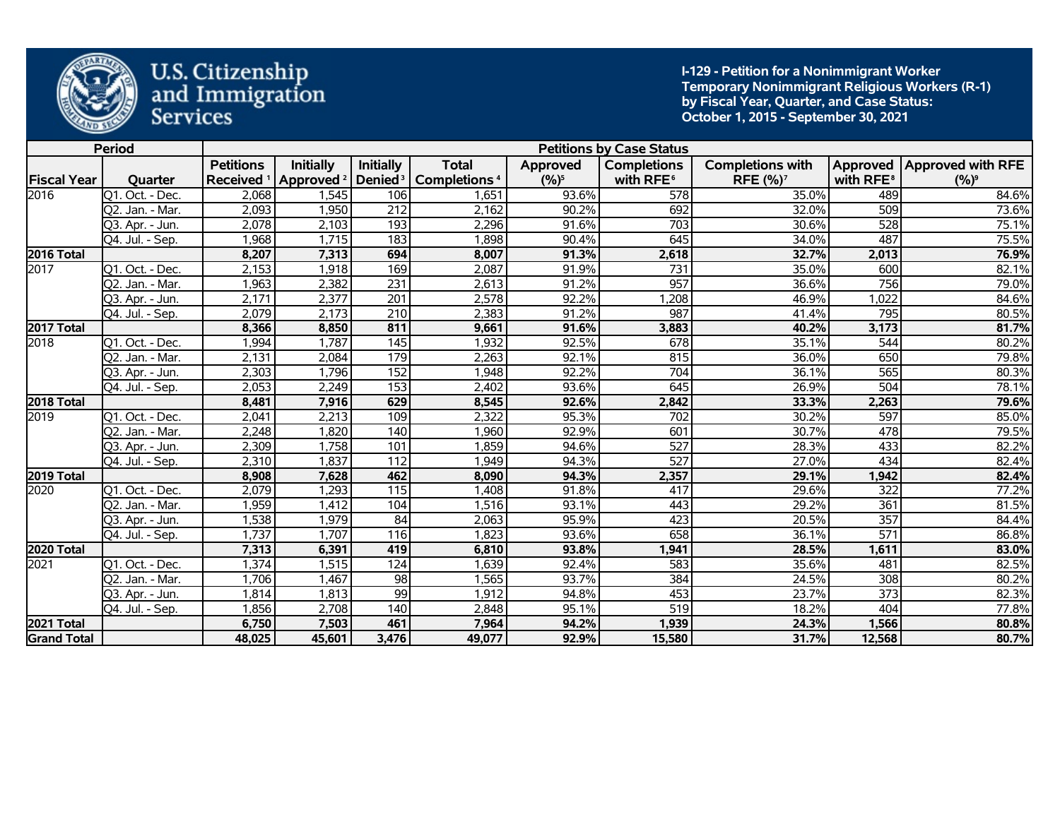

**I-129 - Petition for a Nonimmigrant Worker Temporary Nonimmigrant Religious Workers (R-1) by Fiscal Year, Quarter, and Case Status: October 1, 2015 - September 30, 2021** 

|                    | <b>Period</b>                 |                       |                       |                     |                                |          | <b>Petitions by Case Status</b> |                         |                       |                              |
|--------------------|-------------------------------|-----------------------|-----------------------|---------------------|--------------------------------|----------|---------------------------------|-------------------------|-----------------------|------------------------------|
|                    |                               | <b>Petitions</b>      | <b>Initially</b>      | <b>Initially</b>    | <b>Total</b>                   | Approved | <b>Completions</b>              | <b>Completions with</b> |                       | Approved   Approved with RFE |
| <b>Fiscal Year</b> | Quarter                       | Received <sup>1</sup> | Approved <sup>2</sup> | Denied <sup>3</sup> | <b>Completions<sup>4</sup></b> | $(%)^5$  | with RFE <sup>6</sup>           | RFE (%) <sup>7</sup>    | with RFE <sup>8</sup> | $(9/6)^9$                    |
| 2016               | Q1. Oct. - Dec.               | 2,068                 | 1,545                 | 106                 | 1,651                          | 93.6%    | 578                             | 35.0%                   | 489                   | 84.6%                        |
|                    | Q2. Jan. - Mar.               | 2,093                 | 1,950                 | $\overline{212}$    | 2,162                          | 90.2%    | 692                             | 32.0%                   | 509                   | 73.6%                        |
|                    | Q3. Apr. - Jun.               | 2,078                 | 2,103                 | 193                 | 2,296                          | 91.6%    | 703                             | 30.6%                   | 528                   | 75.1%                        |
|                    | Q4. Jul. - Sep.               | 1,968                 | 1,715                 | 183                 | 1,898                          | 90.4%    | 645                             | 34.0%                   | 487                   | 75.5%                        |
| 2016 Total         |                               | 8,207                 | 7,313                 | 694                 | 8,007                          | 91.3%    | 2,618                           | 32.7%                   | 2,013                 | 76.9%                        |
| 2017               | $\overline{Q1}$ . Oct. - Dec. | 2,153                 | 1,918                 | 169                 | 2,087                          | 91.9%    | 731                             | 35.0%                   | 600                   | 82.1%                        |
|                    | Q2. Jan. - Mar.               | 1,963                 | 2,382                 | 231                 | 2,613                          | 91.2%    | 957                             | 36.6%                   | 756                   | 79.0%                        |
|                    | Q3. Apr. - Jun.               | 2,171                 | 2,377                 | $\overline{201}$    | 2,578                          | 92.2%    | 1,208                           | 46.9%                   | 1,022                 | 84.6%                        |
|                    | Q4. Jul. - Sep.               | 2,079                 | 2,173                 | 210                 | 2,383                          | 91.2%    | 987                             | 41.4%                   | 795                   | 80.5%                        |
| 2017 Total         |                               | 8,366                 | 8,850                 | 811                 | 9,661                          | 91.6%    | 3,883                           | 40.2%                   | 3,173                 | 81.7%                        |
| 2018               | Q1. Oct. - Dec.               | 1,994                 | 1,787                 | 145                 | 1,932                          | 92.5%    | 678                             | 35.1%                   | 544                   | 80.2%                        |
|                    | Q2. Jan. - Mar.               | 2,131                 | 2,084                 | 179                 | 2,263                          | 92.1%    | 815                             | 36.0%                   | 650                   | 79.8%                        |
|                    | O3. Apr. - Jun.               | 2,303                 | 1,796                 | 152                 | 1,948                          | 92.2%    | 704                             | 36.1%                   | 565                   | 80.3%                        |
|                    | Q4. Jul. - Sep.               | 2,053                 | 2,249                 | 153                 | 2,402                          | 93.6%    | 645                             | 26.9%                   | 504                   | 78.1%                        |
| 2018 Total         |                               | 8,481                 | 7,916                 | 629                 | 8,545                          | 92.6%    | 2,842                           | 33.3%                   | 2,263                 | 79.6%                        |
| 2019               | Q1. Oct. - Dec.               | 2,041                 | 2,213                 | 109                 | 2,322                          | 95.3%    | 702                             | 30.2%                   | 597                   | 85.0%                        |
|                    | Q2. Jan. - Mar.               | 2,248                 | 1,820                 | 140                 | 1,960                          | 92.9%    | 601                             | 30.7%                   | 478                   | 79.5%                        |
|                    | Q3. Apr. - Jun.               | 2,309                 | 1,758                 | 101                 | 1,859                          | 94.6%    | 527                             | 28.3%                   | 433                   | 82.2%                        |
|                    | Q4. Jul. - Sep.               | 2,310                 | 1,837                 | 112                 | 1,949                          | 94.3%    | $\overline{527}$                | 27.0%                   | 434                   | 82.4%                        |
| 2019 Total         |                               | 8,908                 | 7,628                 | 462                 | 8,090                          | 94.3%    | 2,357                           | 29.1%                   | 1,942                 | 82.4%                        |
| 2020               | Q1. Oct. - Dec.               | 2,079                 | 1,293                 | 115                 | 1,408                          | 91.8%    | 417                             | 29.6%                   | 322                   | 77.2%                        |
|                    | Q2. Jan. - Mar.               | 1,959                 | 1,412                 | 104                 | 1,516                          | 93.1%    | 443                             | 29.2%                   | 361                   | 81.5%                        |
|                    | 03. Apr. - Jun.               | 1,538                 | 1,979                 | 84                  | 2,063                          | 95.9%    | 423                             | 20.5%                   | 357                   | 84.4%                        |
|                    | Q4. Jul. - Sep.               | 1,737                 | 1,707                 | 116                 | 1,823                          | 93.6%    | 658                             | 36.1%                   | $\overline{571}$      | 86.8%                        |
| 2020 Total         |                               | 7,313                 | 6,391                 | 419                 | 6,810                          | 93.8%    | 1,941                           | 28.5%                   | 1,611                 | 83.0%                        |
| 2021               | Q1. Oct. - Dec.               | 1,374                 | 1,515                 | 124                 | 1,639                          | 92.4%    | 583                             | 35.6%                   | 481                   | 82.5%                        |
|                    | Q2. Jan. - Mar.               | 1,706                 | 1,467                 | 98                  | 1,565                          | 93.7%    | 384                             | 24.5%                   | 308                   | 80.2%                        |
|                    | Q3. Apr. - Jun.               | 1,814                 | 1,813                 | 99                  | 1,912                          | 94.8%    | 453                             | 23.7%                   | 373                   | 82.3%                        |
|                    | Q4. Jul. - Sep.               | 1,856                 | 2,708                 | 140                 | 2,848                          | 95.1%    | 519                             | 18.2%                   | 404                   | 77.8%                        |
| 2021 Total         |                               | 6,750                 | 7,503                 | 461                 | 7,964                          | 94.2%    | 1,939                           | 24.3%                   | 1,566                 | 80.8%                        |
| <b>Grand Total</b> |                               | 48,025                | 45,601                | 3,476               | 49,077                         | 92.9%    | 15,580                          | 31.7%                   | 12,568                | 80.7%                        |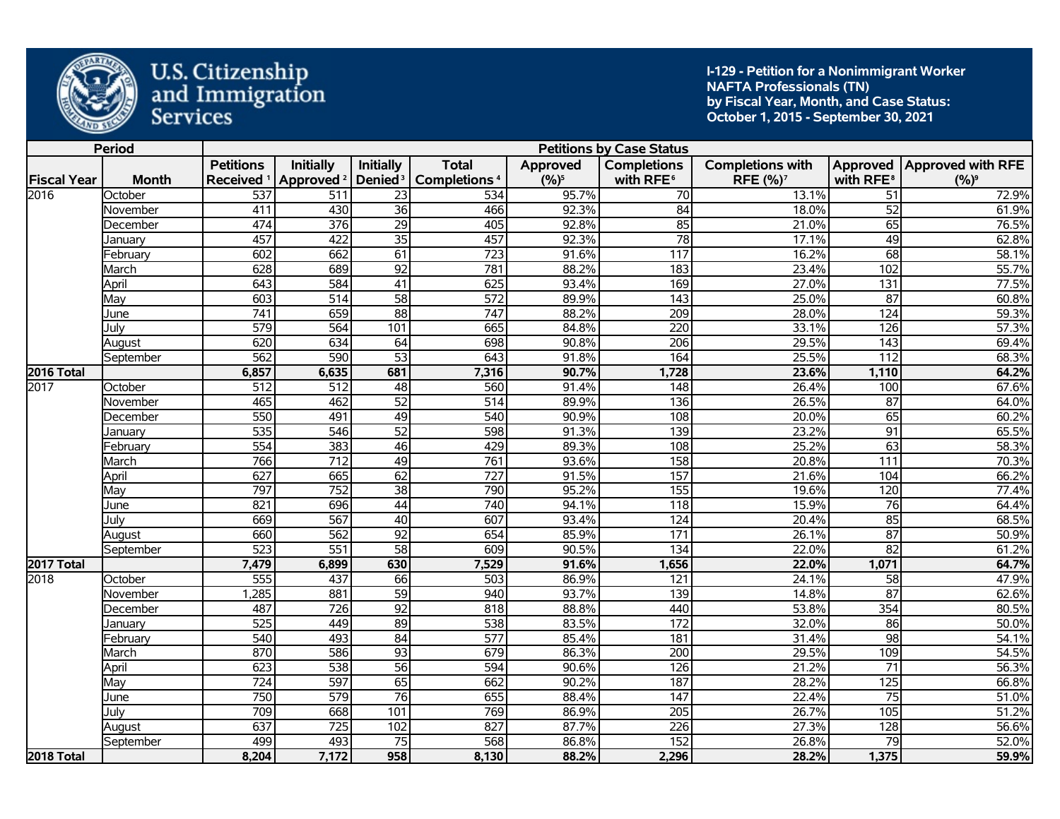

**I-129 - Petition for a Nonimmigrant Worker NAFTA Professionals (TN) by Fiscal Year, Month, and Case Status: October 1, 2015 - September 30, 2021** 

|                    | <b>Period</b> |                       |                       |                     |                          |           | <b>Petitions by Case Status</b> |                         |                       |                              |
|--------------------|---------------|-----------------------|-----------------------|---------------------|--------------------------|-----------|---------------------------------|-------------------------|-----------------------|------------------------------|
|                    |               | <b>Petitions</b>      | <b>Initially</b>      | <b>Initially</b>    | <b>Total</b>             | Approved  | <b>Completions</b>              | <b>Completions with</b> |                       | Approved   Approved with RFE |
| <b>Fiscal Year</b> | <b>Month</b>  | Received <sup>1</sup> | Approved <sup>2</sup> | Denied <sup>3</sup> | Completions <sup>4</sup> | $(9/6)^5$ | with RFE <sup>6</sup>           | RFE (%) <sup>7</sup>    | with RFE <sup>8</sup> | $(%)^9$                      |
| 2016               | October       | 537                   | 511                   | 23                  | 534                      | 95.7%     | 70                              | 13.1%                   | 51                    | 72.9%                        |
|                    | November      | 411                   | 430                   | $\overline{36}$     | 466                      | 92.3%     | 84                              | 18.0%                   | $\overline{52}$       | 61.9%                        |
|                    | December      | 474                   | $\overline{376}$      | $\overline{29}$     | 405                      | 92.8%     | 85                              | 21.0%                   | 65                    | 76.5%                        |
|                    | Januarv       | 457                   | 422                   | $\overline{35}$     | 457                      | 92.3%     | 78                              | 17.1%                   | 49                    | 62.8%                        |
|                    | Februarv      | 602                   | 662                   | 61                  | 723                      | 91.6%     | 117                             | 16.2%                   | 68                    | 58.1%                        |
|                    | March         | 628                   | 689                   | $\overline{92}$     | 781                      | 88.2%     | 183                             | 23.4%                   | 102                   | 55.7%                        |
|                    | April         | 643                   | 584                   | $\overline{41}$     | 625                      | 93.4%     | 169                             | 27.0%                   | $\overline{131}$      | 77.5%                        |
|                    | May           | $\overline{603}$      | $\overline{514}$      | $\overline{58}$     | 572                      | 89.9%     | $\overline{143}$                | 25.0%                   | $\overline{87}$       | 60.8%                        |
|                    | June          | 741                   | 659                   | $\overline{88}$     | 747                      | 88.2%     | 209                             | 28.0%                   | 124                   | 59.3%                        |
|                    | July          | $\overline{579}$      | 564                   | 101                 | 665                      | 84.8%     | $\overline{220}$                | 33.1%                   | 126                   | 57.3%                        |
|                    | August        | 620                   | 634                   | 64                  | 698                      | 90.8%     | $\overline{206}$                | 29.5%                   | $\overline{143}$      | 69.4%                        |
|                    | September     | 562                   | 590                   | $\overline{53}$     | 643                      | 91.8%     | 164                             | 25.5%                   | $\overline{112}$      | 68.3%                        |
| 2016 Total         |               | 6,857                 | 6,635                 | 681                 | 7,316                    | 90.7%     | 1,728                           | 23.6%                   | 1,110                 | 64.2%                        |
| 2017               | October       | 512                   | 512                   | 48                  | 560                      | 91.4%     | 148                             | 26.4%                   | 100                   | 67.6%                        |
|                    | November      | 465                   | 462                   | $\overline{52}$     | $\overline{514}$         | 89.9%     | 136                             | 26.5%                   | $\overline{87}$       | 64.0%                        |
|                    | December      | 550                   | 491                   | 49                  | 540                      | 90.9%     | 108                             | 20.0%                   | 65                    | 60.2%                        |
|                    | Januarv       | $\overline{535}$      | $\overline{546}$      | $\overline{52}$     | 598                      | 91.3%     | 139                             | 23.2%                   | $\overline{91}$       | 65.5%                        |
|                    | Februarv      | 554                   | 383                   | 46                  | 429                      | 89.3%     | 108                             | 25.2%                   | 63                    | 58.3%                        |
|                    | March         | 766                   | $\overline{712}$      | 49                  | 761                      | 93.6%     | 158                             | 20.8%                   | $\overline{111}$      | 70.3%                        |
|                    | April         | 627                   | 665                   | 62                  | 727                      | 91.5%     | 157                             | 21.6%                   | 104                   | 66.2%                        |
|                    | Mav           | 797                   | 752                   | $\overline{38}$     | 790                      | 95.2%     | 155                             | 19.6%                   | 120                   | 77.4%                        |
|                    | June          | 821                   | 696                   | $\overline{44}$     | 740                      | 94.1%     | 118                             | 15.9%                   | $\overline{76}$       | 64.4%                        |
|                    | July          | 669                   | 567                   | 40                  | 607                      | 93.4%     | 124                             | 20.4%                   | 85                    | 68.5%                        |
|                    | August        | 660                   | 562                   | $\overline{92}$     | 654                      | 85.9%     | 171                             | 26.1%                   | $\overline{87}$       | 50.9%                        |
|                    | September     | $\overline{523}$      | $\overline{551}$      | $\overline{58}$     | 609                      | 90.5%     | 134                             | 22.0%                   | $\overline{82}$       | 61.2%                        |
| 2017 Total         |               | 7,479                 | 6,899                 | 630                 | 7,529                    | 91.6%     | 1,656                           | 22.0%                   | 1,071                 | 64.7%                        |
| 2018               | October       | 555                   | 437                   | 66                  | 503                      | 86.9%     | 121                             | 24.1%                   | 58                    | 47.9%                        |
|                    | November      | 1,285                 | 881                   | $\overline{59}$     | 940                      | 93.7%     | 139                             | 14.8%                   | $\overline{87}$       | 62.6%                        |
|                    | December      | 487                   | 726                   | $\overline{92}$     | 818                      | 88.8%     | 440                             | 53.8%                   | 354                   | 80.5%                        |
|                    | Januarv       | 525                   | 449                   | 89                  | 538                      | 83.5%     | $\overline{172}$                | 32.0%                   | 86                    | 50.0%                        |
|                    | Februarv      | 540                   | 493                   | $\overline{84}$     | $\overline{577}$         | 85.4%     | 181                             | 31.4%                   | $\overline{98}$       | 54.1%                        |
|                    | March         | 870                   | 586                   | $\overline{93}$     | 679                      | 86.3%     | 200                             | 29.5%                   | 109                   | 54.5%                        |
|                    | April         | 623                   | 538                   | $\overline{56}$     | 594                      | 90.6%     | 126                             | 21.2%                   | $\overline{71}$       | 56.3%                        |
|                    | May           | $\overline{724}$      | 597                   | 65                  | 662                      | 90.2%     | 187                             | 28.2%                   | 125                   | 66.8%                        |
|                    | June          | 750                   | 579                   | $\overline{76}$     | 655                      | 88.4%     | $\overline{147}$                | 22.4%                   | $\overline{75}$       | 51.0%                        |
|                    | July          | 709                   | 668                   | 101                 | 769                      | 86.9%     | $\overline{205}$                | 26.7%                   | 105                   | 51.2%                        |
|                    | August        | 637                   | 725                   | 102                 | 827                      | 87.7%     | $\overline{226}$                | 27.3%                   | 128                   | 56.6%                        |
|                    | September     | 499                   | 493                   | 75                  | 568                      | 86.8%     | 152                             | 26.8%                   | 79                    | 52.0%                        |
| <b>2018 Total</b>  |               | 8,204                 | 7,172                 | 958                 | 8,130                    | 88.2%     | 2,296                           | 28.2%                   | 1,375                 | 59.9%                        |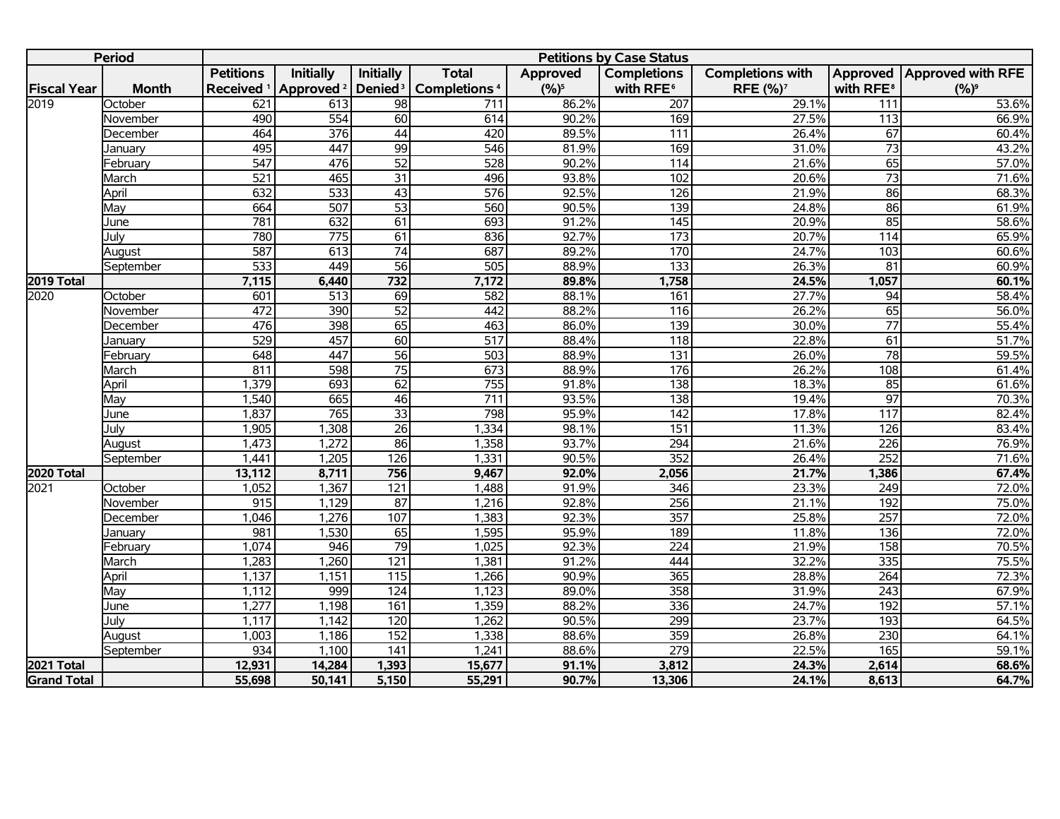|                    | <b>Period</b> |                       |                       |                     |                                |           | <b>Petitions by Case Status</b> |                         |                       |                              |
|--------------------|---------------|-----------------------|-----------------------|---------------------|--------------------------------|-----------|---------------------------------|-------------------------|-----------------------|------------------------------|
|                    |               | <b>Petitions</b>      | <b>Initially</b>      | <b>Initially</b>    | <b>Total</b>                   | Approved  | <b>Completions</b>              | <b>Completions with</b> |                       | Approved   Approved with RFE |
| <b>Fiscal Year</b> | <b>Month</b>  | Received <sup>1</sup> | Approved <sup>2</sup> | Denied <sup>3</sup> | <b>Completions<sup>4</sup></b> | $(9/6)^5$ | with RFE <sup>6</sup>           | RFE (%) <sup>7</sup>    | with RFE <sup>8</sup> | $(%)^9$                      |
| 2019               | October       | 621                   | 613                   | 98                  | 711                            | 86.2%     | 207                             | 29.1%                   | 111                   | 53.6%                        |
|                    | November      | 490                   | $\overline{554}$      | 60                  | 614                            | 90.2%     | 169                             | 27.5%                   | 113                   | 66.9%                        |
|                    | December      | 464                   | 376                   | 44                  | 420                            | 89.5%     | $\overline{111}$                | 26.4%                   | 67                    | 60.4%                        |
|                    | Januarv       | 495                   | 447                   | 99                  | 546                            | 81.9%     | 169                             | 31.0%                   | $\overline{73}$       | 43.2%                        |
|                    | February      | $\overline{547}$      | 476                   | 52                  | $\overline{528}$               | 90.2%     | 114                             | 21.6%                   | 65                    | 57.0%                        |
|                    | March         | 521                   | 465                   | $\overline{31}$     | 496                            | 93.8%     | 102                             | 20.6%                   | $\overline{73}$       | 71.6%                        |
|                    | April         | 632                   | 533                   | $\overline{43}$     | $\overline{576}$               | 92.5%     | 126                             | 21.9%                   | $\overline{86}$       | 68.3%                        |
|                    | May           | 664                   | 507                   | $\overline{53}$     | 560                            | 90.5%     | 139                             | 24.8%                   | 86                    | 61.9%                        |
|                    | June          | 781                   | 632                   | 61                  | 693                            | 91.2%     | 145                             | 20.9%                   | 85                    | 58.6%                        |
|                    | July          | 780                   | 775                   | $\overline{61}$     | 836                            | 92.7%     | 173                             | 20.7%                   | 114                   | 65.9%                        |
|                    | August        | 587                   | 613                   | $\overline{74}$     | 687                            | 89.2%     | 170                             | 24.7%                   | 103                   | 60.6%                        |
|                    | September     | 533                   | 449                   | $\overline{56}$     | 505                            | 88.9%     | 133                             | 26.3%                   | 81                    | 60.9%                        |
| <b>2019 Total</b>  |               | 7,115                 | 6,440                 | $\overline{732}$    | 7,172                          | 89.8%     | 1,758                           | 24.5%                   | 1,057                 | 60.1%                        |
| 2020               | October       | 601                   | $\overline{513}$      | 69                  | 582                            | 88.1%     | 161                             | 27.7%                   | $\overline{94}$       | 58.4%                        |
|                    | November      | 472                   | 390                   | $\overline{52}$     | 442                            | 88.2%     | 116                             | 26.2%                   | 65                    | 56.0%                        |
|                    | December      | 476                   | 398                   | 65                  | 463                            | 86.0%     | 139                             | 30.0%                   | $\overline{77}$       | 55.4%                        |
|                    | January       | 529                   | 457                   | 60                  | 517                            | 88.4%     | 118                             | 22.8%                   | 61                    | 51.7%                        |
|                    | February      | 648                   | 447                   | 56                  | 503                            | 88.9%     | $\overline{131}$                | 26.0%                   | $\overline{78}$       | 59.5%                        |
|                    | March         | 811                   | 598                   | $\overline{75}$     | 673                            | 88.9%     | 176                             | 26.2%                   | 108                   | 61.4%                        |
|                    | April         | 1,379                 | 693                   | 62                  | 755                            | 91.8%     | 138                             | 18.3%                   | 85                    | 61.6%                        |
|                    | May           | 1,540                 | 665                   | 46                  | $\overline{711}$               | 93.5%     | 138                             | 19.4%                   | $\overline{97}$       | 70.3%                        |
|                    | June          | 1,837                 | 765                   | $\overline{33}$     | 798                            | 95.9%     | $\overline{142}$                | 17.8%                   | $\frac{117}{117}$     | 82.4%                        |
|                    | July          | 1,905                 | 1,308                 | $\overline{26}$     | 1,334                          | 98.1%     | 151                             | 11.3%                   | 126                   | 83.4%                        |
|                    | August        | 1,473                 | 1,272                 | 86                  | 1,358                          | 93.7%     | 294                             | 21.6%                   | 226                   | 76.9%                        |
|                    | September     | 1,441                 | 1,205                 | 126                 | 1,331                          | 90.5%     | 352                             | 26.4%                   | $\overline{252}$      | 71.6%                        |
| <b>2020 Total</b>  |               | 13,112                | 8,711                 | 756                 | 9,467                          | 92.0%     | 2,056                           | 21.7%                   | 1,386                 | 67.4%                        |
| 2021               | October       | 1,052                 | 1,367                 | 121                 | 1,488                          | 91.9%     | 346                             | 23.3%                   | 249                   | 72.0%                        |
|                    | November      | 915                   | 1,129                 | $\overline{87}$     | 1,216                          | 92.8%     | 256                             | 21.1%                   | 192                   | 75.0%                        |
|                    | December      | 1,046                 | 1,276                 | 107                 | 1,383                          | 92.3%     | 357                             | 25.8%                   | 257                   | 72.0%                        |
|                    | January       | 981                   | 1,530                 | 65                  | 1,595                          | 95.9%     | 189                             | 11.8%                   | $\overline{136}$      | 72.0%                        |
|                    | February      | 1,074                 | 946                   | 79                  | 1,025                          | 92.3%     | $\overline{224}$                | 21.9%                   | 158                   | 70.5%                        |
|                    | March         | 1,283                 | 1,260                 | 121                 | 1,381                          | 91.2%     | 444                             | 32.2%                   | $\frac{1}{335}$       | 75.5%                        |
|                    | April         | 1,137                 | 1,151                 | 115                 | 1,266                          | 90.9%     | 365                             | 28.8%                   | 264                   | 72.3%                        |
|                    | May           | 1,112                 | 999                   | 124                 | 1,123                          | 89.0%     | 358                             | 31.9%                   | $\overline{243}$      | 67.9%                        |
|                    | June          | 1,277                 | 1,198                 | 161                 | 1,359                          | 88.2%     | 336                             | 24.7%                   | 192                   | 57.1%                        |
|                    | Julv          | 1,117                 | 1,142                 | 120                 | 1,262                          | 90.5%     | 299                             | 23.7%                   | 193                   | 64.5%                        |
|                    | August        | 1,003                 | 1,186                 | 152                 | 1,338                          | 88.6%     | 359                             | 26.8%                   | $\overline{230}$      | 64.1%                        |
|                    | September     | 934                   | 1,100                 | $\overline{141}$    | 1,241                          | 88.6%     | $\overline{279}$                | 22.5%                   | 165                   | 59.1%                        |
| 2021 Total         |               | 12,931                | 14,284                | 1,393               | 15,677                         | 91.1%     | 3,812                           | 24.3%                   | 2,614                 | 68.6%                        |
| <b>Grand Total</b> |               | 55,698                | 50,141                | 5,150               | 55,291                         | 90.7%     | 13,306                          | 24.1%                   | 8,613                 | 64.7%                        |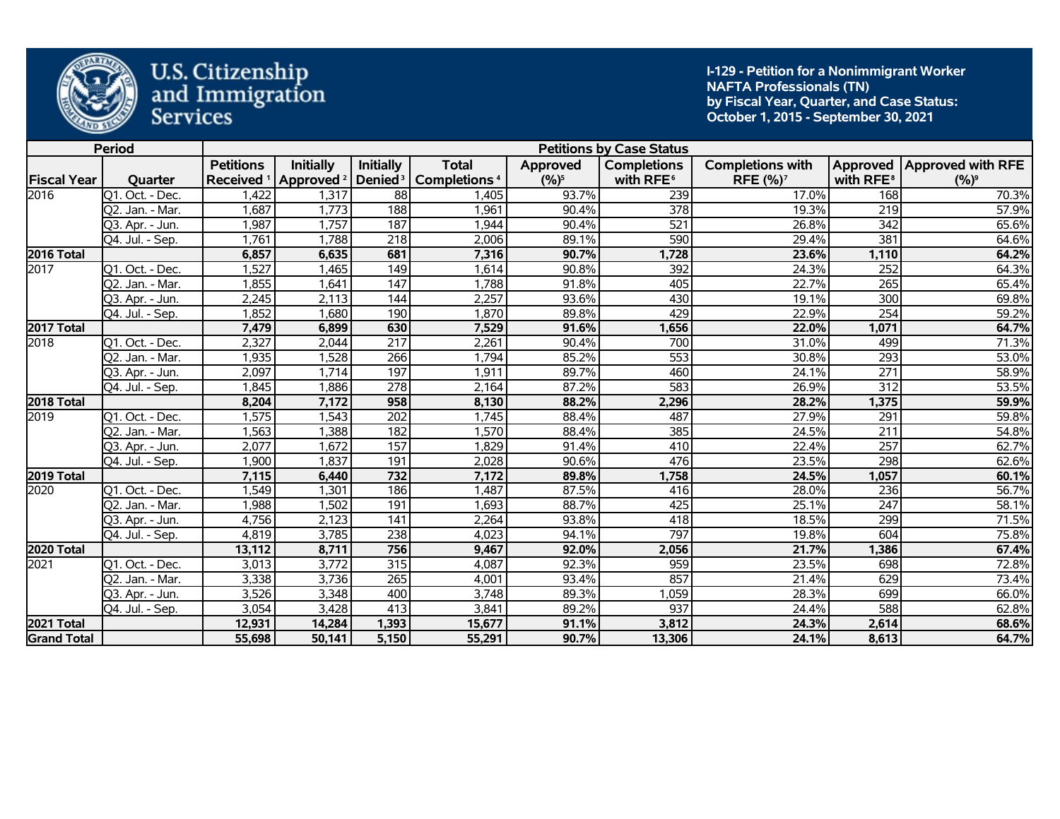

**I-129 - Petition for a Nonimmigrant Worker NAFTA Professionals (TN) by Fiscal Year, Quarter, and Case Status: October 1, 2015 - September 30, 2021** 

|                    | <b>Period</b>   |                       |                       |                     |                          |          | <b>Petitions by Case Status</b> |                         |                       |                              |
|--------------------|-----------------|-----------------------|-----------------------|---------------------|--------------------------|----------|---------------------------------|-------------------------|-----------------------|------------------------------|
|                    |                 | <b>Petitions</b>      | <b>Initially</b>      | <b>Initially</b>    | <b>Total</b>             | Approved | <b>Completions</b>              | <b>Completions with</b> |                       | Approved   Approved with RFE |
| <b>Fiscal Year</b> | Quarter         | Received <sup>1</sup> | Approved <sup>2</sup> | Denied <sup>3</sup> | Completions <sup>4</sup> | $(%)^5$  | with RFE <sup>6</sup>           | RFE (%) <sup>7</sup>    | with RFE <sup>8</sup> | $(%)^9$                      |
| 2016               | Q1. Oct. - Dec. | 1,422                 | 1,317                 | $\overline{88}$     | 1,405                    | 93.7%    | 239                             | 17.0%                   | 168                   | 70.3%                        |
|                    | Q2. Jan. - Mar. | 1,687                 | 1,773                 | 188                 | 1,961                    | 90.4%    | 378                             | 19.3%                   | 219                   | 57.9%                        |
|                    | Q3. Apr. - Jun. | 1,987                 | 1,757                 | 187                 | 1,944                    | 90.4%    | 521                             | 26.8%                   | 342                   | 65.6%                        |
|                    | Q4. Jul. - Sep. | 1,761                 | 1,788                 | 218                 | 2,006                    | 89.1%    | 590                             | 29.4%                   | 381                   | 64.6%                        |
| 2016 Total         |                 | 6,857                 | 6,635                 | 681                 | 7,316                    | 90.7%    | 1,728                           | 23.6%                   | 1,110                 | 64.2%                        |
| 2017               | Q1. Oct. - Dec. | 1,527                 | 1,465                 | 149                 | 1,614                    | 90.8%    | 392                             | 24.3%                   | 252                   | 64.3%                        |
|                    | Q2. Jan. - Mar. | 1,855                 | 1,641                 | 147                 | 1,788                    | 91.8%    | 405                             | 22.7%                   | 265                   | 65.4%                        |
|                    | Q3. Apr. - Jun. | 2,245                 | 2,113                 | 144                 | 2,257                    | 93.6%    | 430                             | 19.1%                   | 300                   | 69.8%                        |
|                    | Q4. Jul. - Sep. | 1,852                 | 1,680                 | 190                 | 1,870                    | 89.8%    | 429                             | 22.9%                   | $\overline{254}$      | 59.2%                        |
| 2017 Total         |                 | 7,479                 | 6,899                 | 630                 | 7,529                    | 91.6%    | 1,656                           | 22.0%                   | 1,071                 | 64.7%                        |
| 2018               | Q1. Oct. - Dec. | 2,327                 | 2,044                 | $\overline{217}$    | 2,261                    | 90.4%    | 700                             | 31.0%                   | 499                   | 71.3%                        |
|                    | Q2. Jan. - Mar. | 1,935                 | 1,528                 | 266                 | 1,794                    | 85.2%    | 553                             | 30.8%                   | $\overline{293}$      | 53.0%                        |
|                    | Q3. Apr. - Jun. | 2,097                 | 1,714                 | 197                 | 1,911                    | 89.7%    | 460                             | 24.1%                   | $\overline{271}$      | 58.9%                        |
|                    | Q4. Jul. - Sep. | 1,845                 | 1,886                 | 278                 | 2,164                    | 87.2%    | 583                             | 26.9%                   | 312                   | 53.5%                        |
| 2018 Total         |                 | 8,204                 | 7,172                 | 958                 | 8,130                    | 88.2%    | 2,296                           | 28.2%                   | 1,375                 | 59.9%                        |
| 2019               | Q1. Oct. - Dec. | 1,575                 | 1,543                 | 202                 | 1,745                    | 88.4%    | 487                             | 27.9%                   | 291                   | 59.8%                        |
|                    | Q2. Jan. - Mar. | 1,563                 | 1,388                 | 182                 | 1,570                    | 88.4%    | 385                             | 24.5%                   | 211                   | 54.8%                        |
|                    | Q3. Apr. - Jun. | 2,077                 | 1,672                 | 157                 | 1,829                    | 91.4%    | 410                             | 22.4%                   | 257                   | 62.7%                        |
|                    | Q4. Jul. - Sep. | 1,900                 | 1,837                 | 191                 | 2,028                    | 90.6%    | 476                             | 23.5%                   | 298                   | 62.6%                        |
| 2019 Total         |                 | 7,115                 | 6,440                 | 732                 | 7,172                    | 89.8%    | 1,758                           | 24.5%                   | 1,057                 | 60.1%                        |
| 2020               | Q1. Oct. - Dec. | 1,549                 | 1,301                 | 186                 | 1,487                    | 87.5%    | 416                             | 28.0%                   | 236                   | 56.7%                        |
|                    | Q2. Jan. - Mar. | 1,988                 | 1,502                 | 191                 | 1,693                    | 88.7%    | 425                             | 25.1%                   | $\overline{247}$      | 58.1%                        |
|                    | Q3. Apr. - Jun. | 4,756                 | 2,123                 | 141                 | 2,264                    | 93.8%    | 418                             | 18.5%                   | 299                   | 71.5%                        |
|                    | Q4. Jul. - Sep. | 4,819                 | 3,785                 | 238                 | 4,023                    | 94.1%    | 797                             | 19.8%                   | 604                   | 75.8%                        |
| 2020 Total         |                 | 13,112                | 8,711                 | 756                 | 9,467                    | 92.0%    | 2,056                           | 21.7%                   | 1,386                 | 67.4%                        |
| 2021               | Q1. Oct. - Dec. | 3,013                 | 3,772                 | 315                 | 4,087                    | 92.3%    | 959                             | 23.5%                   | 698                   | 72.8%                        |
|                    | Q2. Jan. - Mar. | 3,338                 | 3,736                 | 265                 | 4,001                    | 93.4%    | 857                             | 21.4%                   | 629                   | 73.4%                        |
|                    | Q3. Apr. - Jun. | 3,526                 | 3,348                 | 400                 | 3,748                    | 89.3%    | 1,059                           | 28.3%                   | 699                   | 66.0%                        |
|                    | Q4. Jul. - Sep. | 3,054                 | 3,428                 | 413                 | 3,841                    | 89.2%    | 937                             | 24.4%                   | 588                   | 62.8%                        |
| <b>2021 Total</b>  |                 | 12,931                | 14,284                | 1,393               | 15,677                   | 91.1%    | 3,812                           | 24.3%                   | 2,614                 | 68.6%                        |
| <b>Grand Total</b> |                 | 55,698                | 50,141                | 5,150               | 55,291                   | 90.7%    | 13,306                          | 24.1%                   | 8,613                 | 64.7%                        |